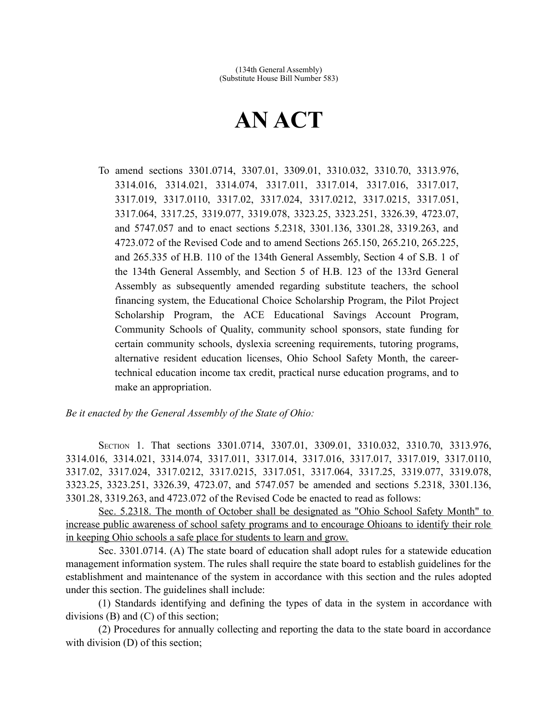## **AN ACT**

To amend sections 3301.0714, 3307.01, 3309.01, 3310.032, 3310.70, 3313.976, 3314.016, 3314.021, 3314.074, 3317.011, 3317.014, 3317.016, 3317.017, 3317.019, 3317.0110, 3317.02, 3317.024, 3317.0212, 3317.0215, 3317.051, 3317.064, 3317.25, 3319.077, 3319.078, 3323.25, 3323.251, 3326.39, 4723.07, and 5747.057 and to enact sections 5.2318, 3301.136, 3301.28, 3319.263, and 4723.072 of the Revised Code and to amend Sections 265.150, 265.210, 265.225, and 265.335 of H.B. 110 of the 134th General Assembly, Section 4 of S.B. 1 of the 134th General Assembly, and Section 5 of H.B. 123 of the 133rd General Assembly as subsequently amended regarding substitute teachers, the school financing system, the Educational Choice Scholarship Program, the Pilot Project Scholarship Program, the ACE Educational Savings Account Program, Community Schools of Quality, community school sponsors, state funding for certain community schools, dyslexia screening requirements, tutoring programs, alternative resident education licenses, Ohio School Safety Month, the careertechnical education income tax credit, practical nurse education programs, and to make an appropriation.

## *Be it enacted by the General Assembly of the State of Ohio:*

SECTION 1. That sections 3301.0714, 3307.01, 3309.01, 3310.032, 3310.70, 3313.976, 3314.016, 3314.021, 3314.074, 3317.011, 3317.014, 3317.016, 3317.017, 3317.019, 3317.0110, 3317.02, 3317.024, 3317.0212, 3317.0215, 3317.051, 3317.064, 3317.25, 3319.077, 3319.078, 3323.25, 3323.251, 3326.39, 4723.07, and 5747.057 be amended and sections 5.2318, 3301.136, 3301.28, 3319.263, and 4723.072 of the Revised Code be enacted to read as follows:

 Sec. 5.2318. The month of October shall be designated as "Ohio School Safety Month" to increase public awareness of school safety programs and to encourage Ohioans to identify their role in keeping Ohio schools a safe place for students to learn and grow.

Sec. 3301.0714. (A) The state board of education shall adopt rules for a statewide education management information system. The rules shall require the state board to establish guidelines for the establishment and maintenance of the system in accordance with this section and the rules adopted under this section. The guidelines shall include:

(1) Standards identifying and defining the types of data in the system in accordance with divisions (B) and (C) of this section;

(2) Procedures for annually collecting and reporting the data to the state board in accordance with division (D) of this section;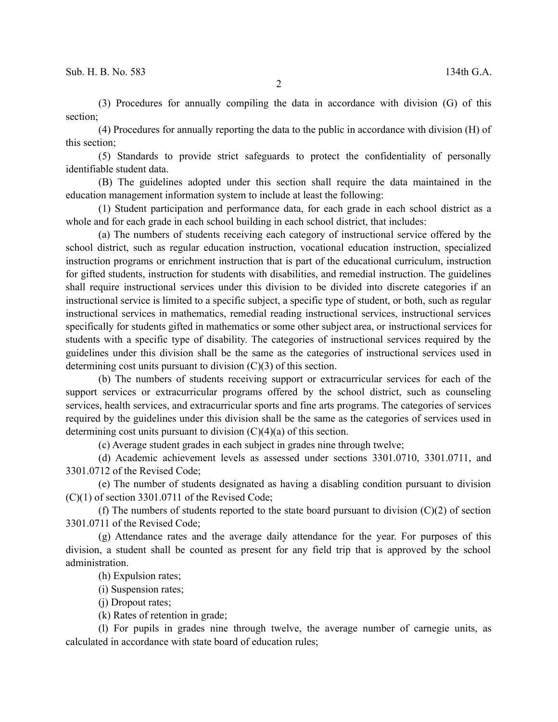(3) Procedures for annually compiling the data in accordance with division (G) of this section;

(4) Procedures for annually reporting the data to the public in accordance with division (H) of this section;

(5) Standards to provide strict safeguards to protect the confidentiality of personally identifiable student data.

(B) The guidelines adopted under this section shall require the data maintained in the education management information system to include at least the following:

(1) Student participation and performance data, for each grade in each school district as a whole and for each grade in each school building in each school district, that includes:

(a) The numbers of students receiving each category of instructional service offered by the school district, such as regular education instruction, vocational education instruction, specialized instruction programs or enrichment instruction that is part of the educational curriculum, instruction for gifted students, instruction for students with disabilities, and remedial instruction. The guidelines shall require instructional services under this division to be divided into discrete categories if an instructional service is limited to a specific subject, a specific type of student, or both, such as regular instructional services in mathematics, remedial reading instructional services, instructional services specifically for students gifted in mathematics or some other subject area, or instructional services for students with a specific type of disability. The categories of instructional services required by the guidelines under this division shall be the same as the categories of instructional services used in determining cost units pursuant to division (C)(3) of this section.

(b) The numbers of students receiving support or extracurricular services for each of the support services or extracurricular programs offered by the school district, such as counseling services, health services, and extracurricular sports and fine arts programs. The categories of services required by the guidelines under this division shall be the same as the categories of services used in determining cost units pursuant to division  $(C)(4)(a)$  of this section.

(c) Average student grades in each subject in grades nine through twelve;

(d) Academic achievement levels as assessed under sections 3301.0710, 3301.0711, and 3301.0712 of the Revised Code;

(e) The number of students designated as having a disabling condition pursuant to division  $(C)(1)$  of section 3301.0711 of the Revised Code;

(f) The numbers of students reported to the state board pursuant to division  $(C)(2)$  of section 3301.0711 of the Revised Code;

(g) Attendance rates and the average daily attendance for the year. For purposes of this division, a student shall be counted as present for any field trip that is approved by the school administration.

(h) Expulsion rates;

(i) Suspension rates;

(j) Dropout rates;

(k) Rates of retention in grade;

(l) For pupils in grades nine through twelve, the average number of carnegie units, as calculated in accordance with state board of education rules;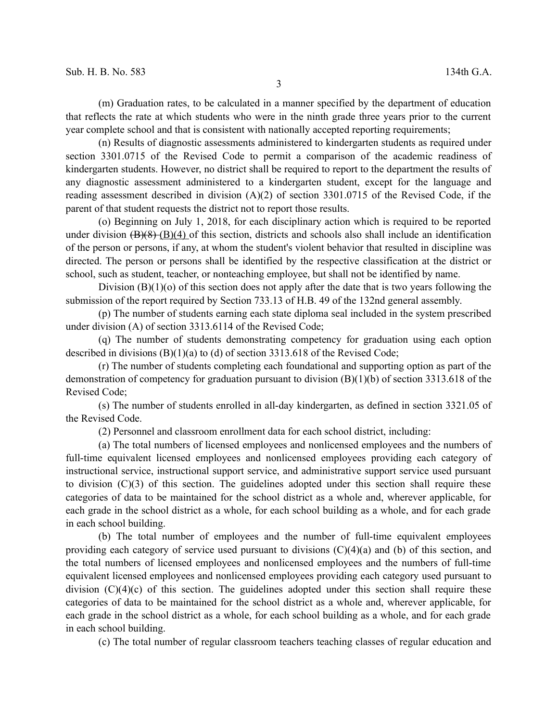(m) Graduation rates, to be calculated in a manner specified by the department of education that reflects the rate at which students who were in the ninth grade three years prior to the current year complete school and that is consistent with nationally accepted reporting requirements;

(n) Results of diagnostic assessments administered to kindergarten students as required under section 3301.0715 of the Revised Code to permit a comparison of the academic readiness of kindergarten students. However, no district shall be required to report to the department the results of any diagnostic assessment administered to a kindergarten student, except for the language and reading assessment described in division (A)(2) of section 3301.0715 of the Revised Code, if the parent of that student requests the district not to report those results.

(o) Beginning on July 1, 2018, for each disciplinary action which is required to be reported under division  $(B)(8)$   $(B)(4)$  of this section, districts and schools also shall include an identification of the person or persons, if any, at whom the student's violent behavior that resulted in discipline was directed. The person or persons shall be identified by the respective classification at the district or school, such as student, teacher, or nonteaching employee, but shall not be identified by name.

Division  $(B)(1)(o)$  of this section does not apply after the date that is two years following the submission of the report required by Section 733.13 of H.B. 49 of the 132nd general assembly.

(p) The number of students earning each state diploma seal included in the system prescribed under division (A) of section 3313.6114 of the Revised Code;

(q) The number of students demonstrating competency for graduation using each option described in divisions (B)(1)(a) to (d) of section 3313.618 of the Revised Code;

(r) The number of students completing each foundational and supporting option as part of the demonstration of competency for graduation pursuant to division (B)(1)(b) of section 3313.618 of the Revised Code;

(s) The number of students enrolled in all-day kindergarten, as defined in section 3321.05 of the Revised Code.

(2) Personnel and classroom enrollment data for each school district, including:

(a) The total numbers of licensed employees and nonlicensed employees and the numbers of full-time equivalent licensed employees and nonlicensed employees providing each category of instructional service, instructional support service, and administrative support service used pursuant to division  $(C)(3)$  of this section. The guidelines adopted under this section shall require these categories of data to be maintained for the school district as a whole and, wherever applicable, for each grade in the school district as a whole, for each school building as a whole, and for each grade in each school building.

(b) The total number of employees and the number of full-time equivalent employees providing each category of service used pursuant to divisions (C)(4)(a) and (b) of this section, and the total numbers of licensed employees and nonlicensed employees and the numbers of full-time equivalent licensed employees and nonlicensed employees providing each category used pursuant to division  $(C)(4)(c)$  of this section. The guidelines adopted under this section shall require these categories of data to be maintained for the school district as a whole and, wherever applicable, for each grade in the school district as a whole, for each school building as a whole, and for each grade in each school building.

(c) The total number of regular classroom teachers teaching classes of regular education and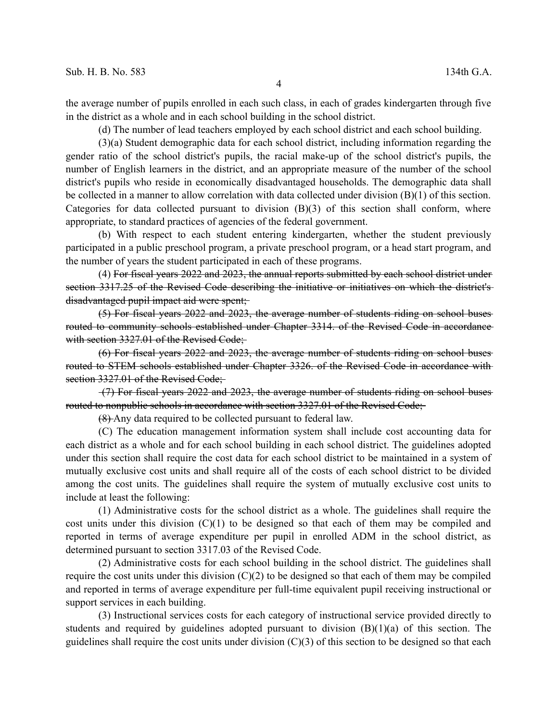the average number of pupils enrolled in each such class, in each of grades kindergarten through five in the district as a whole and in each school building in the school district.

(d) The number of lead teachers employed by each school district and each school building.

(3)(a) Student demographic data for each school district, including information regarding the gender ratio of the school district's pupils, the racial make-up of the school district's pupils, the number of English learners in the district, and an appropriate measure of the number of the school district's pupils who reside in economically disadvantaged households. The demographic data shall be collected in a manner to allow correlation with data collected under division (B)(1) of this section. Categories for data collected pursuant to division  $(B)(3)$  of this section shall conform, where appropriate, to standard practices of agencies of the federal government.

(b) With respect to each student entering kindergarten, whether the student previously participated in a public preschool program, a private preschool program, or a head start program, and the number of years the student participated in each of these programs.

(4) For fiscal years 2022 and 2023, the annual reports submitted by each school district under section 3317.25 of the Revised Code describing the initiative or initiatives on which the district's disadvantaged pupil impact aid were spent;

(5) For fiscal years 2022 and 2023, the average number of students riding on school buses routed to community schools established under Chapter 3314. of the Revised Code in accordance with section 3327.01 of the Revised Code;

(6) For fiscal years 2022 and 2023, the average number of students riding on school buses routed to STEM schools established under Chapter 3326. of the Revised Code in accordance with section 3327.01 of the Revised Code;

(7) For fiscal years 2022 and 2023, the average number of students riding on school buses routed to nonpublic schools in accordance with section 3327.01 of the Revised Code;

(8) Any data required to be collected pursuant to federal law.

(C) The education management information system shall include cost accounting data for each district as a whole and for each school building in each school district. The guidelines adopted under this section shall require the cost data for each school district to be maintained in a system of mutually exclusive cost units and shall require all of the costs of each school district to be divided among the cost units. The guidelines shall require the system of mutually exclusive cost units to include at least the following:

(1) Administrative costs for the school district as a whole. The guidelines shall require the cost units under this division  $(C)(1)$  to be designed so that each of them may be compiled and reported in terms of average expenditure per pupil in enrolled ADM in the school district, as determined pursuant to section 3317.03 of the Revised Code.

(2) Administrative costs for each school building in the school district. The guidelines shall require the cost units under this division  $(C)(2)$  to be designed so that each of them may be compiled and reported in terms of average expenditure per full-time equivalent pupil receiving instructional or support services in each building.

(3) Instructional services costs for each category of instructional service provided directly to students and required by guidelines adopted pursuant to division  $(B)(1)(a)$  of this section. The guidelines shall require the cost units under division (C)(3) of this section to be designed so that each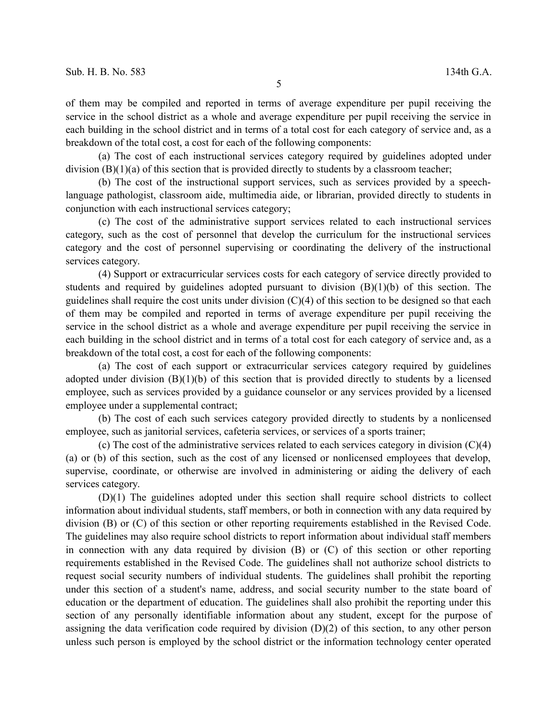of them may be compiled and reported in terms of average expenditure per pupil receiving the service in the school district as a whole and average expenditure per pupil receiving the service in each building in the school district and in terms of a total cost for each category of service and, as a breakdown of the total cost, a cost for each of the following components:

(a) The cost of each instructional services category required by guidelines adopted under division (B)(1)(a) of this section that is provided directly to students by a classroom teacher;

(b) The cost of the instructional support services, such as services provided by a speechlanguage pathologist, classroom aide, multimedia aide, or librarian, provided directly to students in conjunction with each instructional services category;

(c) The cost of the administrative support services related to each instructional services category, such as the cost of personnel that develop the curriculum for the instructional services category and the cost of personnel supervising or coordinating the delivery of the instructional services category.

(4) Support or extracurricular services costs for each category of service directly provided to students and required by guidelines adopted pursuant to division (B)(1)(b) of this section. The guidelines shall require the cost units under division (C)(4) of this section to be designed so that each of them may be compiled and reported in terms of average expenditure per pupil receiving the service in the school district as a whole and average expenditure per pupil receiving the service in each building in the school district and in terms of a total cost for each category of service and, as a breakdown of the total cost, a cost for each of the following components:

(a) The cost of each support or extracurricular services category required by guidelines adopted under division  $(B)(1)(b)$  of this section that is provided directly to students by a licensed employee, such as services provided by a guidance counselor or any services provided by a licensed employee under a supplemental contract;

(b) The cost of each such services category provided directly to students by a nonlicensed employee, such as janitorial services, cafeteria services, or services of a sports trainer;

(c) The cost of the administrative services related to each services category in division (C)(4) (a) or (b) of this section, such as the cost of any licensed or nonlicensed employees that develop, supervise, coordinate, or otherwise are involved in administering or aiding the delivery of each services category.

(D)(1) The guidelines adopted under this section shall require school districts to collect information about individual students, staff members, or both in connection with any data required by division (B) or (C) of this section or other reporting requirements established in the Revised Code. The guidelines may also require school districts to report information about individual staff members in connection with any data required by division (B) or (C) of this section or other reporting requirements established in the Revised Code. The guidelines shall not authorize school districts to request social security numbers of individual students. The guidelines shall prohibit the reporting under this section of a student's name, address, and social security number to the state board of education or the department of education. The guidelines shall also prohibit the reporting under this section of any personally identifiable information about any student, except for the purpose of assigning the data verification code required by division (D)(2) of this section, to any other person unless such person is employed by the school district or the information technology center operated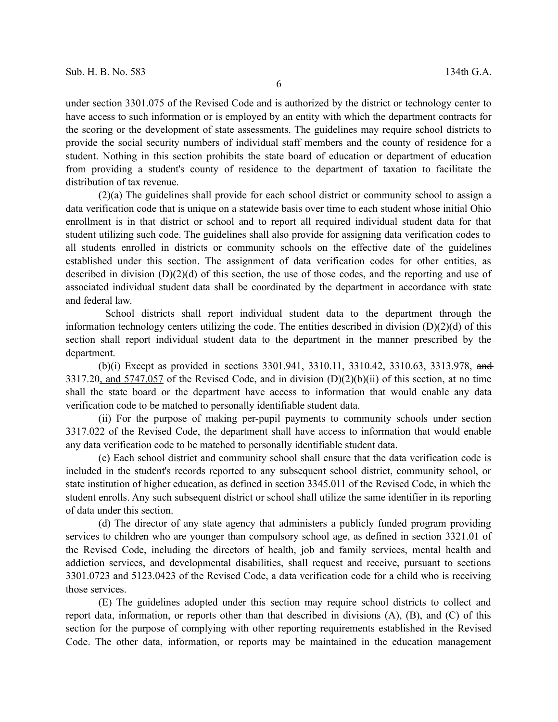6

under section 3301.075 of the Revised Code and is authorized by the district or technology center to have access to such information or is employed by an entity with which the department contracts for the scoring or the development of state assessments. The guidelines may require school districts to provide the social security numbers of individual staff members and the county of residence for a student. Nothing in this section prohibits the state board of education or department of education from providing a student's county of residence to the department of taxation to facilitate the distribution of tax revenue.

(2)(a) The guidelines shall provide for each school district or community school to assign a data verification code that is unique on a statewide basis over time to each student whose initial Ohio enrollment is in that district or school and to report all required individual student data for that student utilizing such code. The guidelines shall also provide for assigning data verification codes to all students enrolled in districts or community schools on the effective date of the guidelines established under this section. The assignment of data verification codes for other entities, as described in division (D)(2)(d) of this section, the use of those codes, and the reporting and use of associated individual student data shall be coordinated by the department in accordance with state and federal law.

School districts shall report individual student data to the department through the information technology centers utilizing the code. The entities described in division  $(D)(2)(d)$  of this section shall report individual student data to the department in the manner prescribed by the department.

(b)(i) Except as provided in sections 3301.941, 3310.11, 3310.42, 3310.63, 3313.978, and 3317.20, and 5747.057 of the Revised Code, and in division (D)(2)(b)(ii) of this section, at no time shall the state board or the department have access to information that would enable any data verification code to be matched to personally identifiable student data.

(ii) For the purpose of making per-pupil payments to community schools under section 3317.022 of the Revised Code, the department shall have access to information that would enable any data verification code to be matched to personally identifiable student data.

(c) Each school district and community school shall ensure that the data verification code is included in the student's records reported to any subsequent school district, community school, or state institution of higher education, as defined in section 3345.011 of the Revised Code, in which the student enrolls. Any such subsequent district or school shall utilize the same identifier in its reporting of data under this section.

(d) The director of any state agency that administers a publicly funded program providing services to children who are younger than compulsory school age, as defined in section 3321.01 of the Revised Code, including the directors of health, job and family services, mental health and addiction services, and developmental disabilities, shall request and receive, pursuant to sections 3301.0723 and 5123.0423 of the Revised Code, a data verification code for a child who is receiving those services.

(E) The guidelines adopted under this section may require school districts to collect and report data, information, or reports other than that described in divisions (A), (B), and (C) of this section for the purpose of complying with other reporting requirements established in the Revised Code. The other data, information, or reports may be maintained in the education management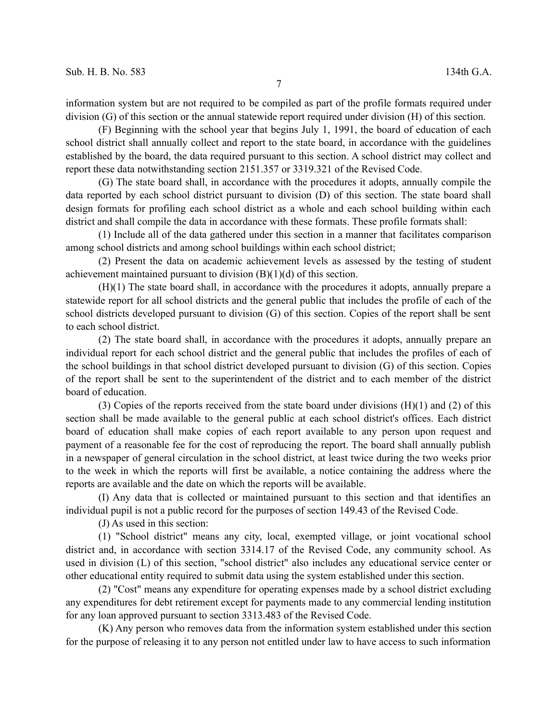information system but are not required to be compiled as part of the profile formats required under division (G) of this section or the annual statewide report required under division (H) of this section.

(F) Beginning with the school year that begins July 1, 1991, the board of education of each school district shall annually collect and report to the state board, in accordance with the guidelines established by the board, the data required pursuant to this section. A school district may collect and report these data notwithstanding section 2151.357 or 3319.321 of the Revised Code.

(G) The state board shall, in accordance with the procedures it adopts, annually compile the data reported by each school district pursuant to division (D) of this section. The state board shall design formats for profiling each school district as a whole and each school building within each district and shall compile the data in accordance with these formats. These profile formats shall:

(1) Include all of the data gathered under this section in a manner that facilitates comparison among school districts and among school buildings within each school district;

(2) Present the data on academic achievement levels as assessed by the testing of student achievement maintained pursuant to division (B)(1)(d) of this section.

(H)(1) The state board shall, in accordance with the procedures it adopts, annually prepare a statewide report for all school districts and the general public that includes the profile of each of the school districts developed pursuant to division (G) of this section. Copies of the report shall be sent to each school district.

(2) The state board shall, in accordance with the procedures it adopts, annually prepare an individual report for each school district and the general public that includes the profiles of each of the school buildings in that school district developed pursuant to division (G) of this section. Copies of the report shall be sent to the superintendent of the district and to each member of the district board of education.

(3) Copies of the reports received from the state board under divisions (H)(1) and (2) of this section shall be made available to the general public at each school district's offices. Each district board of education shall make copies of each report available to any person upon request and payment of a reasonable fee for the cost of reproducing the report. The board shall annually publish in a newspaper of general circulation in the school district, at least twice during the two weeks prior to the week in which the reports will first be available, a notice containing the address where the reports are available and the date on which the reports will be available.

(I) Any data that is collected or maintained pursuant to this section and that identifies an individual pupil is not a public record for the purposes of section 149.43 of the Revised Code.

(J) As used in this section:

(1) "School district" means any city, local, exempted village, or joint vocational school district and, in accordance with section 3314.17 of the Revised Code, any community school. As used in division (L) of this section, "school district" also includes any educational service center or other educational entity required to submit data using the system established under this section.

(2) "Cost" means any expenditure for operating expenses made by a school district excluding any expenditures for debt retirement except for payments made to any commercial lending institution for any loan approved pursuant to section 3313.483 of the Revised Code.

(K) Any person who removes data from the information system established under this section for the purpose of releasing it to any person not entitled under law to have access to such information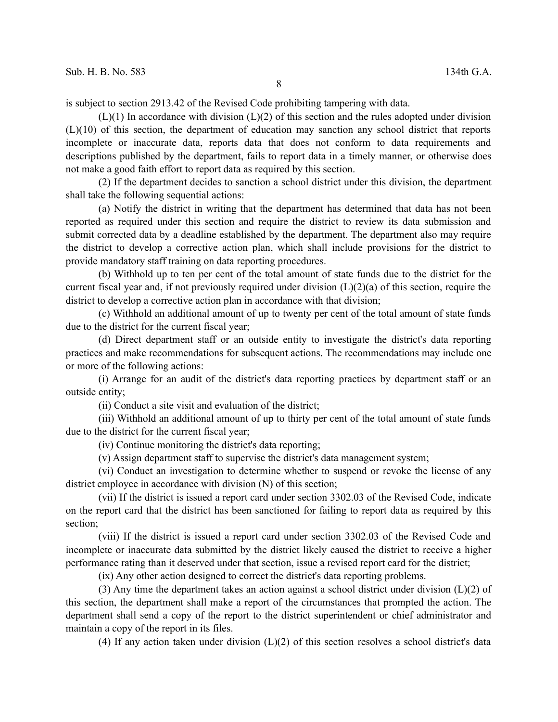is subject to section 2913.42 of the Revised Code prohibiting tampering with data.

 $(L)(1)$  In accordance with division  $(L)(2)$  of this section and the rules adopted under division (L)(10) of this section, the department of education may sanction any school district that reports incomplete or inaccurate data, reports data that does not conform to data requirements and descriptions published by the department, fails to report data in a timely manner, or otherwise does not make a good faith effort to report data as required by this section.

(2) If the department decides to sanction a school district under this division, the department shall take the following sequential actions:

(a) Notify the district in writing that the department has determined that data has not been reported as required under this section and require the district to review its data submission and submit corrected data by a deadline established by the department. The department also may require the district to develop a corrective action plan, which shall include provisions for the district to provide mandatory staff training on data reporting procedures.

(b) Withhold up to ten per cent of the total amount of state funds due to the district for the current fiscal year and, if not previously required under division  $(L)(2)(a)$  of this section, require the district to develop a corrective action plan in accordance with that division;

(c) Withhold an additional amount of up to twenty per cent of the total amount of state funds due to the district for the current fiscal year;

(d) Direct department staff or an outside entity to investigate the district's data reporting practices and make recommendations for subsequent actions. The recommendations may include one or more of the following actions:

(i) Arrange for an audit of the district's data reporting practices by department staff or an outside entity;

(ii) Conduct a site visit and evaluation of the district;

(iii) Withhold an additional amount of up to thirty per cent of the total amount of state funds due to the district for the current fiscal year;

(iv) Continue monitoring the district's data reporting;

(v) Assign department staff to supervise the district's data management system;

(vi) Conduct an investigation to determine whether to suspend or revoke the license of any district employee in accordance with division (N) of this section;

(vii) If the district is issued a report card under section 3302.03 of the Revised Code, indicate on the report card that the district has been sanctioned for failing to report data as required by this section;

(viii) If the district is issued a report card under section 3302.03 of the Revised Code and incomplete or inaccurate data submitted by the district likely caused the district to receive a higher performance rating than it deserved under that section, issue a revised report card for the district;

(ix) Any other action designed to correct the district's data reporting problems.

(3) Any time the department takes an action against a school district under division  $(L)(2)$  of this section, the department shall make a report of the circumstances that prompted the action. The department shall send a copy of the report to the district superintendent or chief administrator and maintain a copy of the report in its files.

(4) If any action taken under division  $(L)(2)$  of this section resolves a school district's data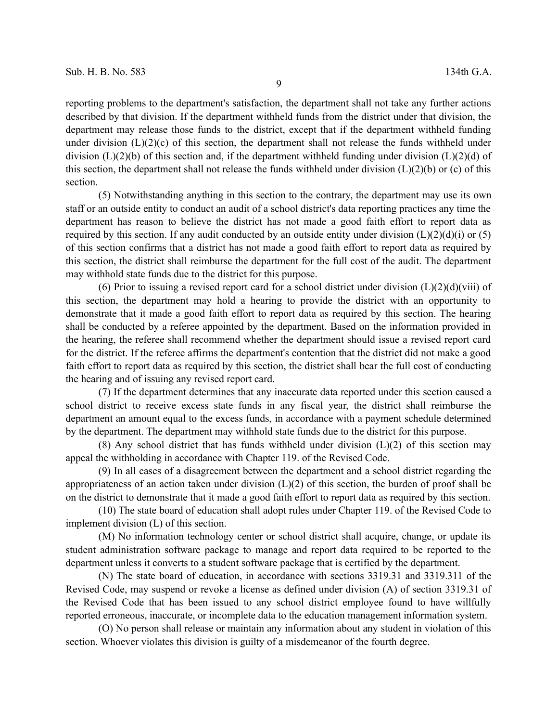reporting problems to the department's satisfaction, the department shall not take any further actions described by that division. If the department withheld funds from the district under that division, the department may release those funds to the district, except that if the department withheld funding under division  $(L)(2)(c)$  of this section, the department shall not release the funds withheld under division  $(L)(2)(b)$  of this section and, if the department withheld funding under division  $(L)(2)(d)$  of this section, the department shall not release the funds withheld under division  $(L)(2)(b)$  or (c) of this section.

(5) Notwithstanding anything in this section to the contrary, the department may use its own staff or an outside entity to conduct an audit of a school district's data reporting practices any time the department has reason to believe the district has not made a good faith effort to report data as required by this section. If any audit conducted by an outside entity under division  $(L)(2)(d)(i)$  or  $(5)$ of this section confirms that a district has not made a good faith effort to report data as required by this section, the district shall reimburse the department for the full cost of the audit. The department may withhold state funds due to the district for this purpose.

(6) Prior to issuing a revised report card for a school district under division  $(L)(2)(d)(viii)$  of this section, the department may hold a hearing to provide the district with an opportunity to demonstrate that it made a good faith effort to report data as required by this section. The hearing shall be conducted by a referee appointed by the department. Based on the information provided in the hearing, the referee shall recommend whether the department should issue a revised report card for the district. If the referee affirms the department's contention that the district did not make a good faith effort to report data as required by this section, the district shall bear the full cost of conducting the hearing and of issuing any revised report card.

(7) If the department determines that any inaccurate data reported under this section caused a school district to receive excess state funds in any fiscal year, the district shall reimburse the department an amount equal to the excess funds, in accordance with a payment schedule determined by the department. The department may withhold state funds due to the district for this purpose.

(8) Any school district that has funds withheld under division  $(L)(2)$  of this section may appeal the withholding in accordance with Chapter 119. of the Revised Code.

(9) In all cases of a disagreement between the department and a school district regarding the appropriateness of an action taken under division (L)(2) of this section, the burden of proof shall be on the district to demonstrate that it made a good faith effort to report data as required by this section.

(10) The state board of education shall adopt rules under Chapter 119. of the Revised Code to implement division (L) of this section.

(M) No information technology center or school district shall acquire, change, or update its student administration software package to manage and report data required to be reported to the department unless it converts to a student software package that is certified by the department.

(N) The state board of education, in accordance with sections 3319.31 and 3319.311 of the Revised Code, may suspend or revoke a license as defined under division (A) of section 3319.31 of the Revised Code that has been issued to any school district employee found to have willfully reported erroneous, inaccurate, or incomplete data to the education management information system.

(O) No person shall release or maintain any information about any student in violation of this section. Whoever violates this division is guilty of a misdemeanor of the fourth degree.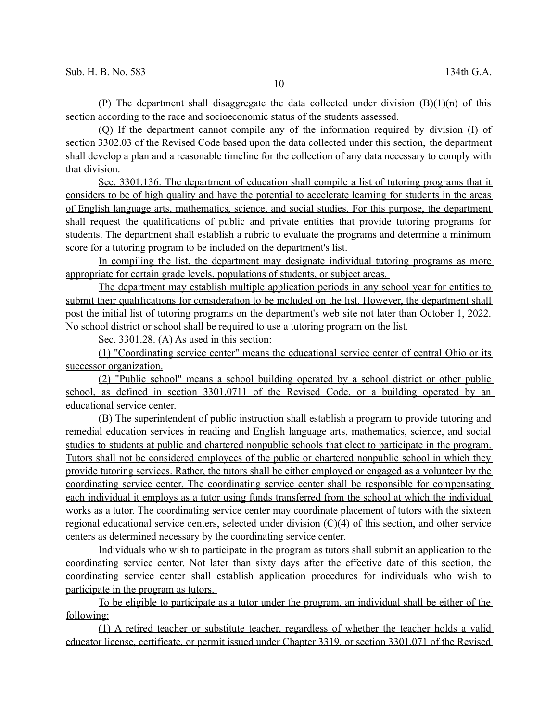(P) The department shall disaggregate the data collected under division  $(B)(1)(n)$  of this section according to the race and socioeconomic status of the students assessed.

(Q) If the department cannot compile any of the information required by division (I) of section 3302.03 of the Revised Code based upon the data collected under this section, the department shall develop a plan and a reasonable timeline for the collection of any data necessary to comply with that division.

 Sec. 3301.136. The department of education shall compile a list of tutoring programs that it considers to be of high quality and have the potential to accelerate learning for students in the areas of English language arts, mathematics, science, and social studies. For this purpose, the department shall request the qualifications of public and private entities that provide tutoring programs for students. The department shall establish a rubric to evaluate the programs and determine a minimum score for a tutoring program to be included on the department's list.

In compiling the list, the department may designate individual tutoring programs as more appropriate for certain grade levels, populations of students, or subject areas.

The department may establish multiple application periods in any school year for entities to submit their qualifications for consideration to be included on the list. However, the department shall post the initial list of tutoring programs on the department's web site not later than October 1, 2022. No school district or school shall be required to use a tutoring program on the list.

Sec. 3301.28. (A) As used in this section:

(1) "Coordinating service center" means the educational service center of central Ohio or its successor organization.

(2) "Public school" means a school building operated by a school district or other public school, as defined in section 3301.0711 of the Revised Code, or a building operated by an educational service center.

(B) The superintendent of public instruction shall establish a program to provide tutoring and remedial education services in reading and English language arts, mathematics, science, and social studies to students at public and chartered nonpublic schools that elect to participate in the program. Tutors shall not be considered employees of the public or chartered nonpublic school in which they provide tutoring services. Rather, the tutors shall be either employed or engaged as a volunteer by the coordinating service center. The coordinating service center shall be responsible for compensating each individual it employs as a tutor using funds transferred from the school at which the individual works as a tutor. The coordinating service center may coordinate placement of tutors with the sixteen regional educational service centers, selected under division (C)(4) of this section, and other service centers as determined necessary by the coordinating service center.

Individuals who wish to participate in the program as tutors shall submit an application to the coordinating service center. Not later than sixty days after the effective date of this section, the coordinating service center shall establish application procedures for individuals who wish to participate in the program as tutors.

To be eligible to participate as a tutor under the program, an individual shall be either of the following:

(1) A retired teacher or substitute teacher, regardless of whether the teacher holds a valid educator license, certificate, or permit issued under Chapter 3319. or section 3301.071 of the Revised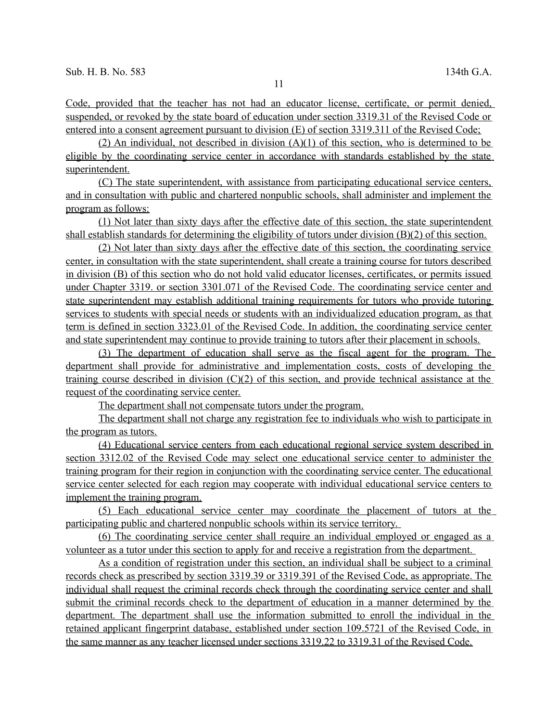Code, provided that the teacher has not had an educator license, certificate, or permit denied, suspended, or revoked by the state board of education under section 3319.31 of the Revised Code or entered into a consent agreement pursuant to division (E) of section 3319.311 of the Revised Code;

(2) An individual, not described in division  $(A)(1)$  of this section, who is determined to be eligible by the coordinating service center in accordance with standards established by the state superintendent.

(C) The state superintendent, with assistance from participating educational service centers, and in consultation with public and chartered nonpublic schools, shall administer and implement the program as follows:

(1) Not later than sixty days after the effective date of this section, the state superintendent shall establish standards for determining the eligibility of tutors under division (B)(2) of this section.

(2) Not later than sixty days after the effective date of this section, the coordinating service center, in consultation with the state superintendent, shall create a training course for tutors described in division (B) of this section who do not hold valid educator licenses, certificates, or permits issued under Chapter 3319. or section 3301.071 of the Revised Code. The coordinating service center and state superintendent may establish additional training requirements for tutors who provide tutoring services to students with special needs or students with an individualized education program, as that term is defined in section 3323.01 of the Revised Code. In addition, the coordinating service center and state superintendent may continue to provide training to tutors after their placement in schools.

(3) The department of education shall serve as the fiscal agent for the program. The department shall provide for administrative and implementation costs, costs of developing the training course described in division (C)(2) of this section, and provide technical assistance at the request of the coordinating service center.

The department shall not compensate tutors under the program.

The department shall not charge any registration fee to individuals who wish to participate in the program as tutors.

(4) Educational service centers from each educational regional service system described in section 3312.02 of the Revised Code may select one educational service center to administer the training program for their region in conjunction with the coordinating service center. The educational service center selected for each region may cooperate with individual educational service centers to implement the training program.

(5) Each educational service center may coordinate the placement of tutors at the participating public and chartered nonpublic schools within its service territory.

(6) The coordinating service center shall require an individual employed or engaged as a volunteer as a tutor under this section to apply for and receive a registration from the department.

As a condition of registration under this section, an individual shall be subject to a criminal records check as prescribed by section 3319.39 or 3319.391 of the Revised Code, as appropriate. The individual shall request the criminal records check through the coordinating service center and shall submit the criminal records check to the department of education in a manner determined by the department. The department shall use the information submitted to enroll the individual in the retained applicant fingerprint database, established under section 109.5721 of the Revised Code, in the same manner as any teacher licensed under sections 3319.22 to 3319.31 of the Revised Code.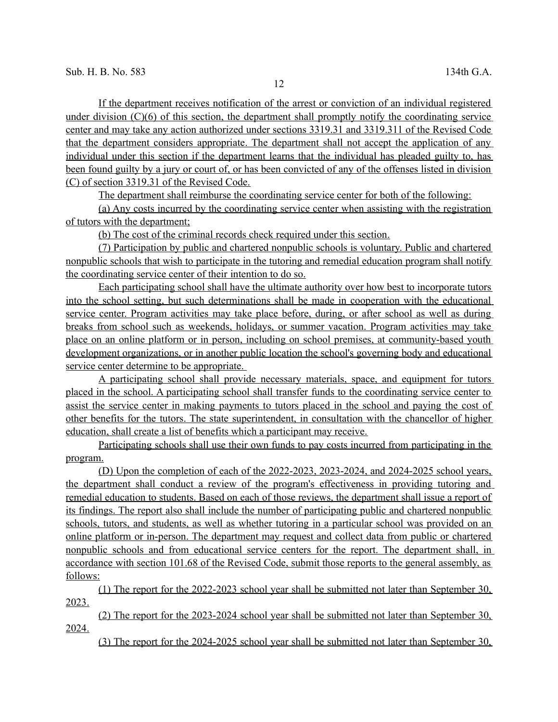If the department receives notification of the arrest or conviction of an individual registered under division (C)(6) of this section, the department shall promptly notify the coordinating service center and may take any action authorized under sections 3319.31 and 3319.311 of the Revised Code that the department considers appropriate. The department shall not accept the application of any individual under this section if the department learns that the individual has pleaded guilty to, has been found guilty by a jury or court of, or has been convicted of any of the offenses listed in division (C) of section 3319.31 of the Revised Code.

The department shall reimburse the coordinating service center for both of the following:

(a) Any costs incurred by the coordinating service center when assisting with the registration of tutors with the department;

(b) The cost of the criminal records check required under this section.

(7) Participation by public and chartered nonpublic schools is voluntary. Public and chartered nonpublic schools that wish to participate in the tutoring and remedial education program shall notify the coordinating service center of their intention to do so.

Each participating school shall have the ultimate authority over how best to incorporate tutors into the school setting, but such determinations shall be made in cooperation with the educational service center. Program activities may take place before, during, or after school as well as during breaks from school such as weekends, holidays, or summer vacation. Program activities may take place on an online platform or in person, including on school premises, at community-based youth development organizations, or in another public location the school's governing body and educational service center determine to be appropriate.

A participating school shall provide necessary materials, space, and equipment for tutors placed in the school. A participating school shall transfer funds to the coordinating service center to assist the service center in making payments to tutors placed in the school and paying the cost of other benefits for the tutors. The state superintendent, in consultation with the chancellor of higher education, shall create a list of benefits which a participant may receive.

Participating schools shall use their own funds to pay costs incurred from participating in the program.

(D) Upon the completion of each of the 2022-2023, 2023-2024, and 2024-2025 school years, the department shall conduct a review of the program's effectiveness in providing tutoring and remedial education to students. Based on each of those reviews, the department shall issue a report of its findings. The report also shall include the number of participating public and chartered nonpublic schools, tutors, and students, as well as whether tutoring in a particular school was provided on an online platform or in-person. The department may request and collect data from public or chartered nonpublic schools and from educational service centers for the report. The department shall, in accordance with section 101.68 of the Revised Code, submit those reports to the general assembly, as follows:

(1) The report for the 2022-2023 school year shall be submitted not later than September 30, 2023.

(2) The report for the 2023-2024 school year shall be submitted not later than September 30, 2024.

(3) The report for the 2024-2025 school year shall be submitted not later than September 30,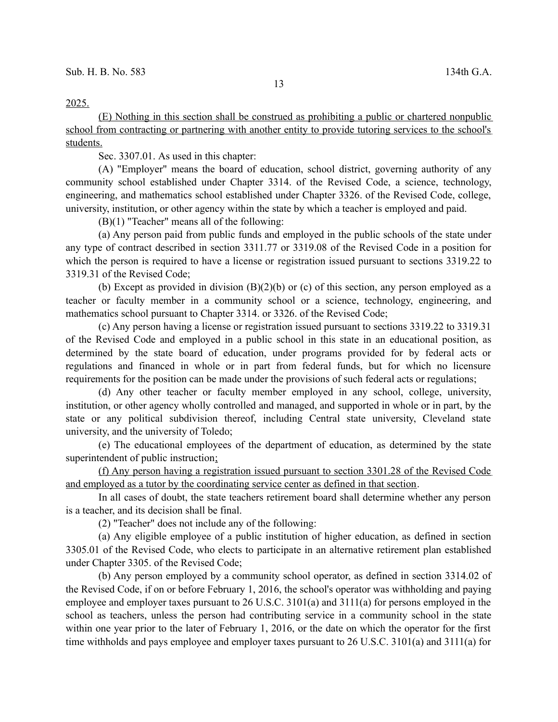(E) Nothing in this section shall be construed as prohibiting a public or chartered nonpublic school from contracting or partnering with another entity to provide tutoring services to the school's students.

Sec. 3307.01. As used in this chapter:

(A) "Employer" means the board of education, school district, governing authority of any community school established under Chapter 3314. of the Revised Code, a science, technology, engineering, and mathematics school established under Chapter 3326. of the Revised Code, college, university, institution, or other agency within the state by which a teacher is employed and paid.

(B)(1) "Teacher" means all of the following:

(a) Any person paid from public funds and employed in the public schools of the state under any type of contract described in section 3311.77 or 3319.08 of the Revised Code in a position for which the person is required to have a license or registration issued pursuant to sections 3319.22 to 3319.31 of the Revised Code;

(b) Except as provided in division  $(B)(2)(b)$  or (c) of this section, any person employed as a teacher or faculty member in a community school or a science, technology, engineering, and mathematics school pursuant to Chapter 3314. or 3326. of the Revised Code;

(c) Any person having a license or registration issued pursuant to sections 3319.22 to 3319.31 of the Revised Code and employed in a public school in this state in an educational position, as determined by the state board of education, under programs provided for by federal acts or regulations and financed in whole or in part from federal funds, but for which no licensure requirements for the position can be made under the provisions of such federal acts or regulations;

(d) Any other teacher or faculty member employed in any school, college, university, institution, or other agency wholly controlled and managed, and supported in whole or in part, by the state or any political subdivision thereof, including Central state university, Cleveland state university, and the university of Toledo;

(e) The educational employees of the department of education, as determined by the state superintendent of public instruction;

(f) Any person having a registration issued pursuant to section 3301.28 of the Revised Code and employed as a tutor by the coordinating service center as defined in that section.

In all cases of doubt, the state teachers retirement board shall determine whether any person is a teacher, and its decision shall be final.

(2) "Teacher" does not include any of the following:

(a) Any eligible employee of a public institution of higher education, as defined in section 3305.01 of the Revised Code, who elects to participate in an alternative retirement plan established under Chapter 3305. of the Revised Code;

(b) Any person employed by a community school operator, as defined in section 3314.02 of the Revised Code, if on or before February 1, 2016, the school's operator was withholding and paying employee and employer taxes pursuant to 26 U.S.C. 3101(a) and 3111(a) for persons employed in the school as teachers, unless the person had contributing service in a community school in the state within one year prior to the later of February 1, 2016, or the date on which the operator for the first time withholds and pays employee and employer taxes pursuant to 26 U.S.C. 3101(a) and 3111(a) for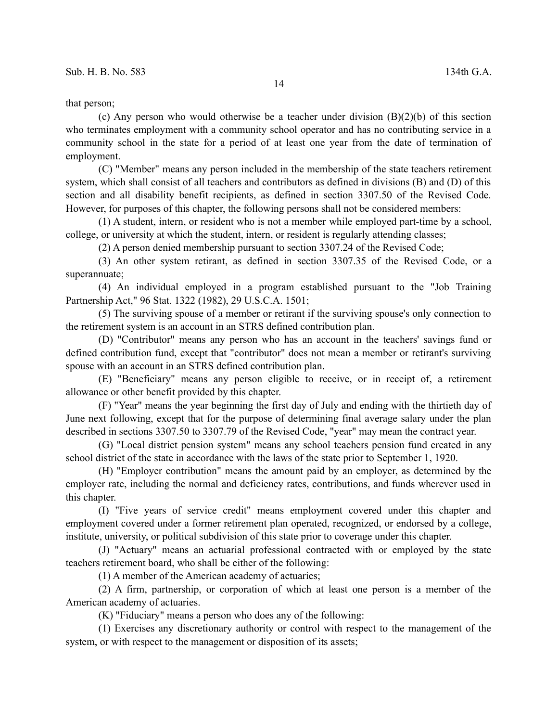that person;

(c) Any person who would otherwise be a teacher under division  $(B)(2)(b)$  of this section who terminates employment with a community school operator and has no contributing service in a community school in the state for a period of at least one year from the date of termination of employment.

(C) "Member" means any person included in the membership of the state teachers retirement system, which shall consist of all teachers and contributors as defined in divisions (B) and (D) of this section and all disability benefit recipients, as defined in section 3307.50 of the Revised Code. However, for purposes of this chapter, the following persons shall not be considered members:

(1) A student, intern, or resident who is not a member while employed part-time by a school, college, or university at which the student, intern, or resident is regularly attending classes;

(2) A person denied membership pursuant to section 3307.24 of the Revised Code;

(3) An other system retirant, as defined in section 3307.35 of the Revised Code, or a superannuate;

(4) An individual employed in a program established pursuant to the "Job Training Partnership Act," 96 Stat. 1322 (1982), 29 U.S.C.A. 1501;

(5) The surviving spouse of a member or retirant if the surviving spouse's only connection to the retirement system is an account in an STRS defined contribution plan.

(D) "Contributor" means any person who has an account in the teachers' savings fund or defined contribution fund, except that "contributor" does not mean a member or retirant's surviving spouse with an account in an STRS defined contribution plan.

(E) "Beneficiary" means any person eligible to receive, or in receipt of, a retirement allowance or other benefit provided by this chapter.

(F) "Year" means the year beginning the first day of July and ending with the thirtieth day of June next following, except that for the purpose of determining final average salary under the plan described in sections 3307.50 to 3307.79 of the Revised Code, "year" may mean the contract year.

(G) "Local district pension system" means any school teachers pension fund created in any school district of the state in accordance with the laws of the state prior to September 1, 1920.

(H) "Employer contribution" means the amount paid by an employer, as determined by the employer rate, including the normal and deficiency rates, contributions, and funds wherever used in this chapter.

(I) "Five years of service credit" means employment covered under this chapter and employment covered under a former retirement plan operated, recognized, or endorsed by a college, institute, university, or political subdivision of this state prior to coverage under this chapter.

(J) "Actuary" means an actuarial professional contracted with or employed by the state teachers retirement board, who shall be either of the following:

(1) A member of the American academy of actuaries;

(2) A firm, partnership, or corporation of which at least one person is a member of the American academy of actuaries.

(K) "Fiduciary" means a person who does any of the following:

(1) Exercises any discretionary authority or control with respect to the management of the system, or with respect to the management or disposition of its assets;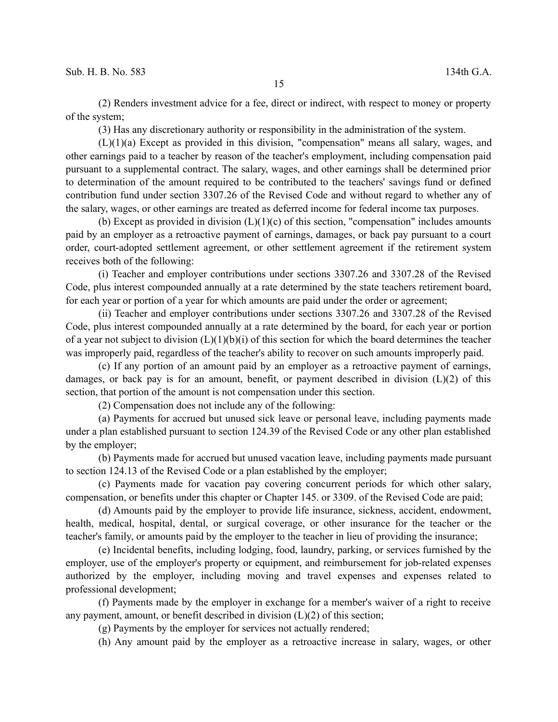(2) Renders investment advice for a fee, direct or indirect, with respect to money or property of the system;

(3) Has any discretionary authority or responsibility in the administration of the system.

(L)(1)(a) Except as provided in this division, "compensation" means all salary, wages, and other earnings paid to a teacher by reason of the teacher's employment, including compensation paid pursuant to a supplemental contract. The salary, wages, and other earnings shall be determined prior to determination of the amount required to be contributed to the teachers' savings fund or defined contribution fund under section 3307.26 of the Revised Code and without regard to whether any of the salary, wages, or other earnings are treated as deferred income for federal income tax purposes.

(b) Except as provided in division  $(L)(1)(c)$  of this section, "compensation" includes amounts paid by an employer as a retroactive payment of earnings, damages, or back pay pursuant to a court order, court-adopted settlement agreement, or other settlement agreement if the retirement system receives both of the following:

(i) Teacher and employer contributions under sections 3307.26 and 3307.28 of the Revised Code, plus interest compounded annually at a rate determined by the state teachers retirement board, for each year or portion of a year for which amounts are paid under the order or agreement;

(ii) Teacher and employer contributions under sections 3307.26 and 3307.28 of the Revised Code, plus interest compounded annually at a rate determined by the board, for each year or portion of a year not subject to division  $(L)(1)(b)(i)$  of this section for which the board determines the teacher was improperly paid, regardless of the teacher's ability to recover on such amounts improperly paid.

(c) If any portion of an amount paid by an employer as a retroactive payment of earnings, damages, or back pay is for an amount, benefit, or payment described in division  $(L)(2)$  of this section, that portion of the amount is not compensation under this section.

(2) Compensation does not include any of the following:

(a) Payments for accrued but unused sick leave or personal leave, including payments made under a plan established pursuant to section 124.39 of the Revised Code or any other plan established by the employer;

(b) Payments made for accrued but unused vacation leave, including payments made pursuant to section 124.13 of the Revised Code or a plan established by the employer;

(c) Payments made for vacation pay covering concurrent periods for which other salary, compensation, or benefits under this chapter or Chapter 145. or 3309. of the Revised Code are paid;

(d) Amounts paid by the employer to provide life insurance, sickness, accident, endowment, health, medical, hospital, dental, or surgical coverage, or other insurance for the teacher or the teacher's family, or amounts paid by the employer to the teacher in lieu of providing the insurance;

(e) Incidental benefits, including lodging, food, laundry, parking, or services furnished by the employer, use of the employer's property or equipment, and reimbursement for job-related expenses authorized by the employer, including moving and travel expenses and expenses related to professional development;

(f) Payments made by the employer in exchange for a member's waiver of a right to receive any payment, amount, or benefit described in division  $(L)(2)$  of this section;

(g) Payments by the employer for services not actually rendered;

(h) Any amount paid by the employer as a retroactive increase in salary, wages, or other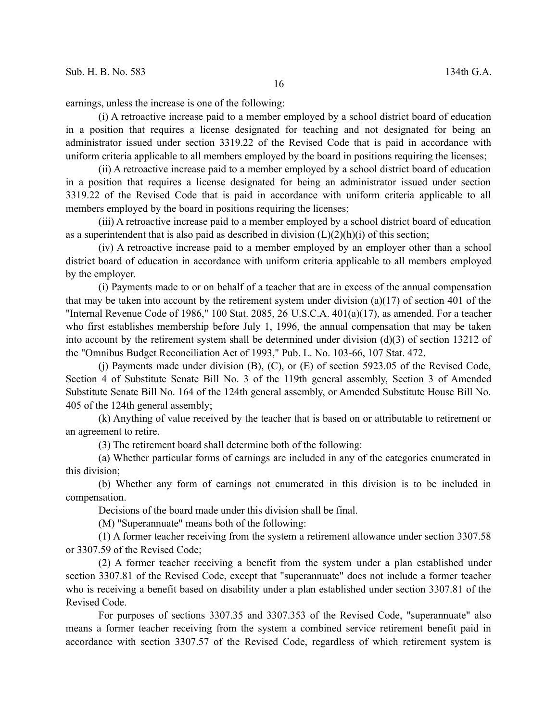earnings, unless the increase is one of the following:

(i) A retroactive increase paid to a member employed by a school district board of education in a position that requires a license designated for teaching and not designated for being an administrator issued under section 3319.22 of the Revised Code that is paid in accordance with uniform criteria applicable to all members employed by the board in positions requiring the licenses;

(ii) A retroactive increase paid to a member employed by a school district board of education in a position that requires a license designated for being an administrator issued under section 3319.22 of the Revised Code that is paid in accordance with uniform criteria applicable to all members employed by the board in positions requiring the licenses;

(iii) A retroactive increase paid to a member employed by a school district board of education as a superintendent that is also paid as described in division  $(L)(2)(h)(i)$  of this section;

(iv) A retroactive increase paid to a member employed by an employer other than a school district board of education in accordance with uniform criteria applicable to all members employed by the employer.

(i) Payments made to or on behalf of a teacher that are in excess of the annual compensation that may be taken into account by the retirement system under division (a)(17) of section 401 of the "Internal Revenue Code of 1986," 100 Stat. 2085, 26 U.S.C.A. 401(a)(17), as amended. For a teacher who first establishes membership before July 1, 1996, the annual compensation that may be taken into account by the retirement system shall be determined under division (d)(3) of section 13212 of the "Omnibus Budget Reconciliation Act of 1993," Pub. L. No. 103-66, 107 Stat. 472.

(j) Payments made under division (B), (C), or (E) of section 5923.05 of the Revised Code, Section 4 of Substitute Senate Bill No. 3 of the 119th general assembly, Section 3 of Amended Substitute Senate Bill No. 164 of the 124th general assembly, or Amended Substitute House Bill No. 405 of the 124th general assembly;

(k) Anything of value received by the teacher that is based on or attributable to retirement or an agreement to retire.

(3) The retirement board shall determine both of the following:

(a) Whether particular forms of earnings are included in any of the categories enumerated in this division;

(b) Whether any form of earnings not enumerated in this division is to be included in compensation.

Decisions of the board made under this division shall be final.

(M) "Superannuate" means both of the following:

(1) A former teacher receiving from the system a retirement allowance under section 3307.58 or 3307.59 of the Revised Code;

(2) A former teacher receiving a benefit from the system under a plan established under section 3307.81 of the Revised Code, except that "superannuate" does not include a former teacher who is receiving a benefit based on disability under a plan established under section 3307.81 of the Revised Code.

For purposes of sections 3307.35 and 3307.353 of the Revised Code, "superannuate" also means a former teacher receiving from the system a combined service retirement benefit paid in accordance with section 3307.57 of the Revised Code, regardless of which retirement system is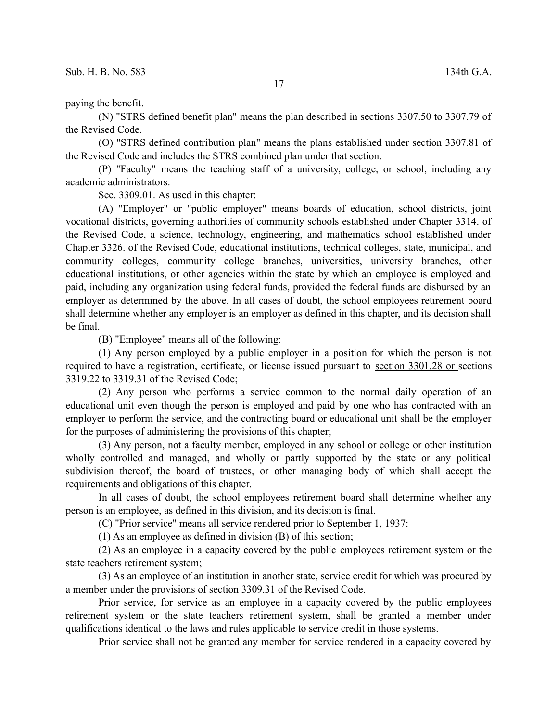## paying the benefit.

(N) "STRS defined benefit plan" means the plan described in sections 3307.50 to 3307.79 of the Revised Code.

(O) "STRS defined contribution plan" means the plans established under section 3307.81 of the Revised Code and includes the STRS combined plan under that section.

(P) "Faculty" means the teaching staff of a university, college, or school, including any academic administrators.

Sec. 3309.01. As used in this chapter:

(A) "Employer" or "public employer" means boards of education, school districts, joint vocational districts, governing authorities of community schools established under Chapter 3314. of the Revised Code, a science, technology, engineering, and mathematics school established under Chapter 3326. of the Revised Code, educational institutions, technical colleges, state, municipal, and community colleges, community college branches, universities, university branches, other educational institutions, or other agencies within the state by which an employee is employed and paid, including any organization using federal funds, provided the federal funds are disbursed by an employer as determined by the above. In all cases of doubt, the school employees retirement board shall determine whether any employer is an employer as defined in this chapter, and its decision shall be final.

(B) "Employee" means all of the following:

(1) Any person employed by a public employer in a position for which the person is not required to have a registration, certificate, or license issued pursuant to section 3301.28 or sections 3319.22 to 3319.31 of the Revised Code;

(2) Any person who performs a service common to the normal daily operation of an educational unit even though the person is employed and paid by one who has contracted with an employer to perform the service, and the contracting board or educational unit shall be the employer for the purposes of administering the provisions of this chapter;

(3) Any person, not a faculty member, employed in any school or college or other institution wholly controlled and managed, and wholly or partly supported by the state or any political subdivision thereof, the board of trustees, or other managing body of which shall accept the requirements and obligations of this chapter.

In all cases of doubt, the school employees retirement board shall determine whether any person is an employee, as defined in this division, and its decision is final.

(C) "Prior service" means all service rendered prior to September 1, 1937:

(1) As an employee as defined in division (B) of this section;

(2) As an employee in a capacity covered by the public employees retirement system or the state teachers retirement system;

(3) As an employee of an institution in another state, service credit for which was procured by a member under the provisions of section 3309.31 of the Revised Code.

Prior service, for service as an employee in a capacity covered by the public employees retirement system or the state teachers retirement system, shall be granted a member under qualifications identical to the laws and rules applicable to service credit in those systems.

Prior service shall not be granted any member for service rendered in a capacity covered by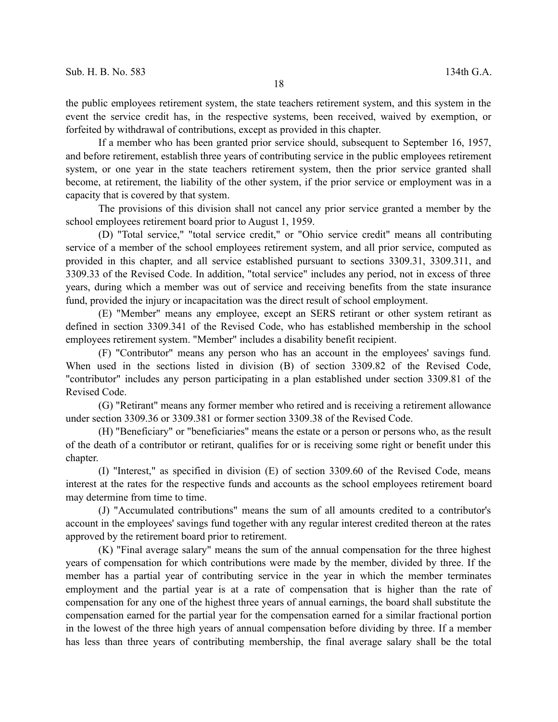the public employees retirement system, the state teachers retirement system, and this system in the event the service credit has, in the respective systems, been received, waived by exemption, or forfeited by withdrawal of contributions, except as provided in this chapter.

If a member who has been granted prior service should, subsequent to September 16, 1957, and before retirement, establish three years of contributing service in the public employees retirement system, or one year in the state teachers retirement system, then the prior service granted shall become, at retirement, the liability of the other system, if the prior service or employment was in a capacity that is covered by that system.

The provisions of this division shall not cancel any prior service granted a member by the school employees retirement board prior to August 1, 1959.

(D) "Total service," "total service credit," or "Ohio service credit" means all contributing service of a member of the school employees retirement system, and all prior service, computed as provided in this chapter, and all service established pursuant to sections 3309.31, 3309.311, and 3309.33 of the Revised Code. In addition, "total service" includes any period, not in excess of three years, during which a member was out of service and receiving benefits from the state insurance fund, provided the injury or incapacitation was the direct result of school employment.

(E) "Member" means any employee, except an SERS retirant or other system retirant as defined in section 3309.341 of the Revised Code, who has established membership in the school employees retirement system. "Member" includes a disability benefit recipient.

(F) "Contributor" means any person who has an account in the employees' savings fund. When used in the sections listed in division (B) of section 3309.82 of the Revised Code, "contributor" includes any person participating in a plan established under section 3309.81 of the Revised Code.

(G) "Retirant" means any former member who retired and is receiving a retirement allowance under section 3309.36 or 3309.381 or former section 3309.38 of the Revised Code.

(H) "Beneficiary" or "beneficiaries" means the estate or a person or persons who, as the result of the death of a contributor or retirant, qualifies for or is receiving some right or benefit under this chapter.

(I) "Interest," as specified in division (E) of section 3309.60 of the Revised Code, means interest at the rates for the respective funds and accounts as the school employees retirement board may determine from time to time.

(J) "Accumulated contributions" means the sum of all amounts credited to a contributor's account in the employees' savings fund together with any regular interest credited thereon at the rates approved by the retirement board prior to retirement.

(K) "Final average salary" means the sum of the annual compensation for the three highest years of compensation for which contributions were made by the member, divided by three. If the member has a partial year of contributing service in the year in which the member terminates employment and the partial year is at a rate of compensation that is higher than the rate of compensation for any one of the highest three years of annual earnings, the board shall substitute the compensation earned for the partial year for the compensation earned for a similar fractional portion in the lowest of the three high years of annual compensation before dividing by three. If a member has less than three years of contributing membership, the final average salary shall be the total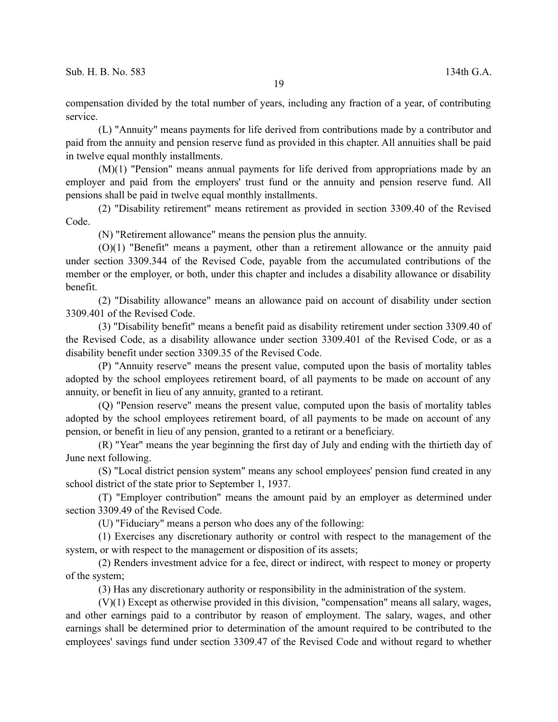compensation divided by the total number of years, including any fraction of a year, of contributing service.

(L) "Annuity" means payments for life derived from contributions made by a contributor and paid from the annuity and pension reserve fund as provided in this chapter. All annuities shall be paid in twelve equal monthly installments.

(M)(1) "Pension" means annual payments for life derived from appropriations made by an employer and paid from the employers' trust fund or the annuity and pension reserve fund. All pensions shall be paid in twelve equal monthly installments.

(2) "Disability retirement" means retirement as provided in section 3309.40 of the Revised Code.

(N) "Retirement allowance" means the pension plus the annuity.

(O)(1) "Benefit" means a payment, other than a retirement allowance or the annuity paid under section 3309.344 of the Revised Code, payable from the accumulated contributions of the member or the employer, or both, under this chapter and includes a disability allowance or disability benefit.

(2) "Disability allowance" means an allowance paid on account of disability under section 3309.401 of the Revised Code.

(3) "Disability benefit" means a benefit paid as disability retirement under section 3309.40 of the Revised Code, as a disability allowance under section 3309.401 of the Revised Code, or as a disability benefit under section 3309.35 of the Revised Code.

(P) "Annuity reserve" means the present value, computed upon the basis of mortality tables adopted by the school employees retirement board, of all payments to be made on account of any annuity, or benefit in lieu of any annuity, granted to a retirant.

(Q) "Pension reserve" means the present value, computed upon the basis of mortality tables adopted by the school employees retirement board, of all payments to be made on account of any pension, or benefit in lieu of any pension, granted to a retirant or a beneficiary.

(R) "Year" means the year beginning the first day of July and ending with the thirtieth day of June next following.

(S) "Local district pension system" means any school employees' pension fund created in any school district of the state prior to September 1, 1937.

(T) "Employer contribution" means the amount paid by an employer as determined under section 3309.49 of the Revised Code.

(U) "Fiduciary" means a person who does any of the following:

(1) Exercises any discretionary authority or control with respect to the management of the system, or with respect to the management or disposition of its assets;

(2) Renders investment advice for a fee, direct or indirect, with respect to money or property of the system;

(3) Has any discretionary authority or responsibility in the administration of the system.

(V)(1) Except as otherwise provided in this division, "compensation" means all salary, wages, and other earnings paid to a contributor by reason of employment. The salary, wages, and other earnings shall be determined prior to determination of the amount required to be contributed to the employees' savings fund under section 3309.47 of the Revised Code and without regard to whether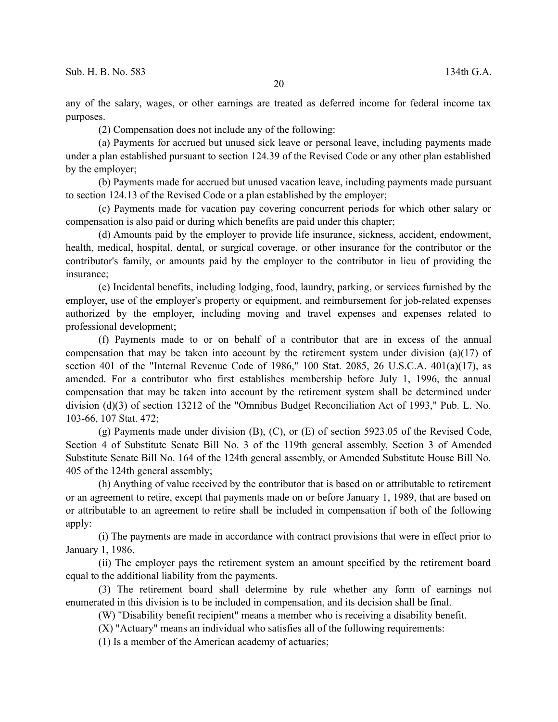any of the salary, wages, or other earnings are treated as deferred income for federal income tax purposes.

(2) Compensation does not include any of the following:

(a) Payments for accrued but unused sick leave or personal leave, including payments made under a plan established pursuant to section 124.39 of the Revised Code or any other plan established by the employer;

(b) Payments made for accrued but unused vacation leave, including payments made pursuant to section 124.13 of the Revised Code or a plan established by the employer;

(c) Payments made for vacation pay covering concurrent periods for which other salary or compensation is also paid or during which benefits are paid under this chapter;

(d) Amounts paid by the employer to provide life insurance, sickness, accident, endowment, health, medical, hospital, dental, or surgical coverage, or other insurance for the contributor or the contributor's family, or amounts paid by the employer to the contributor in lieu of providing the insurance;

(e) Incidental benefits, including lodging, food, laundry, parking, or services furnished by the employer, use of the employer's property or equipment, and reimbursement for job-related expenses authorized by the employer, including moving and travel expenses and expenses related to professional development;

(f) Payments made to or on behalf of a contributor that are in excess of the annual compensation that may be taken into account by the retirement system under division (a)(17) of section 401 of the "Internal Revenue Code of 1986," 100 Stat. 2085, 26 U.S.C.A. 401(a)(17), as amended. For a contributor who first establishes membership before July 1, 1996, the annual compensation that may be taken into account by the retirement system shall be determined under division (d)(3) of section 13212 of the "Omnibus Budget Reconciliation Act of 1993," Pub. L. No. 103-66, 107 Stat. 472;

(g) Payments made under division (B), (C), or (E) of section 5923.05 of the Revised Code, Section 4 of Substitute Senate Bill No. 3 of the 119th general assembly, Section 3 of Amended Substitute Senate Bill No. 164 of the 124th general assembly, or Amended Substitute House Bill No. 405 of the 124th general assembly;

(h) Anything of value received by the contributor that is based on or attributable to retirement or an agreement to retire, except that payments made on or before January 1, 1989, that are based on or attributable to an agreement to retire shall be included in compensation if both of the following apply:

(i) The payments are made in accordance with contract provisions that were in effect prior to January 1, 1986.

(ii) The employer pays the retirement system an amount specified by the retirement board equal to the additional liability from the payments.

(3) The retirement board shall determine by rule whether any form of earnings not enumerated in this division is to be included in compensation, and its decision shall be final.

(W) "Disability benefit recipient" means a member who is receiving a disability benefit.

(X) "Actuary" means an individual who satisfies all of the following requirements:

(1) Is a member of the American academy of actuaries;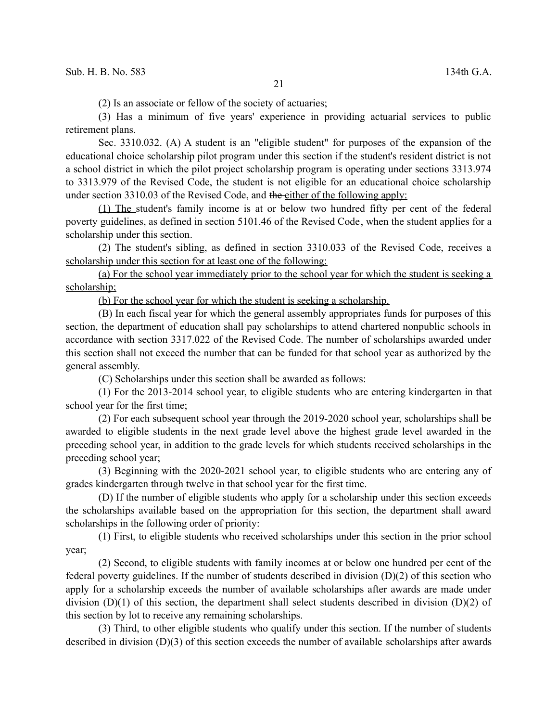(2) Is an associate or fellow of the society of actuaries;

(3) Has a minimum of five years' experience in providing actuarial services to public retirement plans.

Sec. 3310.032. (A) A student is an "eligible student" for purposes of the expansion of the educational choice scholarship pilot program under this section if the student's resident district is not a school district in which the pilot project scholarship program is operating under sections 3313.974 to 3313.979 of the Revised Code, the student is not eligible for an educational choice scholarship under section 3310.03 of the Revised Code, and the either of the following apply:

(1) The student's family income is at or below two hundred fifty per cent of the federal poverty guidelines, as defined in section 5101.46 of the Revised Code, when the student applies for a scholarship under this section.

(2) The student's sibling, as defined in section 3310.033 of the Revised Code, receives a scholarship under this section for at least one of the following:

(a) For the school year immediately prior to the school year for which the student is seeking a scholarship;

(b) For the school year for which the student is seeking a scholarship.

(B) In each fiscal year for which the general assembly appropriates funds for purposes of this section, the department of education shall pay scholarships to attend chartered nonpublic schools in accordance with section 3317.022 of the Revised Code. The number of scholarships awarded under this section shall not exceed the number that can be funded for that school year as authorized by the general assembly.

(C) Scholarships under this section shall be awarded as follows:

(1) For the 2013-2014 school year, to eligible students who are entering kindergarten in that school year for the first time;

(2) For each subsequent school year through the 2019-2020 school year, scholarships shall be awarded to eligible students in the next grade level above the highest grade level awarded in the preceding school year, in addition to the grade levels for which students received scholarships in the preceding school year;

(3) Beginning with the 2020-2021 school year, to eligible students who are entering any of grades kindergarten through twelve in that school year for the first time.

(D) If the number of eligible students who apply for a scholarship under this section exceeds the scholarships available based on the appropriation for this section, the department shall award scholarships in the following order of priority:

(1) First, to eligible students who received scholarships under this section in the prior school year;

(2) Second, to eligible students with family incomes at or below one hundred per cent of the federal poverty guidelines. If the number of students described in division (D)(2) of this section who apply for a scholarship exceeds the number of available scholarships after awards are made under division (D)(1) of this section, the department shall select students described in division (D)(2) of this section by lot to receive any remaining scholarships.

(3) Third, to other eligible students who qualify under this section. If the number of students described in division (D)(3) of this section exceeds the number of available scholarships after awards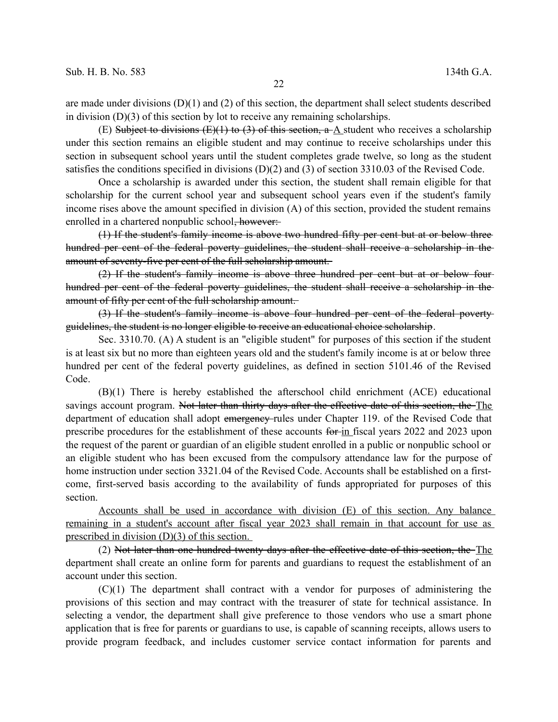are made under divisions  $(D)(1)$  and  $(2)$  of this section, the department shall select students described in division (D)(3) of this section by lot to receive any remaining scholarships.

(E) Subject to divisions (E)(1) to (3) of this section,  $a-\Delta$  student who receives a scholarship under this section remains an eligible student and may continue to receive scholarships under this section in subsequent school years until the student completes grade twelve, so long as the student satisfies the conditions specified in divisions (D)(2) and (3) of section 3310.03 of the Revised Code.

Once a scholarship is awarded under this section, the student shall remain eligible for that scholarship for the current school year and subsequent school years even if the student's family income rises above the amount specified in division (A) of this section, provided the student remains enrolled in a chartered nonpublic school, however:

(1) If the student's family income is above two hundred fifty per cent but at or below three hundred per cent of the federal poverty guidelines, the student shall receive a scholarship in the amount of seventy-five per cent of the full scholarship amount.

(2) If the student's family income is above three hundred per cent but at or below four hundred per cent of the federal poverty guidelines, the student shall receive a scholarship in the amount of fifty per cent of the full scholarship amount.

(3) If the student's family income is above four hundred per cent of the federal poverty guidelines, the student is no longer eligible to receive an educational choice scholarship.

Sec. 3310.70. (A) A student is an "eligible student" for purposes of this section if the student is at least six but no more than eighteen years old and the student's family income is at or below three hundred per cent of the federal poverty guidelines, as defined in section 5101.46 of the Revised Code.

(B)(1) There is hereby established the afterschool child enrichment (ACE) educational savings account program. Not later than thirty days after the effective date of this section, the The department of education shall adopt emergency-rules under Chapter 119. of the Revised Code that prescribe procedures for the establishment of these accounts for in fiscal years 2022 and 2023 upon the request of the parent or guardian of an eligible student enrolled in a public or nonpublic school or an eligible student who has been excused from the compulsory attendance law for the purpose of home instruction under section 3321.04 of the Revised Code. Accounts shall be established on a firstcome, first-served basis according to the availability of funds appropriated for purposes of this section.

Accounts shall be used in accordance with division (E) of this section. Any balance remaining in a student's account after fiscal year 2023 shall remain in that account for use as prescribed in division (D)(3) of this section.

(2) Not later than one hundred twenty days after the effective date of this section, the The department shall create an online form for parents and guardians to request the establishment of an account under this section.

(C)(1) The department shall contract with a vendor for purposes of administering the provisions of this section and may contract with the treasurer of state for technical assistance. In selecting a vendor, the department shall give preference to those vendors who use a smart phone application that is free for parents or guardians to use, is capable of scanning receipts, allows users to provide program feedback, and includes customer service contact information for parents and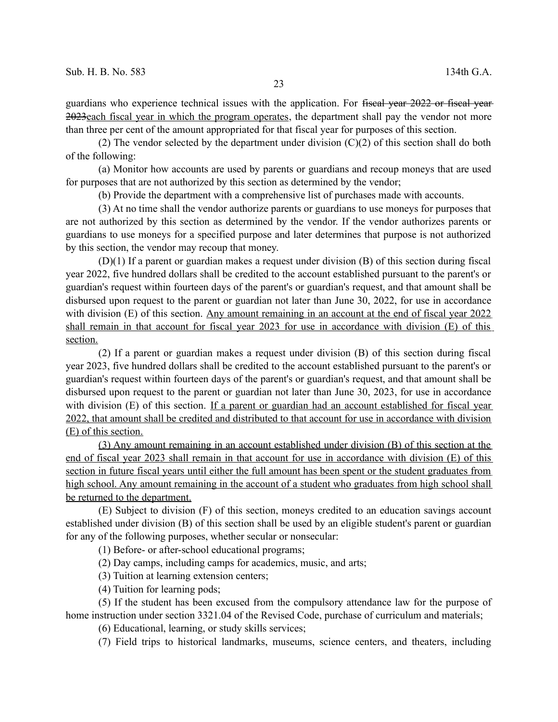guardians who experience technical issues with the application. For fiscal year 2022 or fiscal year 2023each fiscal year in which the program operates, the department shall pay the vendor not more than three per cent of the amount appropriated for that fiscal year for purposes of this section.

(2) The vendor selected by the department under division  $(C)(2)$  of this section shall do both of the following:

(a) Monitor how accounts are used by parents or guardians and recoup moneys that are used for purposes that are not authorized by this section as determined by the vendor;

(b) Provide the department with a comprehensive list of purchases made with accounts.

(3) At no time shall the vendor authorize parents or guardians to use moneys for purposes that are not authorized by this section as determined by the vendor. If the vendor authorizes parents or guardians to use moneys for a specified purpose and later determines that purpose is not authorized by this section, the vendor may recoup that money.

(D)(1) If a parent or guardian makes a request under division (B) of this section during fiscal year 2022, five hundred dollars shall be credited to the account established pursuant to the parent's or guardian's request within fourteen days of the parent's or guardian's request, and that amount shall be disbursed upon request to the parent or guardian not later than June 30, 2022, for use in accordance with division (E) of this section. Any amount remaining in an account at the end of fiscal year 2022 shall remain in that account for fiscal year 2023 for use in accordance with division (E) of this section.

(2) If a parent or guardian makes a request under division (B) of this section during fiscal year 2023, five hundred dollars shall be credited to the account established pursuant to the parent's or guardian's request within fourteen days of the parent's or guardian's request, and that amount shall be disbursed upon request to the parent or guardian not later than June 30, 2023, for use in accordance with division (E) of this section. If a parent or guardian had an account established for fiscal year 2022, that amount shall be credited and distributed to that account for use in accordance with division (E) of this section.

(3) Any amount remaining in an account established under division (B) of this section at the end of fiscal year 2023 shall remain in that account for use in accordance with division (E) of this section in future fiscal years until either the full amount has been spent or the student graduates from high school. Any amount remaining in the account of a student who graduates from high school shall be returned to the department.

(E) Subject to division (F) of this section, moneys credited to an education savings account established under division (B) of this section shall be used by an eligible student's parent or guardian for any of the following purposes, whether secular or nonsecular:

(1) Before- or after-school educational programs;

(2) Day camps, including camps for academics, music, and arts;

- (3) Tuition at learning extension centers;
- (4) Tuition for learning pods;

(5) If the student has been excused from the compulsory attendance law for the purpose of home instruction under section 3321.04 of the Revised Code, purchase of curriculum and materials;

(6) Educational, learning, or study skills services;

(7) Field trips to historical landmarks, museums, science centers, and theaters, including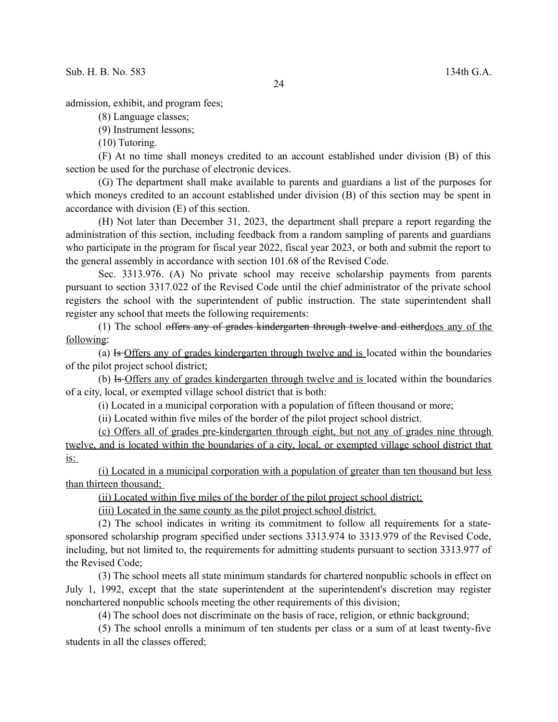admission, exhibit, and program fees;

(8) Language classes;

(9) Instrument lessons;

(10) Tutoring.

(F) At no time shall moneys credited to an account established under division (B) of this section be used for the purchase of electronic devices.

(G) The department shall make available to parents and guardians a list of the purposes for which moneys credited to an account established under division (B) of this section may be spent in accordance with division (E) of this section.

(H) Not later than December 31, 2023, the department shall prepare a report regarding the administration of this section, including feedback from a random sampling of parents and guardians who participate in the program for fiscal year 2022, fiscal year 2023, or both and submit the report to the general assembly in accordance with section 101.68 of the Revised Code.

Sec. 3313.976. (A) No private school may receive scholarship payments from parents pursuant to section 3317.022 of the Revised Code until the chief administrator of the private school registers the school with the superintendent of public instruction. The state superintendent shall register any school that meets the following requirements:

(1) The school offers any of grades kindergarten through twelve and eitherdoes any of the following:

(a) Is Offers any of grades kindergarten through twelve and is located within the boundaries of the pilot project school district;

(b) Is Offers any of grades kindergarten through twelve and is located within the boundaries of a city, local, or exempted village school district that is both:

(i) Located in a municipal corporation with a population of fifteen thousand or more;

(ii) Located within five miles of the border of the pilot project school district.

(c) Offers all of grades pre-kindergarten through eight, but not any of grades nine through twelve, and is located within the boundaries of a city, local, or exempted village school district that  $is:$ 

(i) Located in a municipal corporation with a population of greater than ten thousand but less than thirteen thousand;

(ii) Located within five miles of the border of the pilot project school district;

(iii) Located in the same county as the pilot project school district.

(2) The school indicates in writing its commitment to follow all requirements for a statesponsored scholarship program specified under sections 3313.974 to 3313.979 of the Revised Code, including, but not limited to, the requirements for admitting students pursuant to section 3313.977 of the Revised Code;

(3) The school meets all state minimum standards for chartered nonpublic schools in effect on July 1, 1992, except that the state superintendent at the superintendent's discretion may register nonchartered nonpublic schools meeting the other requirements of this division;

(4) The school does not discriminate on the basis of race, religion, or ethnic background;

(5) The school enrolls a minimum of ten students per class or a sum of at least twenty-five students in all the classes offered;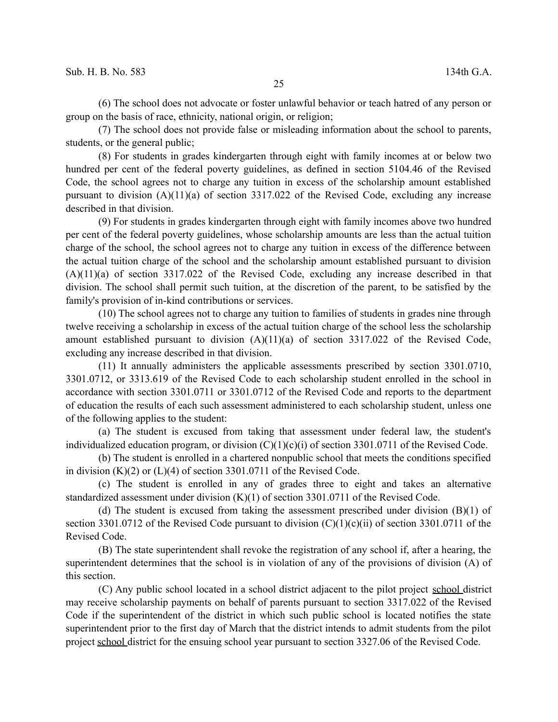(6) The school does not advocate or foster unlawful behavior or teach hatred of any person or group on the basis of race, ethnicity, national origin, or religion;

(7) The school does not provide false or misleading information about the school to parents, students, or the general public;

(8) For students in grades kindergarten through eight with family incomes at or below two hundred per cent of the federal poverty guidelines, as defined in section 5104.46 of the Revised Code, the school agrees not to charge any tuition in excess of the scholarship amount established pursuant to division (A)(11)(a) of section 3317.022 of the Revised Code, excluding any increase described in that division.

(9) For students in grades kindergarten through eight with family incomes above two hundred per cent of the federal poverty guidelines, whose scholarship amounts are less than the actual tuition charge of the school, the school agrees not to charge any tuition in excess of the difference between the actual tuition charge of the school and the scholarship amount established pursuant to division (A)(11)(a) of section 3317.022 of the Revised Code, excluding any increase described in that division. The school shall permit such tuition, at the discretion of the parent, to be satisfied by the family's provision of in-kind contributions or services.

(10) The school agrees not to charge any tuition to families of students in grades nine through twelve receiving a scholarship in excess of the actual tuition charge of the school less the scholarship amount established pursuant to division (A)(11)(a) of section 3317.022 of the Revised Code, excluding any increase described in that division.

(11) It annually administers the applicable assessments prescribed by section 3301.0710, 3301.0712, or 3313.619 of the Revised Code to each scholarship student enrolled in the school in accordance with section 3301.0711 or 3301.0712 of the Revised Code and reports to the department of education the results of each such assessment administered to each scholarship student, unless one of the following applies to the student:

(a) The student is excused from taking that assessment under federal law, the student's individualized education program, or division (C)(1)(c)(i) of section 3301.0711 of the Revised Code.

(b) The student is enrolled in a chartered nonpublic school that meets the conditions specified in division  $(K)(2)$  or  $(L)(4)$  of section 3301.0711 of the Revised Code.

(c) The student is enrolled in any of grades three to eight and takes an alternative standardized assessment under division (K)(1) of section 3301.0711 of the Revised Code.

(d) The student is excused from taking the assessment prescribed under division  $(B)(1)$  of section 3301.0712 of the Revised Code pursuant to division  $(C)(1)(c)(ii)$  of section 3301.0711 of the Revised Code.

(B) The state superintendent shall revoke the registration of any school if, after a hearing, the superintendent determines that the school is in violation of any of the provisions of division (A) of this section.

(C) Any public school located in a school district adjacent to the pilot project school district may receive scholarship payments on behalf of parents pursuant to section 3317.022 of the Revised Code if the superintendent of the district in which such public school is located notifies the state superintendent prior to the first day of March that the district intends to admit students from the pilot project school district for the ensuing school year pursuant to section 3327.06 of the Revised Code.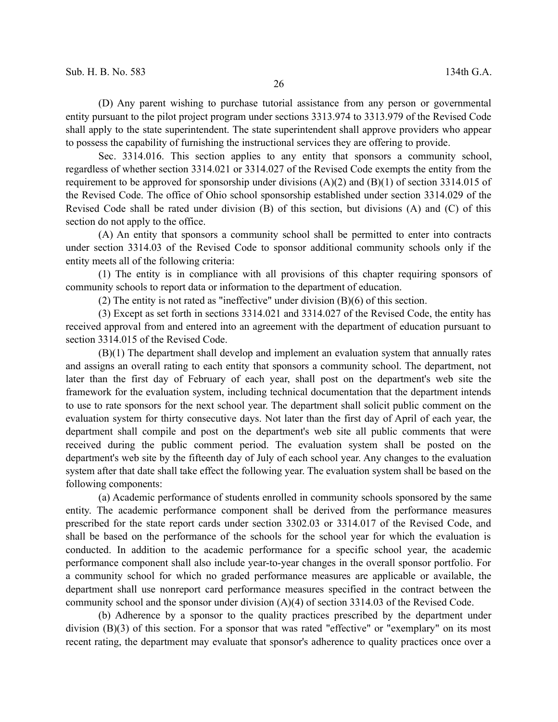(D) Any parent wishing to purchase tutorial assistance from any person or governmental entity pursuant to the pilot project program under sections 3313.974 to 3313.979 of the Revised Code shall apply to the state superintendent. The state superintendent shall approve providers who appear to possess the capability of furnishing the instructional services they are offering to provide.

Sec. 3314.016. This section applies to any entity that sponsors a community school, regardless of whether section 3314.021 or 3314.027 of the Revised Code exempts the entity from the requirement to be approved for sponsorship under divisions  $(A)(2)$  and  $(B)(1)$  of section 3314.015 of the Revised Code. The office of Ohio school sponsorship established under section 3314.029 of the Revised Code shall be rated under division (B) of this section, but divisions (A) and (C) of this section do not apply to the office.

(A) An entity that sponsors a community school shall be permitted to enter into contracts under section 3314.03 of the Revised Code to sponsor additional community schools only if the entity meets all of the following criteria:

(1) The entity is in compliance with all provisions of this chapter requiring sponsors of community schools to report data or information to the department of education.

(2) The entity is not rated as "ineffective" under division (B)(6) of this section.

(3) Except as set forth in sections 3314.021 and 3314.027 of the Revised Code, the entity has received approval from and entered into an agreement with the department of education pursuant to section 3314.015 of the Revised Code.

(B)(1) The department shall develop and implement an evaluation system that annually rates and assigns an overall rating to each entity that sponsors a community school. The department, not later than the first day of February of each year, shall post on the department's web site the framework for the evaluation system, including technical documentation that the department intends to use to rate sponsors for the next school year. The department shall solicit public comment on the evaluation system for thirty consecutive days. Not later than the first day of April of each year, the department shall compile and post on the department's web site all public comments that were received during the public comment period. The evaluation system shall be posted on the department's web site by the fifteenth day of July of each school year. Any changes to the evaluation system after that date shall take effect the following year. The evaluation system shall be based on the following components:

(a) Academic performance of students enrolled in community schools sponsored by the same entity. The academic performance component shall be derived from the performance measures prescribed for the state report cards under section 3302.03 or 3314.017 of the Revised Code, and shall be based on the performance of the schools for the school year for which the evaluation is conducted. In addition to the academic performance for a specific school year, the academic performance component shall also include year-to-year changes in the overall sponsor portfolio. For a community school for which no graded performance measures are applicable or available, the department shall use nonreport card performance measures specified in the contract between the community school and the sponsor under division (A)(4) of section 3314.03 of the Revised Code.

(b) Adherence by a sponsor to the quality practices prescribed by the department under division (B)(3) of this section. For a sponsor that was rated "effective" or "exemplary" on its most recent rating, the department may evaluate that sponsor's adherence to quality practices once over a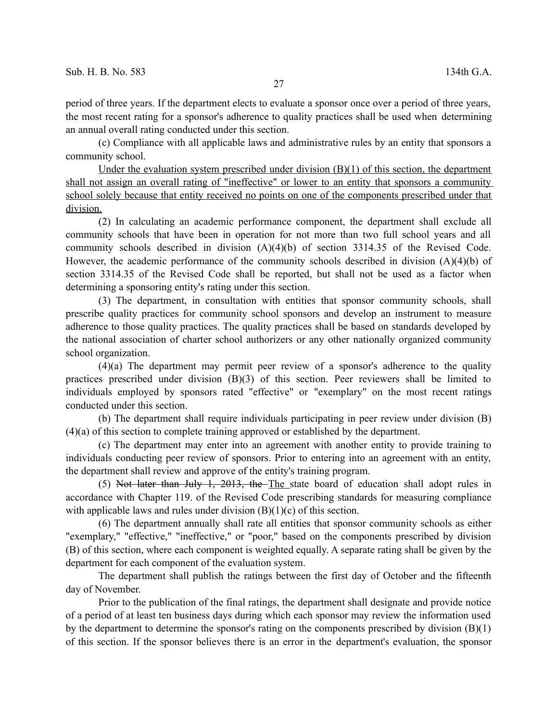period of three years. If the department elects to evaluate a sponsor once over a period of three years, the most recent rating for a sponsor's adherence to quality practices shall be used when determining an annual overall rating conducted under this section.

(c) Compliance with all applicable laws and administrative rules by an entity that sponsors a community school.

Under the evaluation system prescribed under division (B)(1) of this section, the department shall not assign an overall rating of "ineffective" or lower to an entity that sponsors a community school solely because that entity received no points on one of the components prescribed under that division.

(2) In calculating an academic performance component, the department shall exclude all community schools that have been in operation for not more than two full school years and all community schools described in division (A)(4)(b) of section 3314.35 of the Revised Code. However, the academic performance of the community schools described in division  $(A)(4)(b)$  of section 3314.35 of the Revised Code shall be reported, but shall not be used as a factor when determining a sponsoring entity's rating under this section.

(3) The department, in consultation with entities that sponsor community schools, shall prescribe quality practices for community school sponsors and develop an instrument to measure adherence to those quality practices. The quality practices shall be based on standards developed by the national association of charter school authorizers or any other nationally organized community school organization.

(4)(a) The department may permit peer review of a sponsor's adherence to the quality practices prescribed under division (B)(3) of this section. Peer reviewers shall be limited to individuals employed by sponsors rated "effective" or "exemplary" on the most recent ratings conducted under this section.

(b) The department shall require individuals participating in peer review under division (B) (4)(a) of this section to complete training approved or established by the department.

(c) The department may enter into an agreement with another entity to provide training to individuals conducting peer review of sponsors. Prior to entering into an agreement with an entity, the department shall review and approve of the entity's training program.

(5) Not later than July 1, 2013, the The state board of education shall adopt rules in accordance with Chapter 119. of the Revised Code prescribing standards for measuring compliance with applicable laws and rules under division  $(B)(1)(c)$  of this section.

(6) The department annually shall rate all entities that sponsor community schools as either "exemplary," "effective," "ineffective," or "poor," based on the components prescribed by division (B) of this section, where each component is weighted equally. A separate rating shall be given by the department for each component of the evaluation system.

The department shall publish the ratings between the first day of October and the fifteenth day of November.

Prior to the publication of the final ratings, the department shall designate and provide notice of a period of at least ten business days during which each sponsor may review the information used by the department to determine the sponsor's rating on the components prescribed by division (B)(1) of this section. If the sponsor believes there is an error in the department's evaluation, the sponsor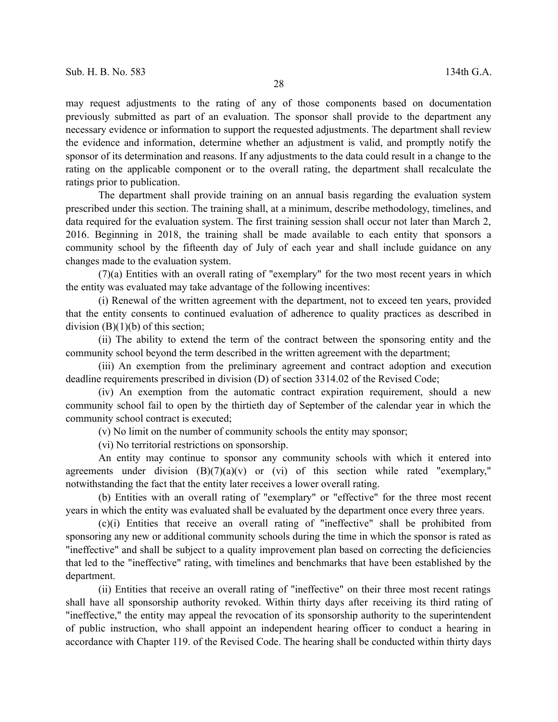may request adjustments to the rating of any of those components based on documentation previously submitted as part of an evaluation. The sponsor shall provide to the department any necessary evidence or information to support the requested adjustments. The department shall review the evidence and information, determine whether an adjustment is valid, and promptly notify the sponsor of its determination and reasons. If any adjustments to the data could result in a change to the rating on the applicable component or to the overall rating, the department shall recalculate the ratings prior to publication.

The department shall provide training on an annual basis regarding the evaluation system prescribed under this section. The training shall, at a minimum, describe methodology, timelines, and data required for the evaluation system. The first training session shall occur not later than March 2, 2016. Beginning in 2018, the training shall be made available to each entity that sponsors a community school by the fifteenth day of July of each year and shall include guidance on any changes made to the evaluation system.

(7)(a) Entities with an overall rating of "exemplary" for the two most recent years in which the entity was evaluated may take advantage of the following incentives:

(i) Renewal of the written agreement with the department, not to exceed ten years, provided that the entity consents to continued evaluation of adherence to quality practices as described in division  $(B)(1)(b)$  of this section;

(ii) The ability to extend the term of the contract between the sponsoring entity and the community school beyond the term described in the written agreement with the department;

(iii) An exemption from the preliminary agreement and contract adoption and execution deadline requirements prescribed in division (D) of section 3314.02 of the Revised Code;

(iv) An exemption from the automatic contract expiration requirement, should a new community school fail to open by the thirtieth day of September of the calendar year in which the community school contract is executed;

(v) No limit on the number of community schools the entity may sponsor;

(vi) No territorial restrictions on sponsorship.

An entity may continue to sponsor any community schools with which it entered into agreements under division  $(B)(7)(a)(v)$  or (vi) of this section while rated "exemplary," notwithstanding the fact that the entity later receives a lower overall rating.

(b) Entities with an overall rating of "exemplary" or "effective" for the three most recent years in which the entity was evaluated shall be evaluated by the department once every three years.

(c)(i) Entities that receive an overall rating of "ineffective" shall be prohibited from sponsoring any new or additional community schools during the time in which the sponsor is rated as "ineffective" and shall be subject to a quality improvement plan based on correcting the deficiencies that led to the "ineffective" rating, with timelines and benchmarks that have been established by the department.

(ii) Entities that receive an overall rating of "ineffective" on their three most recent ratings shall have all sponsorship authority revoked. Within thirty days after receiving its third rating of "ineffective," the entity may appeal the revocation of its sponsorship authority to the superintendent of public instruction, who shall appoint an independent hearing officer to conduct a hearing in accordance with Chapter 119. of the Revised Code. The hearing shall be conducted within thirty days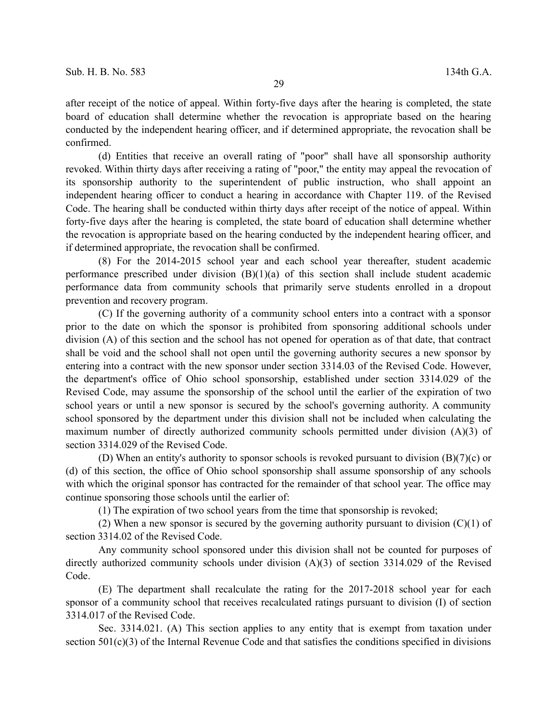after receipt of the notice of appeal. Within forty-five days after the hearing is completed, the state board of education shall determine whether the revocation is appropriate based on the hearing conducted by the independent hearing officer, and if determined appropriate, the revocation shall be confirmed.

(d) Entities that receive an overall rating of "poor" shall have all sponsorship authority revoked. Within thirty days after receiving a rating of "poor," the entity may appeal the revocation of its sponsorship authority to the superintendent of public instruction, who shall appoint an independent hearing officer to conduct a hearing in accordance with Chapter 119. of the Revised Code. The hearing shall be conducted within thirty days after receipt of the notice of appeal. Within forty-five days after the hearing is completed, the state board of education shall determine whether the revocation is appropriate based on the hearing conducted by the independent hearing officer, and if determined appropriate, the revocation shall be confirmed.

(8) For the 2014-2015 school year and each school year thereafter, student academic performance prescribed under division  $(B)(1)(a)$  of this section shall include student academic performance data from community schools that primarily serve students enrolled in a dropout prevention and recovery program.

(C) If the governing authority of a community school enters into a contract with a sponsor prior to the date on which the sponsor is prohibited from sponsoring additional schools under division (A) of this section and the school has not opened for operation as of that date, that contract shall be void and the school shall not open until the governing authority secures a new sponsor by entering into a contract with the new sponsor under section 3314.03 of the Revised Code. However, the department's office of Ohio school sponsorship, established under section 3314.029 of the Revised Code, may assume the sponsorship of the school until the earlier of the expiration of two school years or until a new sponsor is secured by the school's governing authority. A community school sponsored by the department under this division shall not be included when calculating the maximum number of directly authorized community schools permitted under division (A)(3) of section 3314.029 of the Revised Code.

(D) When an entity's authority to sponsor schools is revoked pursuant to division  $(B)(7)(c)$  or (d) of this section, the office of Ohio school sponsorship shall assume sponsorship of any schools with which the original sponsor has contracted for the remainder of that school year. The office may continue sponsoring those schools until the earlier of:

(1) The expiration of two school years from the time that sponsorship is revoked;

(2) When a new sponsor is secured by the governing authority pursuant to division  $(C)(1)$  of section 3314.02 of the Revised Code.

Any community school sponsored under this division shall not be counted for purposes of directly authorized community schools under division (A)(3) of section 3314.029 of the Revised Code.

(E) The department shall recalculate the rating for the 2017-2018 school year for each sponsor of a community school that receives recalculated ratings pursuant to division (I) of section 3314.017 of the Revised Code.

Sec. 3314.021. (A) This section applies to any entity that is exempt from taxation under section 501(c)(3) of the Internal Revenue Code and that satisfies the conditions specified in divisions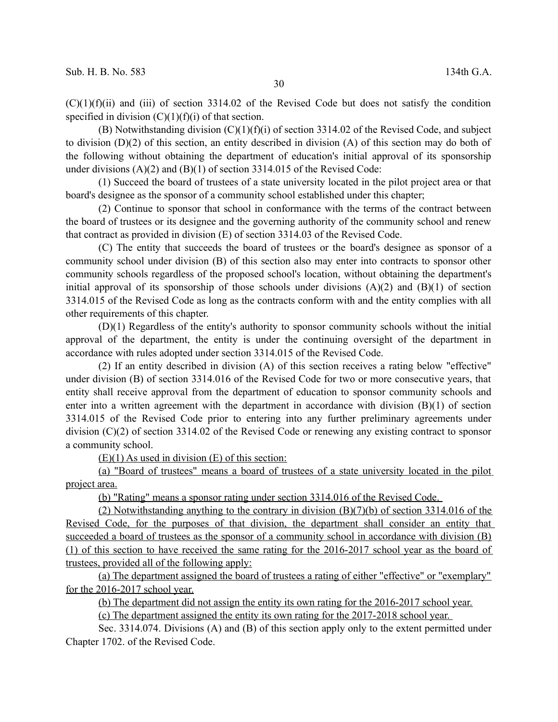$(C)(1)(f)(ii)$  and (iii) of section 3314.02 of the Revised Code but does not satisfy the condition specified in division  $(C)(1)(f)(i)$  of that section.

(B) Notwithstanding division  $(C)(1)(f)(i)$  of section 3314.02 of the Revised Code, and subject to division (D)(2) of this section, an entity described in division (A) of this section may do both of the following without obtaining the department of education's initial approval of its sponsorship under divisions (A)(2) and (B)(1) of section 3314.015 of the Revised Code:

(1) Succeed the board of trustees of a state university located in the pilot project area or that board's designee as the sponsor of a community school established under this chapter;

(2) Continue to sponsor that school in conformance with the terms of the contract between the board of trustees or its designee and the governing authority of the community school and renew that contract as provided in division (E) of section 3314.03 of the Revised Code.

(C) The entity that succeeds the board of trustees or the board's designee as sponsor of a community school under division (B) of this section also may enter into contracts to sponsor other community schools regardless of the proposed school's location, without obtaining the department's initial approval of its sponsorship of those schools under divisions  $(A)(2)$  and  $(B)(1)$  of section 3314.015 of the Revised Code as long as the contracts conform with and the entity complies with all other requirements of this chapter.

(D)(1) Regardless of the entity's authority to sponsor community schools without the initial approval of the department, the entity is under the continuing oversight of the department in accordance with rules adopted under section 3314.015 of the Revised Code.

(2) If an entity described in division (A) of this section receives a rating below "effective" under division (B) of section 3314.016 of the Revised Code for two or more consecutive years, that entity shall receive approval from the department of education to sponsor community schools and enter into a written agreement with the department in accordance with division (B)(1) of section 3314.015 of the Revised Code prior to entering into any further preliminary agreements under division (C)(2) of section 3314.02 of the Revised Code or renewing any existing contract to sponsor a community school.

 $(E)(1)$  As used in division  $(E)$  of this section:

(a) "Board of trustees" means a board of trustees of a state university located in the pilot project area.

(b) "Rating" means a sponsor rating under section 3314.016 of the Revised Code.

 (2) Notwithstanding anything to the contrary in division (B)(7)(b) of section 3314.016 of the Revised Code, for the purposes of that division, the department shall consider an entity that succeeded a board of trustees as the sponsor of a community school in accordance with division (B) (1) of this section to have received the same rating for the 2016-2017 school year as the board of trustees, provided all of the following apply:

(a) The department assigned the board of trustees a rating of either "effective" or "exemplary" for the 2016-2017 school year.

(b) The department did not assign the entity its own rating for the 2016-2017 school year.

(c) The department assigned the entity its own rating for the 2017-2018 school year.

Sec. 3314.074. Divisions (A) and (B) of this section apply only to the extent permitted under Chapter 1702. of the Revised Code.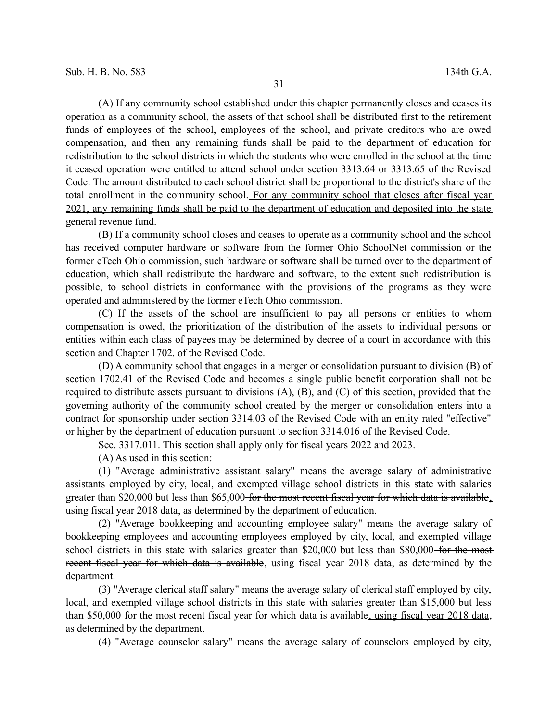(A) If any community school established under this chapter permanently closes and ceases its operation as a community school, the assets of that school shall be distributed first to the retirement funds of employees of the school, employees of the school, and private creditors who are owed compensation, and then any remaining funds shall be paid to the department of education for redistribution to the school districts in which the students who were enrolled in the school at the time it ceased operation were entitled to attend school under section 3313.64 or 3313.65 of the Revised Code. The amount distributed to each school district shall be proportional to the district's share of the total enrollment in the community school. For any community school that closes after fiscal year 2021, any remaining funds shall be paid to the department of education and deposited into the state general revenue fund.

(B) If a community school closes and ceases to operate as a community school and the school has received computer hardware or software from the former Ohio SchoolNet commission or the former eTech Ohio commission, such hardware or software shall be turned over to the department of education, which shall redistribute the hardware and software, to the extent such redistribution is possible, to school districts in conformance with the provisions of the programs as they were operated and administered by the former eTech Ohio commission.

(C) If the assets of the school are insufficient to pay all persons or entities to whom compensation is owed, the prioritization of the distribution of the assets to individual persons or entities within each class of payees may be determined by decree of a court in accordance with this section and Chapter 1702. of the Revised Code.

(D) A community school that engages in a merger or consolidation pursuant to division (B) of section 1702.41 of the Revised Code and becomes a single public benefit corporation shall not be required to distribute assets pursuant to divisions (A), (B), and (C) of this section, provided that the governing authority of the community school created by the merger or consolidation enters into a contract for sponsorship under section 3314.03 of the Revised Code with an entity rated "effective" or higher by the department of education pursuant to section 3314.016 of the Revised Code.

Sec. 3317.011. This section shall apply only for fiscal years 2022 and 2023.

(A) As used in this section:

(1) "Average administrative assistant salary" means the average salary of administrative assistants employed by city, local, and exempted village school districts in this state with salaries greater than \$20,000 but less than \$65,000 for the most recent fiscal year for which data is available. using fiscal year 2018 data, as determined by the department of education.

(2) "Average bookkeeping and accounting employee salary" means the average salary of bookkeeping employees and accounting employees employed by city, local, and exempted village school districts in this state with salaries greater than \$20,000 but less than \$80,000 for the most recent fiscal year for which data is available, using fiscal year 2018 data, as determined by the department.

(3) "Average clerical staff salary" means the average salary of clerical staff employed by city, local, and exempted village school districts in this state with salaries greater than \$15,000 but less than \$50,000 for the most recent fiscal year for which data is available, using fiscal year 2018 data, as determined by the department.

(4) "Average counselor salary" means the average salary of counselors employed by city,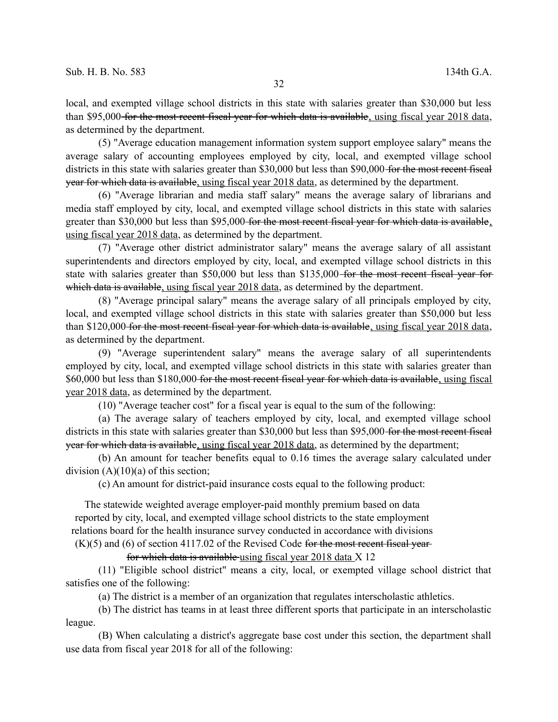local, and exempted village school districts in this state with salaries greater than \$30,000 but less than \$95,000 for the most recent fiscal year for which data is available, using fiscal year 2018 data, as determined by the department.

(5) "Average education management information system support employee salary" means the average salary of accounting employees employed by city, local, and exempted village school districts in this state with salaries greater than \$30,000 but less than \$90,000 for the most recent fiscal year for which data is available, using fiscal year 2018 data, as determined by the department.

(6) "Average librarian and media staff salary" means the average salary of librarians and media staff employed by city, local, and exempted village school districts in this state with salaries greater than \$30,000 but less than \$95,000 for the most recent fiscal year for which data is available, using fiscal year 2018 data, as determined by the department.

(7) "Average other district administrator salary" means the average salary of all assistant superintendents and directors employed by city, local, and exempted village school districts in this state with salaries greater than \$50,000 but less than \$135,000-for the most recent fiscal year forwhich data is available, using fiscal year 2018 data, as determined by the department.

(8) "Average principal salary" means the average salary of all principals employed by city, local, and exempted village school districts in this state with salaries greater than \$50,000 but less than \$120,000 for the most recent fiscal year for which data is available, using fiscal year 2018 data, as determined by the department.

(9) "Average superintendent salary" means the average salary of all superintendents employed by city, local, and exempted village school districts in this state with salaries greater than \$60,000 but less than \$180,000 for the most recent fiscal year for which data is available, using fiscal year 2018 data, as determined by the department.

(10) "Average teacher cost" for a fiscal year is equal to the sum of the following:

(a) The average salary of teachers employed by city, local, and exempted village school districts in this state with salaries greater than \$30,000 but less than \$95,000 for the most recent fiscal year for which data is available, using fiscal year 2018 data, as determined by the department;

(b) An amount for teacher benefits equal to 0.16 times the average salary calculated under division  $(A)(10)(a)$  of this section;

(c) An amount for district-paid insurance costs equal to the following product:

The statewide weighted average employer-paid monthly premium based on data reported by city, local, and exempted village school districts to the state employment relations board for the health insurance survey conducted in accordance with divisions  $(K)(5)$  and  $(6)$  of section 4117.02 of the Revised Code for the most recent fiscal year-

for which data is available using fiscal year 2018 data X 12

(11) "Eligible school district" means a city, local, or exempted village school district that satisfies one of the following:

(a) The district is a member of an organization that regulates interscholastic athletics.

(b) The district has teams in at least three different sports that participate in an interscholastic league.

(B) When calculating a district's aggregate base cost under this section, the department shall use data from fiscal year 2018 for all of the following: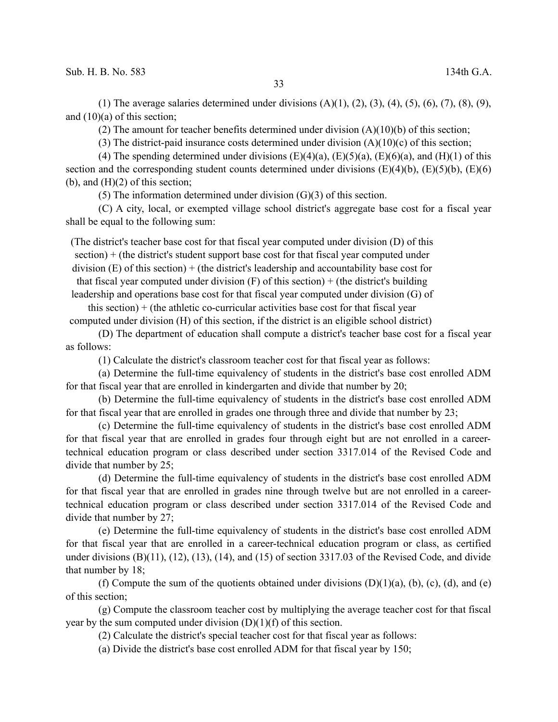(1) The average salaries determined under divisions  $(A)(1), (2), (3), (4), (5), (6), (7), (8), (9),$ and (10)(a) of this section;

(2) The amount for teacher benefits determined under division (A)(10)(b) of this section;

(3) The district-paid insurance costs determined under division (A)(10)(c) of this section;

(4) The spending determined under divisions  $(E)(4)(a)$ ,  $(E)(5)(a)$ ,  $(E)(6)(a)$ , and  $(H)(1)$  of this section and the corresponding student counts determined under divisions  $(E)(4)(b)$ ,  $(E)(5)(b)$ ,  $(E)(6)$ (b), and  $(H)(2)$  of this section;

(5) The information determined under division  $(G)(3)$  of this section.

(C) A city, local, or exempted village school district's aggregate base cost for a fiscal year shall be equal to the following sum:

(The district's teacher base cost for that fiscal year computed under division (D) of this section) + (the district's student support base cost for that fiscal year computed under division  $(E)$  of this section) + (the district's leadership and accountability base cost for that fiscal year computed under division  $(F)$  of this section) + (the district's building leadership and operations base cost for that fiscal year computed under division (G) of

this section)  $+$  (the athletic co-curricular activities base cost for that fiscal year computed under division (H) of this section, if the district is an eligible school district)

(D) The department of education shall compute a district's teacher base cost for a fiscal year as follows:

(1) Calculate the district's classroom teacher cost for that fiscal year as follows:

(a) Determine the full-time equivalency of students in the district's base cost enrolled ADM for that fiscal year that are enrolled in kindergarten and divide that number by 20;

(b) Determine the full-time equivalency of students in the district's base cost enrolled ADM for that fiscal year that are enrolled in grades one through three and divide that number by 23;

(c) Determine the full-time equivalency of students in the district's base cost enrolled ADM for that fiscal year that are enrolled in grades four through eight but are not enrolled in a careertechnical education program or class described under section 3317.014 of the Revised Code and divide that number by 25;

(d) Determine the full-time equivalency of students in the district's base cost enrolled ADM for that fiscal year that are enrolled in grades nine through twelve but are not enrolled in a careertechnical education program or class described under section 3317.014 of the Revised Code and divide that number by 27;

(e) Determine the full-time equivalency of students in the district's base cost enrolled ADM for that fiscal year that are enrolled in a career-technical education program or class, as certified under divisions (B)(11), (12), (13), (14), and (15) of section 3317.03 of the Revised Code, and divide that number by 18;

(f) Compute the sum of the quotients obtained under divisions  $(D)(1)(a)$ ,  $(b)$ ,  $(c)$ ,  $(d)$ , and  $(e)$ of this section;

(g) Compute the classroom teacher cost by multiplying the average teacher cost for that fiscal year by the sum computed under division  $(D)(1)(f)$  of this section.

(2) Calculate the district's special teacher cost for that fiscal year as follows:

(a) Divide the district's base cost enrolled ADM for that fiscal year by 150;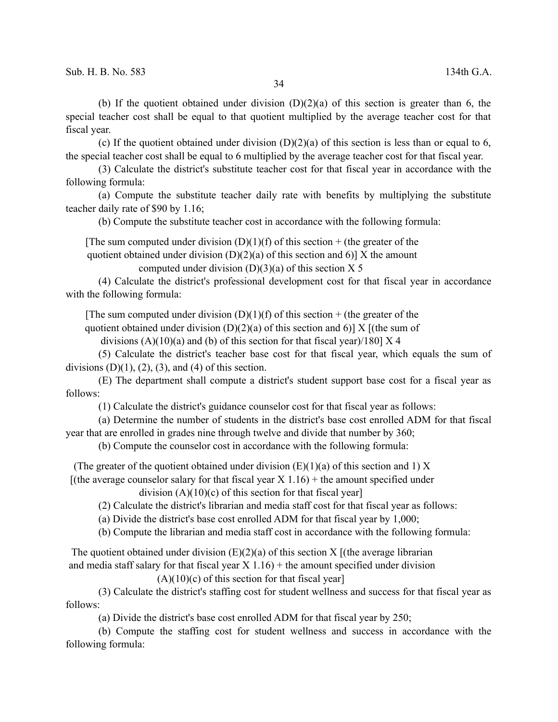(b) If the quotient obtained under division  $(D)(2)(a)$  of this section is greater than 6, the special teacher cost shall be equal to that quotient multiplied by the average teacher cost for that fiscal year.

(c) If the quotient obtained under division  $(D)(2)(a)$  of this section is less than or equal to 6, the special teacher cost shall be equal to 6 multiplied by the average teacher cost for that fiscal year.

(3) Calculate the district's substitute teacher cost for that fiscal year in accordance with the following formula:

(a) Compute the substitute teacher daily rate with benefits by multiplying the substitute teacher daily rate of \$90 by 1.16;

(b) Compute the substitute teacher cost in accordance with the following formula:

[The sum computed under division  $(D)(1)(f)$  of this section + (the greater of the

quotient obtained under division  $(D)(2)(a)$  of this section and 6)] X the amount

computed under division  $(D)(3)(a)$  of this section X 5

(4) Calculate the district's professional development cost for that fiscal year in accordance with the following formula:

[The sum computed under division  $(D)(1)(f)$  of this section + (the greater of the

quotient obtained under division  $(D)(2)(a)$  of this section and 6)] X [(the sum of

divisions  $(A)(10)(a)$  and (b) of this section for that fiscal year)/180] X 4

(5) Calculate the district's teacher base cost for that fiscal year, which equals the sum of divisions  $(D)(1)$ ,  $(2)$ ,  $(3)$ , and  $(4)$  of this section.

(E) The department shall compute a district's student support base cost for a fiscal year as follows:

(1) Calculate the district's guidance counselor cost for that fiscal year as follows:

(a) Determine the number of students in the district's base cost enrolled ADM for that fiscal year that are enrolled in grades nine through twelve and divide that number by 360;

(b) Compute the counselor cost in accordance with the following formula:

(The greater of the quotient obtained under division  $(E)(1)(a)$  of this section and 1) X

[(the average counselor salary for that fiscal year  $X$  1.16) + the amount specified under

division  $(A)(10)(c)$  of this section for that fiscal year]

(2) Calculate the district's librarian and media staff cost for that fiscal year as follows:

(a) Divide the district's base cost enrolled ADM for that fiscal year by 1,000;

(b) Compute the librarian and media staff cost in accordance with the following formula:

The quotient obtained under division  $(E)(2)(a)$  of this section X  $[(the average librarian$ and media staff salary for that fiscal year  $X$  1.16) + the amount specified under division

 $(A)(10)(c)$  of this section for that fiscal year]

(3) Calculate the district's staffing cost for student wellness and success for that fiscal year as follows:

(a) Divide the district's base cost enrolled ADM for that fiscal year by 250;

(b) Compute the staffing cost for student wellness and success in accordance with the following formula: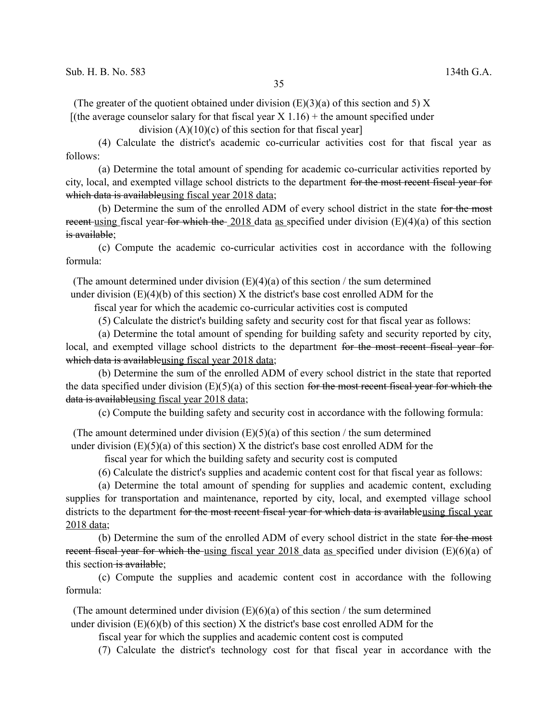(The greater of the quotient obtained under division  $(E)(3)(a)$  of this section and 5) X

 $[(the average conselor salary for that fiscal year X 1.16) + the amount specified under]$ 

division  $(A)(10)(c)$  of this section for that fiscal year]

(4) Calculate the district's academic co-curricular activities cost for that fiscal year as follows:

(a) Determine the total amount of spending for academic co-curricular activities reported by city, local, and exempted village school districts to the department for the most recent fiscal year for which data is availableusing fiscal year 2018 data;

(b) Determine the sum of the enrolled ADM of every school district in the state for the most recent using fiscal year for which the 2018 data as specified under division  $(E)(4)(a)$  of this section is available;

(c) Compute the academic co-curricular activities cost in accordance with the following formula:

(The amount determined under division  $(E)(4)(a)$  of this section / the sum determined under division  $(E)(4)(b)$  of this section) X the district's base cost enrolled ADM for the

fiscal year for which the academic co-curricular activities cost is computed

(5) Calculate the district's building safety and security cost for that fiscal year as follows:

(a) Determine the total amount of spending for building safety and security reported by city, local, and exempted village school districts to the department for the most recent fiscal year forwhich data is availableusing fiscal year 2018 data;

(b) Determine the sum of the enrolled ADM of every school district in the state that reported the data specified under division  $(E)(5)(a)$  of this section for the most recent fiscal year for which the data is availableusing fiscal year 2018 data;

(c) Compute the building safety and security cost in accordance with the following formula:

(The amount determined under division  $(E)(5)(a)$  of this section / the sum determined under division  $(E)(5)(a)$  of this section) X the district's base cost enrolled ADM for the

fiscal year for which the building safety and security cost is computed

(6) Calculate the district's supplies and academic content cost for that fiscal year as follows:

(a) Determine the total amount of spending for supplies and academic content, excluding supplies for transportation and maintenance, reported by city, local, and exempted village school districts to the department for the most recent fiscal year for which data is availableusing fiscal year 2018 data;

(b) Determine the sum of the enrolled ADM of every school district in the state for the most recent fiscal year for which the using fiscal year 2018 data as specified under division (E)(6)(a) of this section is available;

(c) Compute the supplies and academic content cost in accordance with the following formula:

(The amount determined under division  $(E)(6)(a)$  of this section / the sum determined under division  $(E)(6)(b)$  of this section) X the district's base cost enrolled ADM for the

fiscal year for which the supplies and academic content cost is computed

(7) Calculate the district's technology cost for that fiscal year in accordance with the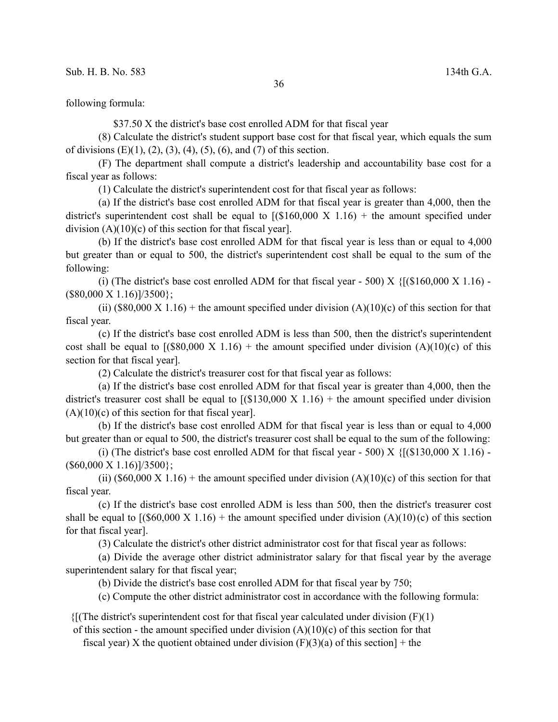following formula:

\$37.50 X the district's base cost enrolled ADM for that fiscal year

(8) Calculate the district's student support base cost for that fiscal year, which equals the sum of divisions  $(E)(1)$ ,  $(2)$ ,  $(3)$ ,  $(4)$ ,  $(5)$ ,  $(6)$ , and  $(7)$  of this section.

(F) The department shall compute a district's leadership and accountability base cost for a fiscal year as follows:

(1) Calculate the district's superintendent cost for that fiscal year as follows:

(a) If the district's base cost enrolled ADM for that fiscal year is greater than 4,000, then the district's superintendent cost shall be equal to  $[(\$160,000 \text{ X } 1.16) + \text{the amount specified under}]$ division  $(A)(10)(c)$  of this section for that fiscal year].

(b) If the district's base cost enrolled ADM for that fiscal year is less than or equal to 4,000 but greater than or equal to 500, the district's superintendent cost shall be equal to the sum of the following:

(i) (The district's base cost enrolled ADM for that fiscal year - 500) X  $\{[(\$160,000 \text{ X } 1.16) ($80,000 \text{ X } 1.16)]/3500$ ;

(ii)  $(\$80,000 X 1.16)$  + the amount specified under division  $(A)(10)(c)$  of this section for that fiscal year.

(c) If the district's base cost enrolled ADM is less than 500, then the district's superintendent cost shall be equal to  $($ (\$80,000 X 1.16) + the amount specified under division  $(A)(10)(c)$  of this section for that fiscal year].

(2) Calculate the district's treasurer cost for that fiscal year as follows:

(a) If the district's base cost enrolled ADM for that fiscal year is greater than 4,000, then the district's treasurer cost shall be equal to  $[(\$130,000 \text{ X } 1.16) + \text{the amount specified under division}]$  $(A)(10)(c)$  of this section for that fiscal year].

(b) If the district's base cost enrolled ADM for that fiscal year is less than or equal to 4,000 but greater than or equal to 500, the district's treasurer cost shall be equal to the sum of the following:

(i) (The district's base cost enrolled ADM for that fiscal year - 500) X  $\{[(\$130,000 \text{ X } 1.16) ($60,000 \text{ X } 1.16)]/3500};$ 

(ii)  $(\$60,000 X 1.16)$  + the amount specified under division  $(A)(10)(c)$  of this section for that fiscal year.

(c) If the district's base cost enrolled ADM is less than 500, then the district's treasurer cost shall be equal to  $($ (\$60,000 X 1.16) + the amount specified under division (A)(10)(c) of this section for that fiscal year].

(3) Calculate the district's other district administrator cost for that fiscal year as follows:

(a) Divide the average other district administrator salary for that fiscal year by the average superintendent salary for that fiscal year;

(b) Divide the district's base cost enrolled ADM for that fiscal year by 750;

(c) Compute the other district administrator cost in accordance with the following formula:

 ${$ [(The district's superintendent cost for that fiscal year calculated under division  $(F)(1)$ )

of this section - the amount specified under division  $(A)(10)(c)$  of this section for that

fiscal year) X the quotient obtained under division  $(F)(3)(a)$  of this section] + the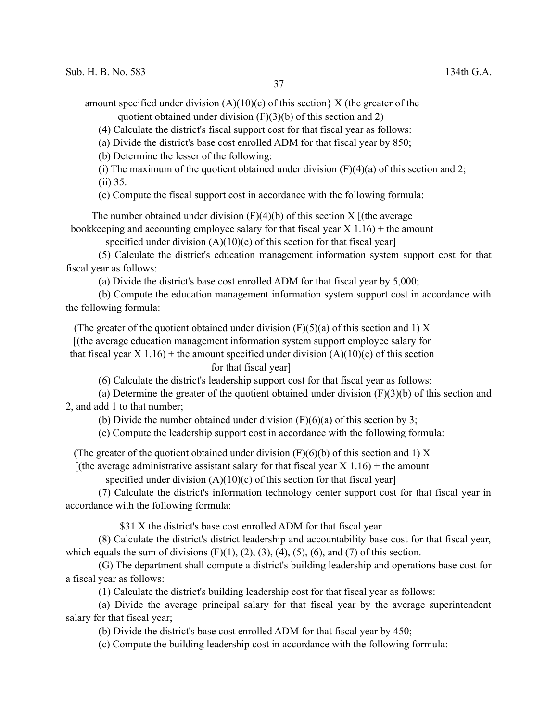amount specified under division  $(A)(10)(c)$  of this section  $X$  (the greater of the quotient obtained under division (F)(3)(b) of this section and 2)

(4) Calculate the district's fiscal support cost for that fiscal year as follows:

(a) Divide the district's base cost enrolled ADM for that fiscal year by 850;

(b) Determine the lesser of the following:

(i) The maximum of the quotient obtained under division  $(F)(4)(a)$  of this section and 2; (ii) 35.

(c) Compute the fiscal support cost in accordance with the following formula:

The number obtained under division  $(F)(4)(b)$  of this section X  $[$  (the average

bookkeeping and accounting employee salary for that fiscal year  $X$  1.16) + the amount

specified under division  $(A)(10)(c)$  of this section for that fiscal year]

(5) Calculate the district's education management information system support cost for that fiscal year as follows:

(a) Divide the district's base cost enrolled ADM for that fiscal year by 5,000;

(b) Compute the education management information system support cost in accordance with the following formula:

(The greater of the quotient obtained under division  $(F)(5)(a)$  of this section and 1) X

[(the average education management information system support employee salary for

that fiscal year X 1.16) + the amount specified under division  $(A)(10)(c)$  of this section

for that fiscal year]

(6) Calculate the district's leadership support cost for that fiscal year as follows:

(a) Determine the greater of the quotient obtained under division  $(F)(3)(b)$  of this section and 2, and add 1 to that number;

(b) Divide the number obtained under division  $(F)(6)(a)$  of this section by 3;

(c) Compute the leadership support cost in accordance with the following formula:

(The greater of the quotient obtained under division  $(F)(6)(b)$  of this section and 1) X

[(the average administrative assistant salary for that fiscal year  $X$  1.16) + the amount

specified under division  $(A)(10)(c)$  of this section for that fiscal year]

(7) Calculate the district's information technology center support cost for that fiscal year in accordance with the following formula:

\$31 X the district's base cost enrolled ADM for that fiscal year

(8) Calculate the district's district leadership and accountability base cost for that fiscal year, which equals the sum of divisions  $(F)(1)$ ,  $(2)$ ,  $(3)$ ,  $(4)$ ,  $(5)$ ,  $(6)$ , and  $(7)$  of this section.

(G) The department shall compute a district's building leadership and operations base cost for a fiscal year as follows:

(1) Calculate the district's building leadership cost for that fiscal year as follows:

(a) Divide the average principal salary for that fiscal year by the average superintendent salary for that fiscal year;

(b) Divide the district's base cost enrolled ADM for that fiscal year by 450;

(c) Compute the building leadership cost in accordance with the following formula: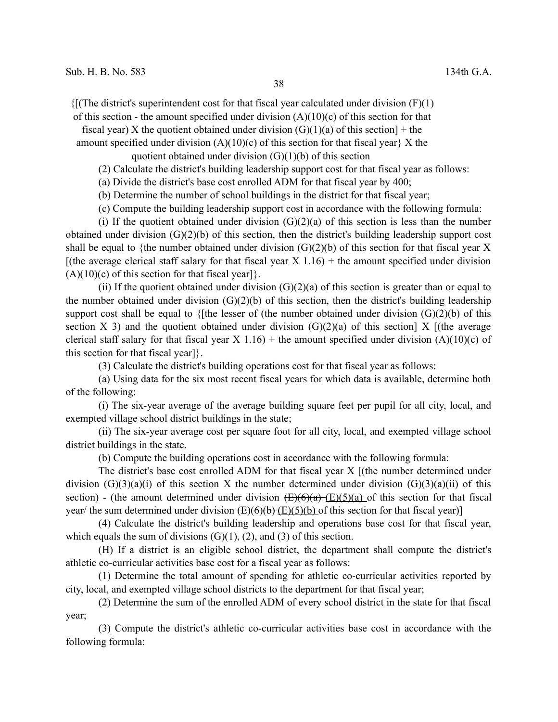$\{f(\text{The district's superintendent cost for that fiscal year calculated under division (F)(1)\}$ 

of this section - the amount specified under division  $(A)(10)(c)$  of this section for that

fiscal year) X the quotient obtained under division  $(G)(1)(a)$  of this section] + the amount specified under division  $(A)(10)(c)$  of this section for that fiscal year  $X$  the

quotient obtained under division  $(G)(1)(b)$  of this section

(2) Calculate the district's building leadership support cost for that fiscal year as follows:

(a) Divide the district's base cost enrolled ADM for that fiscal year by 400;

(b) Determine the number of school buildings in the district for that fiscal year;

(c) Compute the building leadership support cost in accordance with the following formula:

(i) If the quotient obtained under division  $(G)(2)(a)$  of this section is less than the number obtained under division (G)(2)(b) of this section, then the district's building leadership support cost shall be equal to {the number obtained under division  $(G)(2)(b)$  of this section for that fiscal year X [(the average clerical staff salary for that fiscal year  $X$  1.16) + the amount specified under division  $(A)(10)(c)$  of this section for that fiscal year] $\}$ .

(ii) If the quotient obtained under division  $(G)(2)(a)$  of this section is greater than or equal to the number obtained under division  $(G)(2)(b)$  of this section, then the district's building leadership support cost shall be equal to {[the lesser of (the number obtained under division  $(G)(2)(b)$  of this section X 3) and the quotient obtained under division  $(G)(2)(a)$  of this section X  $[(the average$ clerical staff salary for that fiscal year X 1.16) + the amount specified under division  $(A)(10)(c)$  of this section for that fiscal year]}.

(3) Calculate the district's building operations cost for that fiscal year as follows:

(a) Using data for the six most recent fiscal years for which data is available, determine both of the following:

(i) The six-year average of the average building square feet per pupil for all city, local, and exempted village school district buildings in the state;

(ii) The six-year average cost per square foot for all city, local, and exempted village school district buildings in the state.

(b) Compute the building operations cost in accordance with the following formula:

The district's base cost enrolled ADM for that fiscal year X [(the number determined under division  $(G)(3)(a)(i)$  of this section X the number determined under division  $(G)(3)(a)(ii)$  of this section) - (the amount determined under division  $(E)(6)(a)$  (E)(5)(a) of this section for that fiscal year/ the sum determined under division  $(E)(6)(b)$  (E)(5)(b) of this section for that fiscal year)]

(4) Calculate the district's building leadership and operations base cost for that fiscal year, which equals the sum of divisions  $(G)(1)$ ,  $(2)$ , and  $(3)$  of this section.

(H) If a district is an eligible school district, the department shall compute the district's athletic co-curricular activities base cost for a fiscal year as follows:

(1) Determine the total amount of spending for athletic co-curricular activities reported by city, local, and exempted village school districts to the department for that fiscal year;

(2) Determine the sum of the enrolled ADM of every school district in the state for that fiscal year;

(3) Compute the district's athletic co-curricular activities base cost in accordance with the following formula: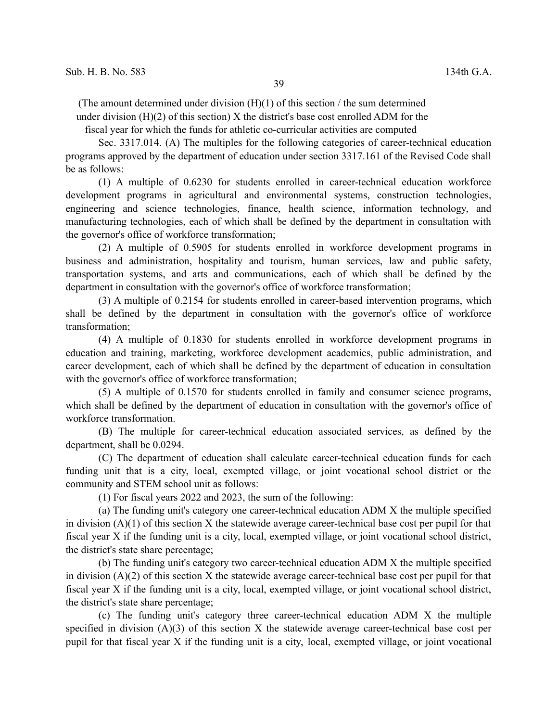(The amount determined under division  $(H)(1)$  of this section / the sum determined under division  $(H)(2)$  of this section) X the district's base cost enrolled ADM for the

fiscal year for which the funds for athletic co-curricular activities are computed

Sec. 3317.014. (A) The multiples for the following categories of career-technical education programs approved by the department of education under section 3317.161 of the Revised Code shall be as follows:

(1) A multiple of 0.6230 for students enrolled in career-technical education workforce development programs in agricultural and environmental systems, construction technologies, engineering and science technologies, finance, health science, information technology, and manufacturing technologies, each of which shall be defined by the department in consultation with the governor's office of workforce transformation;

(2) A multiple of 0.5905 for students enrolled in workforce development programs in business and administration, hospitality and tourism, human services, law and public safety, transportation systems, and arts and communications, each of which shall be defined by the department in consultation with the governor's office of workforce transformation;

(3) A multiple of 0.2154 for students enrolled in career-based intervention programs, which shall be defined by the department in consultation with the governor's office of workforce transformation;

(4) A multiple of 0.1830 for students enrolled in workforce development programs in education and training, marketing, workforce development academics, public administration, and career development, each of which shall be defined by the department of education in consultation with the governor's office of workforce transformation;

(5) A multiple of 0.1570 for students enrolled in family and consumer science programs, which shall be defined by the department of education in consultation with the governor's office of workforce transformation.

(B) The multiple for career-technical education associated services, as defined by the department, shall be 0.0294.

(C) The department of education shall calculate career-technical education funds for each funding unit that is a city, local, exempted village, or joint vocational school district or the community and STEM school unit as follows:

(1) For fiscal years 2022 and 2023, the sum of the following:

(a) The funding unit's category one career-technical education ADM X the multiple specified in division  $(A)(1)$  of this section X the statewide average career-technical base cost per pupil for that fiscal year X if the funding unit is a city, local, exempted village, or joint vocational school district, the district's state share percentage;

(b) The funding unit's category two career-technical education ADM X the multiple specified in division (A)(2) of this section X the statewide average career-technical base cost per pupil for that fiscal year X if the funding unit is a city, local, exempted village, or joint vocational school district, the district's state share percentage;

(c) The funding unit's category three career-technical education ADM X the multiple specified in division (A)(3) of this section X the statewide average career-technical base cost per pupil for that fiscal year X if the funding unit is a city, local, exempted village, or joint vocational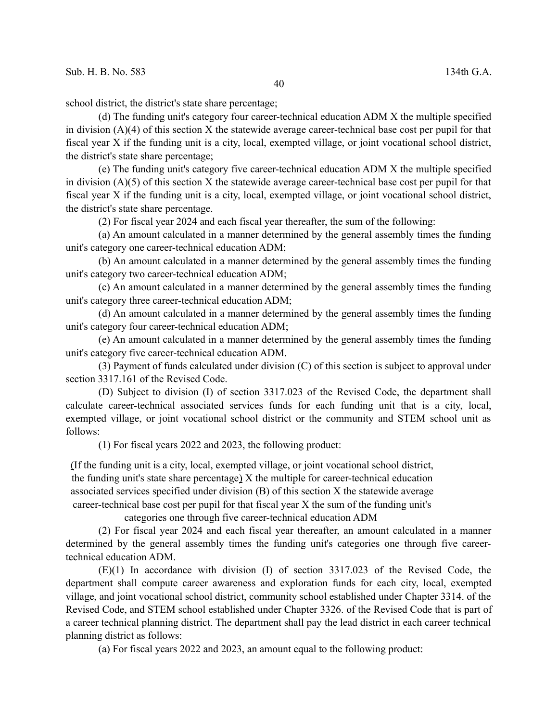school district, the district's state share percentage;

(d) The funding unit's category four career-technical education ADM X the multiple specified in division  $(A)(4)$  of this section X the statewide average career-technical base cost per pupil for that fiscal year X if the funding unit is a city, local, exempted village, or joint vocational school district, the district's state share percentage;

(e) The funding unit's category five career-technical education ADM X the multiple specified in division (A)(5) of this section X the statewide average career-technical base cost per pupil for that fiscal year X if the funding unit is a city, local, exempted village, or joint vocational school district, the district's state share percentage.

(2) For fiscal year 2024 and each fiscal year thereafter, the sum of the following:

(a) An amount calculated in a manner determined by the general assembly times the funding unit's category one career-technical education ADM;

(b) An amount calculated in a manner determined by the general assembly times the funding unit's category two career-technical education ADM;

(c) An amount calculated in a manner determined by the general assembly times the funding unit's category three career-technical education ADM;

(d) An amount calculated in a manner determined by the general assembly times the funding unit's category four career-technical education ADM;

(e) An amount calculated in a manner determined by the general assembly times the funding unit's category five career-technical education ADM.

(3) Payment of funds calculated under division (C) of this section is subject to approval under section 3317.161 of the Revised Code.

(D) Subject to division (I) of section 3317.023 of the Revised Code, the department shall calculate career-technical associated services funds for each funding unit that is a city, local, exempted village, or joint vocational school district or the community and STEM school unit as follows:

(1) For fiscal years 2022 and 2023, the following product:

(If the funding unit is a city, local, exempted village, or joint vocational school district, the funding unit's state share percentage) X the multiple for career-technical education associated services specified under division (B) of this section X the statewide average career-technical base cost per pupil for that fiscal year X the sum of the funding unit's

categories one through five career-technical education ADM

(2) For fiscal year 2024 and each fiscal year thereafter, an amount calculated in a manner determined by the general assembly times the funding unit's categories one through five careertechnical education ADM.

(E)(1) In accordance with division (I) of section 3317.023 of the Revised Code, the department shall compute career awareness and exploration funds for each city, local, exempted village, and joint vocational school district, community school established under Chapter 3314. of the Revised Code, and STEM school established under Chapter 3326. of the Revised Code that is part of a career technical planning district. The department shall pay the lead district in each career technical planning district as follows:

(a) For fiscal years 2022 and 2023, an amount equal to the following product: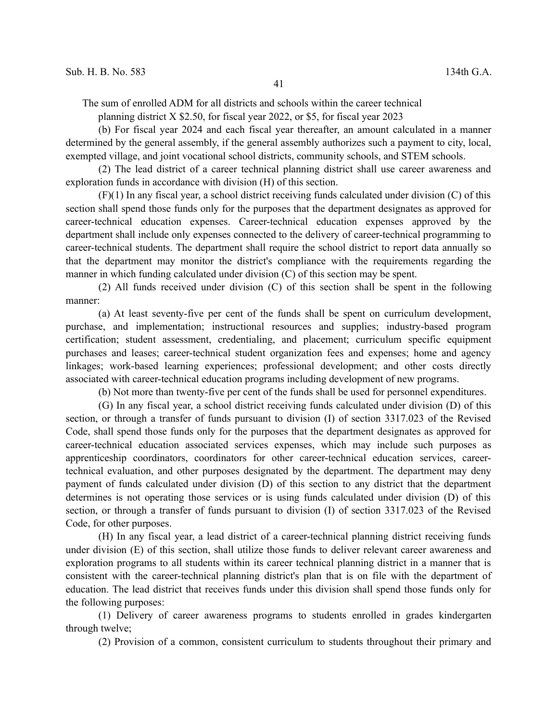The sum of enrolled ADM for all districts and schools within the career technical

planning district X \$2.50, for fiscal year 2022, or \$5, for fiscal year 2023

(b) For fiscal year 2024 and each fiscal year thereafter, an amount calculated in a manner determined by the general assembly, if the general assembly authorizes such a payment to city, local, exempted village, and joint vocational school districts, community schools, and STEM schools.

(2) The lead district of a career technical planning district shall use career awareness and exploration funds in accordance with division (H) of this section.

(F)(1) In any fiscal year, a school district receiving funds calculated under division (C) of this section shall spend those funds only for the purposes that the department designates as approved for career-technical education expenses. Career-technical education expenses approved by the department shall include only expenses connected to the delivery of career-technical programming to career-technical students. The department shall require the school district to report data annually so that the department may monitor the district's compliance with the requirements regarding the manner in which funding calculated under division (C) of this section may be spent.

(2) All funds received under division (C) of this section shall be spent in the following manner:

(a) At least seventy-five per cent of the funds shall be spent on curriculum development, purchase, and implementation; instructional resources and supplies; industry-based program certification; student assessment, credentialing, and placement; curriculum specific equipment purchases and leases; career-technical student organization fees and expenses; home and agency linkages; work-based learning experiences; professional development; and other costs directly associated with career-technical education programs including development of new programs.

(b) Not more than twenty-five per cent of the funds shall be used for personnel expenditures.

(G) In any fiscal year, a school district receiving funds calculated under division (D) of this section, or through a transfer of funds pursuant to division (I) of section 3317.023 of the Revised Code, shall spend those funds only for the purposes that the department designates as approved for career-technical education associated services expenses, which may include such purposes as apprenticeship coordinators, coordinators for other career-technical education services, careertechnical evaluation, and other purposes designated by the department. The department may deny payment of funds calculated under division (D) of this section to any district that the department determines is not operating those services or is using funds calculated under division (D) of this section, or through a transfer of funds pursuant to division (I) of section 3317.023 of the Revised Code, for other purposes.

(H) In any fiscal year, a lead district of a career-technical planning district receiving funds under division (E) of this section, shall utilize those funds to deliver relevant career awareness and exploration programs to all students within its career technical planning district in a manner that is consistent with the career-technical planning district's plan that is on file with the department of education. The lead district that receives funds under this division shall spend those funds only for the following purposes:

(1) Delivery of career awareness programs to students enrolled in grades kindergarten through twelve;

(2) Provision of a common, consistent curriculum to students throughout their primary and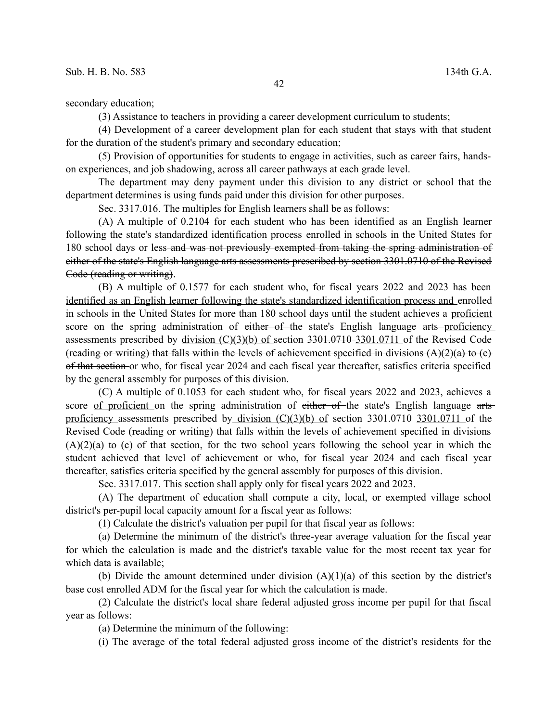secondary education;

(3) Assistance to teachers in providing a career development curriculum to students;

(4) Development of a career development plan for each student that stays with that student for the duration of the student's primary and secondary education;

(5) Provision of opportunities for students to engage in activities, such as career fairs, handson experiences, and job shadowing, across all career pathways at each grade level.

The department may deny payment under this division to any district or school that the department determines is using funds paid under this division for other purposes.

Sec. 3317.016. The multiples for English learners shall be as follows:

(A) A multiple of 0.2104 for each student who has been identified as an English learner following the state's standardized identification process enrolled in schools in the United States for 180 school days or less-and was not previously exempted from taking the spring administration of either of the state's English language arts assessments prescribed by section 3301.0710 of the Revised Code (reading or writing).

(B) A multiple of 0.1577 for each student who, for fiscal years 2022 and 2023 has been identified as an English learner following the state's standardized identification process and enrolled in schools in the United States for more than 180 school days until the student achieves a proficient score on the spring administration of either of the state's English language arts proficiency assessments prescribed by division (C)(3)(b) of section 3301.0710 3301.0711 of the Revised Code (reading or writing) that falls within the levels of achievement specified in divisions  $(A)(2)(a)$  to (e) of that section or who, for fiscal year 2024 and each fiscal year thereafter, satisfies criteria specified by the general assembly for purposes of this division.

(C) A multiple of 0.1053 for each student who, for fiscal years 2022 and 2023, achieves a score of proficient on the spring administration of either of the state's English language artsproficiency assessments prescribed by division  $(C)(3)(b)$  of section 3301.0710–3301.0711 of the Revised Code (reading or writing) that falls within the levels of achievement specified in divisions  $(A)(2)(a)$  to (c) of that section, for the two school years following the school year in which the student achieved that level of achievement or who, for fiscal year 2024 and each fiscal year thereafter, satisfies criteria specified by the general assembly for purposes of this division.

Sec. 3317.017. This section shall apply only for fiscal years 2022 and 2023.

(A) The department of education shall compute a city, local, or exempted village school district's per-pupil local capacity amount for a fiscal year as follows:

(1) Calculate the district's valuation per pupil for that fiscal year as follows:

(a) Determine the minimum of the district's three-year average valuation for the fiscal year for which the calculation is made and the district's taxable value for the most recent tax year for which data is available;

(b) Divide the amount determined under division  $(A)(1)(a)$  of this section by the district's base cost enrolled ADM for the fiscal year for which the calculation is made.

(2) Calculate the district's local share federal adjusted gross income per pupil for that fiscal year as follows:

(a) Determine the minimum of the following:

(i) The average of the total federal adjusted gross income of the district's residents for the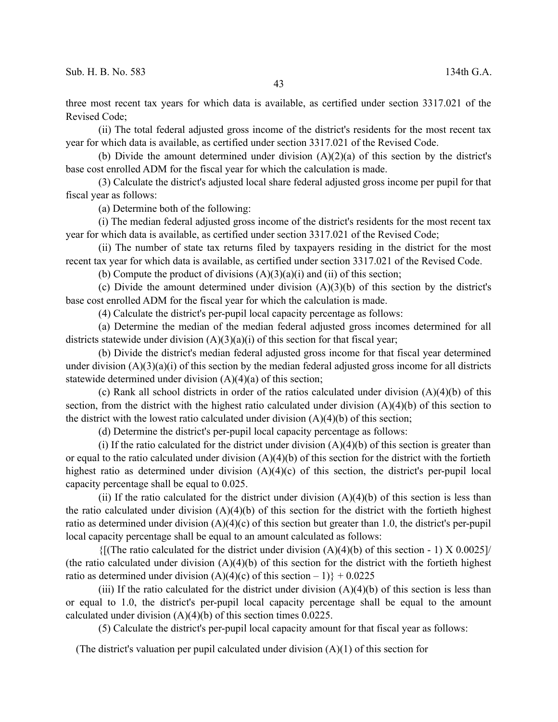three most recent tax years for which data is available, as certified under section 3317.021 of the Revised Code;

(ii) The total federal adjusted gross income of the district's residents for the most recent tax year for which data is available, as certified under section 3317.021 of the Revised Code.

(b) Divide the amount determined under division  $(A)(2)(a)$  of this section by the district's base cost enrolled ADM for the fiscal year for which the calculation is made.

(3) Calculate the district's adjusted local share federal adjusted gross income per pupil for that fiscal year as follows:

(a) Determine both of the following:

(i) The median federal adjusted gross income of the district's residents for the most recent tax year for which data is available, as certified under section 3317.021 of the Revised Code;

(ii) The number of state tax returns filed by taxpayers residing in the district for the most recent tax year for which data is available, as certified under section 3317.021 of the Revised Code.

(b) Compute the product of divisions  $(A)(3)(a)(i)$  and  $(ii)$  of this section;

(c) Divide the amount determined under division  $(A)(3)(b)$  of this section by the district's base cost enrolled ADM for the fiscal year for which the calculation is made.

(4) Calculate the district's per-pupil local capacity percentage as follows:

(a) Determine the median of the median federal adjusted gross incomes determined for all districts statewide under division  $(A)(3)(a)(i)$  of this section for that fiscal year;

(b) Divide the district's median federal adjusted gross income for that fiscal year determined under division  $(A)(3)(a)(i)$  of this section by the median federal adjusted gross income for all districts statewide determined under division (A)(4)(a) of this section;

(c) Rank all school districts in order of the ratios calculated under division  $(A)(4)(b)$  of this section, from the district with the highest ratio calculated under division (A)(4)(b) of this section to the district with the lowest ratio calculated under division  $(A)(4)(b)$  of this section;

(d) Determine the district's per-pupil local capacity percentage as follows:

(i) If the ratio calculated for the district under division  $(A)(4)(b)$  of this section is greater than or equal to the ratio calculated under division  $(A)(4)(b)$  of this section for the district with the fortieth highest ratio as determined under division  $(A)(4)(c)$  of this section, the district's per-pupil local capacity percentage shall be equal to 0.025.

(ii) If the ratio calculated for the district under division  $(A)(4)(b)$  of this section is less than the ratio calculated under division  $(A)(4)(b)$  of this section for the district with the fortieth highest ratio as determined under division  $(A)(4)(c)$  of this section but greater than 1.0, the district's per-pupil local capacity percentage shall be equal to an amount calculated as follows:

 $\{[(The ratio calculated for the district under division (A)(4)(b) of this section - 1) X 0.0025]\}$ (the ratio calculated under division  $(A)(4)(b)$  of this section for the district with the fortieth highest ratio as determined under division  $(A)(4)(c)$  of this section  $-1$ } + 0.0225

(iii) If the ratio calculated for the district under division  $(A)(4)(b)$  of this section is less than or equal to 1.0, the district's per-pupil local capacity percentage shall be equal to the amount calculated under division (A)(4)(b) of this section times 0.0225.

(5) Calculate the district's per-pupil local capacity amount for that fiscal year as follows:

(The district's valuation per pupil calculated under division (A)(1) of this section for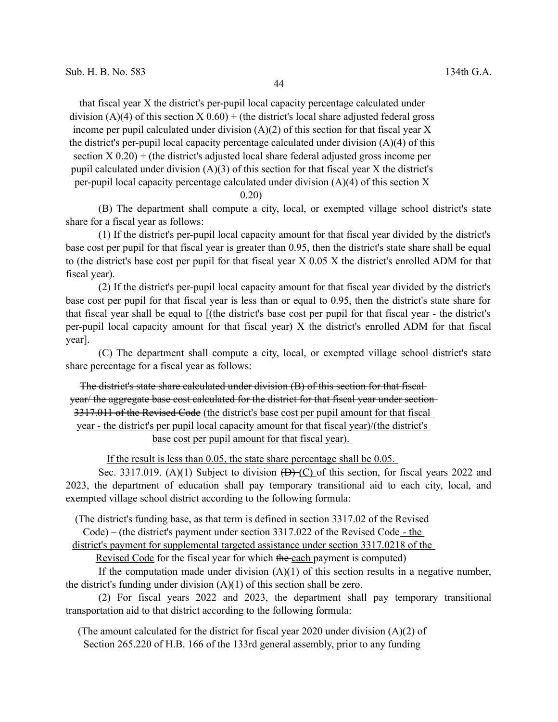44

that fiscal year X the district's per-pupil local capacity percentage calculated under division (A)(4) of this section  $X(0.60) +$  (the district's local share adjusted federal gross income per pupil calculated under division  $(A)(2)$  of this section for that fiscal year X the district's per-pupil local capacity percentage calculated under division (A)(4) of this section  $X(0.20) +$  (the district's adjusted local share federal adjusted gross income per pupil calculated under division (A)(3) of this section for that fiscal year X the district's per-pupil local capacity percentage calculated under division  $(A)(4)$  of this section X

0.20)

(B) The department shall compute a city, local, or exempted village school district's state share for a fiscal year as follows:

(1) If the district's per-pupil local capacity amount for that fiscal year divided by the district's base cost per pupil for that fiscal year is greater than 0.95, then the district's state share shall be equal to (the district's base cost per pupil for that fiscal year X 0.05 X the district's enrolled ADM for that fiscal year).

(2) If the district's per-pupil local capacity amount for that fiscal year divided by the district's base cost per pupil for that fiscal year is less than or equal to 0.95, then the district's state share for that fiscal year shall be equal to [(the district's base cost per pupil for that fiscal year - the district's per-pupil local capacity amount for that fiscal year) X the district's enrolled ADM for that fiscal year].

(C) The department shall compute a city, local, or exempted village school district's state share percentage for a fiscal year as follows:

The district's state share calculated under division (B) of this section for that fiscal year/ the aggregate base cost calculated for the district for that fiscal year under section 3317.011 of the Revised Code (the district's base cost per pupil amount for that fiscal year - the district's per pupil local capacity amount for that fiscal year)/(the district's base cost per pupil amount for that fiscal year).

If the result is less than 0.05, the state share percentage shall be 0.05.

Sec. 3317.019. (A)(1) Subject to division  $(\overline{D}$  (C) of this section, for fiscal years 2022 and 2023, the department of education shall pay temporary transitional aid to each city, local, and exempted village school district according to the following formula:

(The district's funding base, as that term is defined in section 3317.02 of the Revised

Code) – (the district's payment under section 3317.022 of the Revised Code - the

district's payment for supplemental targeted assistance under section 3317.0218 of the

Revised Code for the fiscal year for which the each payment is computed)

If the computation made under division  $(A)(1)$  of this section results in a negative number, the district's funding under division  $(A)(1)$  of this section shall be zero.

(2) For fiscal years 2022 and 2023, the department shall pay temporary transitional transportation aid to that district according to the following formula:

(The amount calculated for the district for fiscal year 2020 under division (A)(2) of Section 265.220 of H.B. 166 of the 133rd general assembly, prior to any funding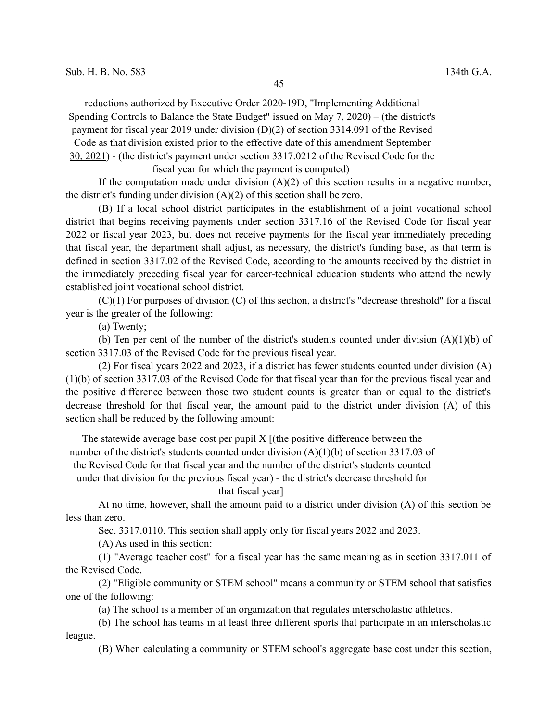reductions authorized by Executive Order 2020-19D, "Implementing Additional

Spending Controls to Balance the State Budget" issued on May 7, 2020) – (the district's

payment for fiscal year 2019 under division (D)(2) of section 3314.091 of the Revised

Code as that division existed prior to the effective date of this amendment September

30, 2021) - (the district's payment under section 3317.0212 of the Revised Code for the

fiscal year for which the payment is computed)

If the computation made under division  $(A)(2)$  of this section results in a negative number, the district's funding under division  $(A)(2)$  of this section shall be zero.

(B) If a local school district participates in the establishment of a joint vocational school district that begins receiving payments under section 3317.16 of the Revised Code for fiscal year 2022 or fiscal year 2023, but does not receive payments for the fiscal year immediately preceding that fiscal year, the department shall adjust, as necessary, the district's funding base, as that term is defined in section 3317.02 of the Revised Code, according to the amounts received by the district in the immediately preceding fiscal year for career-technical education students who attend the newly established joint vocational school district.

(C)(1) For purposes of division (C) of this section, a district's "decrease threshold" for a fiscal year is the greater of the following:

(a) Twenty;

(b) Ten per cent of the number of the district's students counted under division  $(A)(1)(b)$  of section 3317.03 of the Revised Code for the previous fiscal year.

(2) For fiscal years 2022 and 2023, if a district has fewer students counted under division (A) (1)(b) of section 3317.03 of the Revised Code for that fiscal year than for the previous fiscal year and the positive difference between those two student counts is greater than or equal to the district's decrease threshold for that fiscal year, the amount paid to the district under division (A) of this section shall be reduced by the following amount:

The statewide average base cost per pupil X [(the positive difference between the number of the district's students counted under division (A)(1)(b) of section 3317.03 of the Revised Code for that fiscal year and the number of the district's students counted under that division for the previous fiscal year) - the district's decrease threshold for

that fiscal year]

At no time, however, shall the amount paid to a district under division (A) of this section be less than zero.

Sec. 3317.0110. This section shall apply only for fiscal years 2022 and 2023.

(A) As used in this section:

(1) "Average teacher cost" for a fiscal year has the same meaning as in section 3317.011 of the Revised Code.

(2) "Eligible community or STEM school" means a community or STEM school that satisfies one of the following:

(a) The school is a member of an organization that regulates interscholastic athletics.

(b) The school has teams in at least three different sports that participate in an interscholastic league.

(B) When calculating a community or STEM school's aggregate base cost under this section,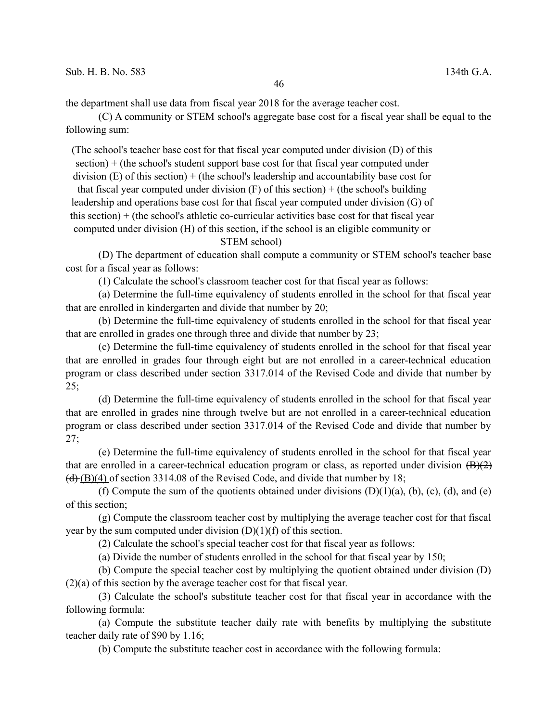the department shall use data from fiscal year 2018 for the average teacher cost.

(C) A community or STEM school's aggregate base cost for a fiscal year shall be equal to the following sum:

(The school's teacher base cost for that fiscal year computed under division (D) of this section) + (the school's student support base cost for that fiscal year computed under division  $(E)$  of this section) + (the school's leadership and accountability base cost for

that fiscal year computed under division  $(F)$  of this section) + (the school's building

leadership and operations base cost for that fiscal year computed under division (G) of

this section) + (the school's athletic co-curricular activities base cost for that fiscal year

computed under division (H) of this section, if the school is an eligible community or

## STEM school)

(D) The department of education shall compute a community or STEM school's teacher base cost for a fiscal year as follows:

(1) Calculate the school's classroom teacher cost for that fiscal year as follows:

(a) Determine the full-time equivalency of students enrolled in the school for that fiscal year that are enrolled in kindergarten and divide that number by 20;

(b) Determine the full-time equivalency of students enrolled in the school for that fiscal year that are enrolled in grades one through three and divide that number by 23;

(c) Determine the full-time equivalency of students enrolled in the school for that fiscal year that are enrolled in grades four through eight but are not enrolled in a career-technical education program or class described under section 3317.014 of the Revised Code and divide that number by 25;

(d) Determine the full-time equivalency of students enrolled in the school for that fiscal year that are enrolled in grades nine through twelve but are not enrolled in a career-technical education program or class described under section 3317.014 of the Revised Code and divide that number by  $27:$ 

(e) Determine the full-time equivalency of students enrolled in the school for that fiscal year that are enrolled in a career-technical education program or class, as reported under division  $(B)(2)$  $(d)$  (B)(4) of section 3314.08 of the Revised Code, and divide that number by 18;

(f) Compute the sum of the quotients obtained under divisions  $(D)(1)(a)$ ,  $(b)$ ,  $(c)$ ,  $(d)$ , and  $(e)$ of this section;

(g) Compute the classroom teacher cost by multiplying the average teacher cost for that fiscal year by the sum computed under division  $(D)(1)(f)$  of this section.

(2) Calculate the school's special teacher cost for that fiscal year as follows:

(a) Divide the number of students enrolled in the school for that fiscal year by 150;

(b) Compute the special teacher cost by multiplying the quotient obtained under division (D) (2)(a) of this section by the average teacher cost for that fiscal year.

(3) Calculate the school's substitute teacher cost for that fiscal year in accordance with the following formula:

(a) Compute the substitute teacher daily rate with benefits by multiplying the substitute teacher daily rate of \$90 by 1.16;

(b) Compute the substitute teacher cost in accordance with the following formula: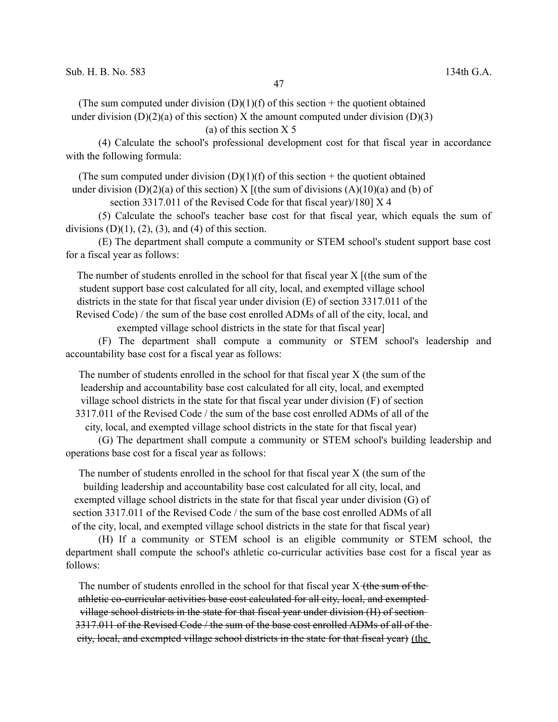(The sum computed under division  $(D)(1)(f)$  of this section + the quotient obtained under division  $(D)(2)(a)$  of this section) X the amount computed under division  $(D)(3)$ 

## (a) of this section X 5

(4) Calculate the school's professional development cost for that fiscal year in accordance with the following formula:

(The sum computed under division  $(D)(1)(f)$  of this section + the quotient obtained

under division (D)(2)(a) of this section) X [(the sum of divisions (A)(10)(a) and (b) of

section 3317.011 of the Revised Code for that fiscal year)/180] X 4

(5) Calculate the school's teacher base cost for that fiscal year, which equals the sum of divisions  $(D)(1)$ ,  $(2)$ ,  $(3)$ , and  $(4)$  of this section.

(E) The department shall compute a community or STEM school's student support base cost for a fiscal year as follows:

The number of students enrolled in the school for that fiscal year X [(the sum of the student support base cost calculated for all city, local, and exempted village school districts in the state for that fiscal year under division (E) of section 3317.011 of the Revised Code) / the sum of the base cost enrolled ADMs of all of the city, local, and

exempted village school districts in the state for that fiscal year]

(F) The department shall compute a community or STEM school's leadership and accountability base cost for a fiscal year as follows:

The number of students enrolled in the school for that fiscal year X (the sum of the leadership and accountability base cost calculated for all city, local, and exempted village school districts in the state for that fiscal year under division (F) of section 3317.011 of the Revised Code / the sum of the base cost enrolled ADMs of all of the

city, local, and exempted village school districts in the state for that fiscal year)

(G) The department shall compute a community or STEM school's building leadership and operations base cost for a fiscal year as follows:

The number of students enrolled in the school for that fiscal year X (the sum of the building leadership and accountability base cost calculated for all city, local, and exempted village school districts in the state for that fiscal year under division (G) of section 3317.011 of the Revised Code / the sum of the base cost enrolled ADMs of all of the city, local, and exempted village school districts in the state for that fiscal year)

(H) If a community or STEM school is an eligible community or STEM school, the department shall compute the school's athletic co-curricular activities base cost for a fiscal year as follows:

The number of students enrolled in the school for that fiscal year X (the sum of the athletic co-curricular activities base cost calculated for all city, local, and exempted village school districts in the state for that fiscal year under division (H) of section 3317.011 of the Revised Code / the sum of the base cost enrolled ADMs of all of the city, local, and exempted village school districts in the state for that fiscal year) (the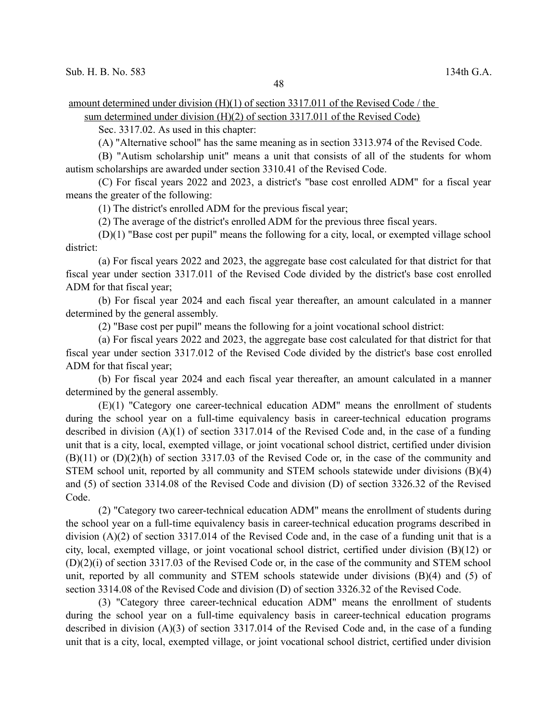amount determined under division (H)(1) of section 3317.011 of the Revised Code / the

sum determined under division (H)(2) of section 3317.011 of the Revised Code)

Sec. 3317.02. As used in this chapter:

(A) "Alternative school" has the same meaning as in section 3313.974 of the Revised Code.

(B) "Autism scholarship unit" means a unit that consists of all of the students for whom autism scholarships are awarded under section 3310.41 of the Revised Code.

(C) For fiscal years 2022 and 2023, a district's "base cost enrolled ADM" for a fiscal year means the greater of the following:

(1) The district's enrolled ADM for the previous fiscal year;

(2) The average of the district's enrolled ADM for the previous three fiscal years.

(D)(1) "Base cost per pupil" means the following for a city, local, or exempted village school district:

(a) For fiscal years 2022 and 2023, the aggregate base cost calculated for that district for that fiscal year under section 3317.011 of the Revised Code divided by the district's base cost enrolled ADM for that fiscal year;

(b) For fiscal year 2024 and each fiscal year thereafter, an amount calculated in a manner determined by the general assembly.

(2) "Base cost per pupil" means the following for a joint vocational school district:

(a) For fiscal years 2022 and 2023, the aggregate base cost calculated for that district for that fiscal year under section 3317.012 of the Revised Code divided by the district's base cost enrolled ADM for that fiscal year;

(b) For fiscal year 2024 and each fiscal year thereafter, an amount calculated in a manner determined by the general assembly.

(E)(1) "Category one career-technical education ADM" means the enrollment of students during the school year on a full-time equivalency basis in career-technical education programs described in division (A)(1) of section 3317.014 of the Revised Code and, in the case of a funding unit that is a city, local, exempted village, or joint vocational school district, certified under division (B)(11) or (D)(2)(h) of section 3317.03 of the Revised Code or, in the case of the community and STEM school unit, reported by all community and STEM schools statewide under divisions (B)(4) and (5) of section 3314.08 of the Revised Code and division (D) of section 3326.32 of the Revised Code.

(2) "Category two career-technical education ADM" means the enrollment of students during the school year on a full-time equivalency basis in career-technical education programs described in division (A)(2) of section 3317.014 of the Revised Code and, in the case of a funding unit that is a city, local, exempted village, or joint vocational school district, certified under division (B)(12) or (D)(2)(i) of section 3317.03 of the Revised Code or, in the case of the community and STEM school unit, reported by all community and STEM schools statewide under divisions (B)(4) and (5) of section 3314.08 of the Revised Code and division (D) of section 3326.32 of the Revised Code.

(3) "Category three career-technical education ADM" means the enrollment of students during the school year on a full-time equivalency basis in career-technical education programs described in division (A)(3) of section 3317.014 of the Revised Code and, in the case of a funding unit that is a city, local, exempted village, or joint vocational school district, certified under division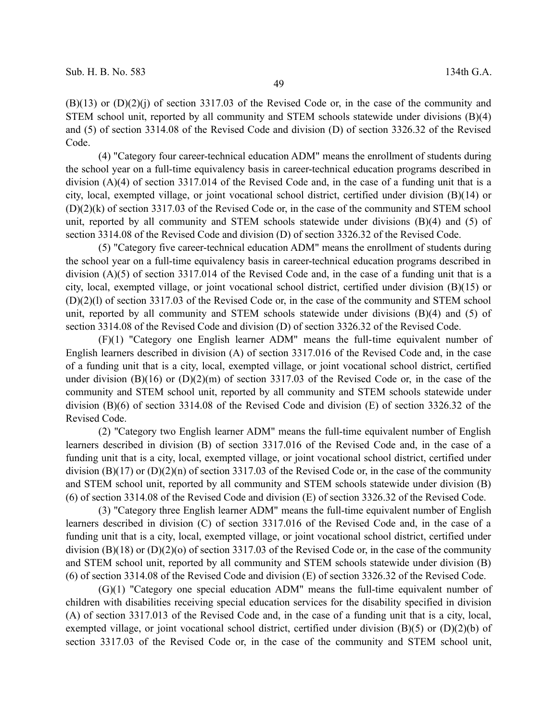$(B)(13)$  or  $(D)(2)(i)$  of section 3317.03 of the Revised Code or, in the case of the community and STEM school unit, reported by all community and STEM schools statewide under divisions (B)(4) and (5) of section 3314.08 of the Revised Code and division (D) of section 3326.32 of the Revised Code.

(4) "Category four career-technical education ADM" means the enrollment of students during the school year on a full-time equivalency basis in career-technical education programs described in division (A)(4) of section 3317.014 of the Revised Code and, in the case of a funding unit that is a city, local, exempted village, or joint vocational school district, certified under division (B)(14) or (D)(2)(k) of section 3317.03 of the Revised Code or, in the case of the community and STEM school unit, reported by all community and STEM schools statewide under divisions (B)(4) and (5) of section 3314.08 of the Revised Code and division (D) of section 3326.32 of the Revised Code.

(5) "Category five career-technical education ADM" means the enrollment of students during the school year on a full-time equivalency basis in career-technical education programs described in division (A)(5) of section 3317.014 of the Revised Code and, in the case of a funding unit that is a city, local, exempted village, or joint vocational school district, certified under division (B)(15) or (D)(2)(l) of section 3317.03 of the Revised Code or, in the case of the community and STEM school unit, reported by all community and STEM schools statewide under divisions (B)(4) and (5) of section 3314.08 of the Revised Code and division (D) of section 3326.32 of the Revised Code.

(F)(1) "Category one English learner ADM" means the full-time equivalent number of English learners described in division (A) of section 3317.016 of the Revised Code and, in the case of a funding unit that is a city, local, exempted village, or joint vocational school district, certified under division (B)(16) or  $(D)(2)(m)$  of section 3317.03 of the Revised Code or, in the case of the community and STEM school unit, reported by all community and STEM schools statewide under division (B)(6) of section 3314.08 of the Revised Code and division (E) of section 3326.32 of the Revised Code.

(2) "Category two English learner ADM" means the full-time equivalent number of English learners described in division (B) of section 3317.016 of the Revised Code and, in the case of a funding unit that is a city, local, exempted village, or joint vocational school district, certified under division (B)(17) or (D)(2)(n) of section 3317.03 of the Revised Code or, in the case of the community and STEM school unit, reported by all community and STEM schools statewide under division (B) (6) of section 3314.08 of the Revised Code and division (E) of section 3326.32 of the Revised Code.

(3) "Category three English learner ADM" means the full-time equivalent number of English learners described in division (C) of section 3317.016 of the Revised Code and, in the case of a funding unit that is a city, local, exempted village, or joint vocational school district, certified under division (B)(18) or (D)(2)(o) of section 3317.03 of the Revised Code or, in the case of the community and STEM school unit, reported by all community and STEM schools statewide under division (B) (6) of section 3314.08 of the Revised Code and division (E) of section 3326.32 of the Revised Code.

(G)(1) "Category one special education ADM" means the full-time equivalent number of children with disabilities receiving special education services for the disability specified in division (A) of section 3317.013 of the Revised Code and, in the case of a funding unit that is a city, local, exempted village, or joint vocational school district, certified under division  $(B)(5)$  or  $(D)(2)(b)$  of section 3317.03 of the Revised Code or, in the case of the community and STEM school unit,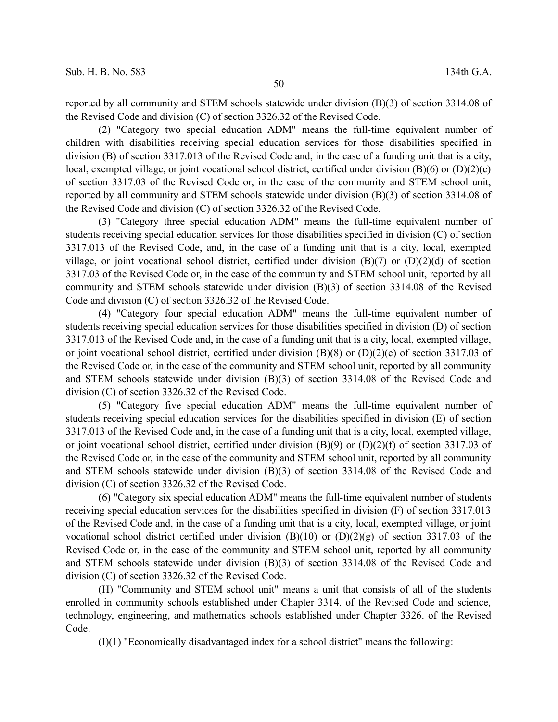reported by all community and STEM schools statewide under division (B)(3) of section 3314.08 of the Revised Code and division (C) of section 3326.32 of the Revised Code.

(2) "Category two special education ADM" means the full-time equivalent number of children with disabilities receiving special education services for those disabilities specified in division (B) of section 3317.013 of the Revised Code and, in the case of a funding unit that is a city, local, exempted village, or joint vocational school district, certified under division  $(B)(6)$  or  $(D)(2)(c)$ of section 3317.03 of the Revised Code or, in the case of the community and STEM school unit, reported by all community and STEM schools statewide under division (B)(3) of section 3314.08 of the Revised Code and division (C) of section 3326.32 of the Revised Code.

(3) "Category three special education ADM" means the full-time equivalent number of students receiving special education services for those disabilities specified in division (C) of section 3317.013 of the Revised Code, and, in the case of a funding unit that is a city, local, exempted village, or joint vocational school district, certified under division (B)(7) or (D)(2)(d) of section 3317.03 of the Revised Code or, in the case of the community and STEM school unit, reported by all community and STEM schools statewide under division (B)(3) of section 3314.08 of the Revised Code and division (C) of section 3326.32 of the Revised Code.

(4) "Category four special education ADM" means the full-time equivalent number of students receiving special education services for those disabilities specified in division (D) of section 3317.013 of the Revised Code and, in the case of a funding unit that is a city, local, exempted village, or joint vocational school district, certified under division  $(B)(8)$  or  $(D)(2)(e)$  of section 3317.03 of the Revised Code or, in the case of the community and STEM school unit, reported by all community and STEM schools statewide under division (B)(3) of section 3314.08 of the Revised Code and division (C) of section 3326.32 of the Revised Code.

(5) "Category five special education ADM" means the full-time equivalent number of students receiving special education services for the disabilities specified in division (E) of section 3317.013 of the Revised Code and, in the case of a funding unit that is a city, local, exempted village, or joint vocational school district, certified under division  $(B)(9)$  or  $(D)(2)(f)$  of section 3317.03 of the Revised Code or, in the case of the community and STEM school unit, reported by all community and STEM schools statewide under division (B)(3) of section 3314.08 of the Revised Code and division (C) of section 3326.32 of the Revised Code.

(6) "Category six special education ADM" means the full-time equivalent number of students receiving special education services for the disabilities specified in division (F) of section 3317.013 of the Revised Code and, in the case of a funding unit that is a city, local, exempted village, or joint vocational school district certified under division (B)(10) or (D)(2)(g) of section 3317.03 of the Revised Code or, in the case of the community and STEM school unit, reported by all community and STEM schools statewide under division (B)(3) of section 3314.08 of the Revised Code and division (C) of section 3326.32 of the Revised Code.

(H) "Community and STEM school unit" means a unit that consists of all of the students enrolled in community schools established under Chapter 3314. of the Revised Code and science, technology, engineering, and mathematics schools established under Chapter 3326. of the Revised Code.

(I)(1) "Economically disadvantaged index for a school district" means the following: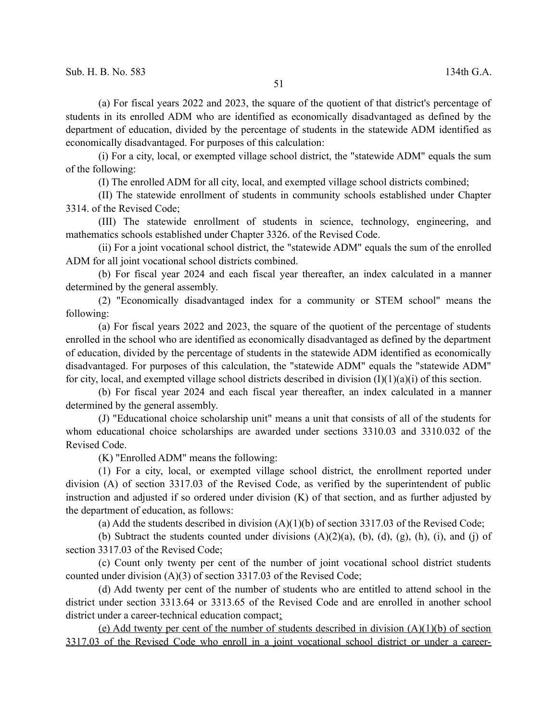(a) For fiscal years 2022 and 2023, the square of the quotient of that district's percentage of students in its enrolled ADM who are identified as economically disadvantaged as defined by the department of education, divided by the percentage of students in the statewide ADM identified as economically disadvantaged. For purposes of this calculation:

(i) For a city, local, or exempted village school district, the "statewide ADM" equals the sum of the following:

(I) The enrolled ADM for all city, local, and exempted village school districts combined;

(II) The statewide enrollment of students in community schools established under Chapter 3314. of the Revised Code;

(III) The statewide enrollment of students in science, technology, engineering, and mathematics schools established under Chapter 3326. of the Revised Code.

(ii) For a joint vocational school district, the "statewide ADM" equals the sum of the enrolled ADM for all joint vocational school districts combined.

(b) For fiscal year 2024 and each fiscal year thereafter, an index calculated in a manner determined by the general assembly.

(2) "Economically disadvantaged index for a community or STEM school" means the following:

(a) For fiscal years 2022 and 2023, the square of the quotient of the percentage of students enrolled in the school who are identified as economically disadvantaged as defined by the department of education, divided by the percentage of students in the statewide ADM identified as economically disadvantaged. For purposes of this calculation, the "statewide ADM" equals the "statewide ADM" for city, local, and exempted village school districts described in division  $(I)(1)(a)(i)$  of this section.

(b) For fiscal year 2024 and each fiscal year thereafter, an index calculated in a manner determined by the general assembly.

(J) "Educational choice scholarship unit" means a unit that consists of all of the students for whom educational choice scholarships are awarded under sections 3310.03 and 3310.032 of the Revised Code.

(K) "Enrolled ADM" means the following:

(1) For a city, local, or exempted village school district, the enrollment reported under division (A) of section 3317.03 of the Revised Code, as verified by the superintendent of public instruction and adjusted if so ordered under division (K) of that section, and as further adjusted by the department of education, as follows:

(a) Add the students described in division  $(A)(1)(b)$  of section 3317.03 of the Revised Code;

(b) Subtract the students counted under divisions  $(A)(2)(a)$ ,  $(b)$ ,  $(d)$ ,  $(g)$ ,  $(h)$ ,  $(i)$ , and  $(j)$  of section 3317.03 of the Revised Code;

(c) Count only twenty per cent of the number of joint vocational school district students counted under division (A)(3) of section 3317.03 of the Revised Code;

(d) Add twenty per cent of the number of students who are entitled to attend school in the district under section 3313.64 or 3313.65 of the Revised Code and are enrolled in another school district under a career-technical education compact;

(e) Add twenty per cent of the number of students described in division (A)(1)(b) of section 3317.03 of the Revised Code who enroll in a joint vocational school district or under a career-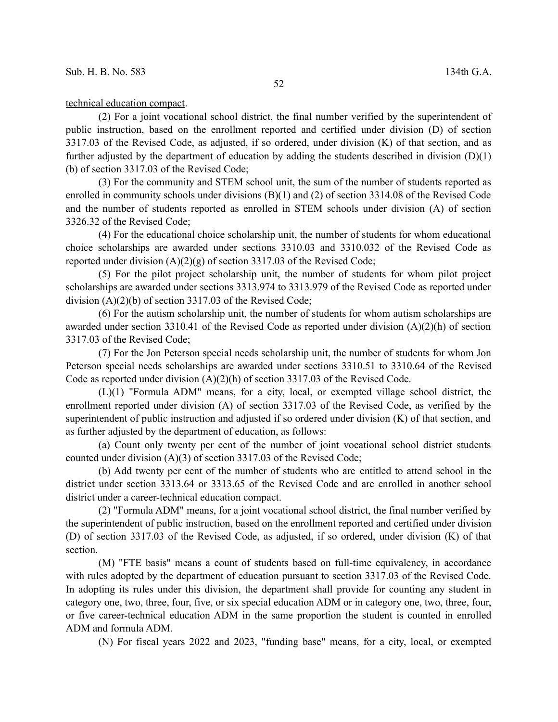## technical education compact.

(2) For a joint vocational school district, the final number verified by the superintendent of public instruction, based on the enrollment reported and certified under division (D) of section 3317.03 of the Revised Code, as adjusted, if so ordered, under division (K) of that section, and as further adjusted by the department of education by adding the students described in division  $(D)(1)$ (b) of section 3317.03 of the Revised Code;

(3) For the community and STEM school unit, the sum of the number of students reported as enrolled in community schools under divisions (B)(1) and (2) of section 3314.08 of the Revised Code and the number of students reported as enrolled in STEM schools under division (A) of section 3326.32 of the Revised Code;

(4) For the educational choice scholarship unit, the number of students for whom educational choice scholarships are awarded under sections 3310.03 and 3310.032 of the Revised Code as reported under division (A)(2)(g) of section 3317.03 of the Revised Code;

(5) For the pilot project scholarship unit, the number of students for whom pilot project scholarships are awarded under sections 3313.974 to 3313.979 of the Revised Code as reported under division (A)(2)(b) of section 3317.03 of the Revised Code;

(6) For the autism scholarship unit, the number of students for whom autism scholarships are awarded under section 3310.41 of the Revised Code as reported under division (A)(2)(h) of section 3317.03 of the Revised Code;

(7) For the Jon Peterson special needs scholarship unit, the number of students for whom Jon Peterson special needs scholarships are awarded under sections 3310.51 to 3310.64 of the Revised Code as reported under division  $(A)(2)(h)$  of section 3317.03 of the Revised Code.

(L)(1) "Formula ADM" means, for a city, local, or exempted village school district, the enrollment reported under division (A) of section 3317.03 of the Revised Code, as verified by the superintendent of public instruction and adjusted if so ordered under division (K) of that section, and as further adjusted by the department of education, as follows:

(a) Count only twenty per cent of the number of joint vocational school district students counted under division (A)(3) of section 3317.03 of the Revised Code;

(b) Add twenty per cent of the number of students who are entitled to attend school in the district under section 3313.64 or 3313.65 of the Revised Code and are enrolled in another school district under a career-technical education compact.

(2) "Formula ADM" means, for a joint vocational school district, the final number verified by the superintendent of public instruction, based on the enrollment reported and certified under division (D) of section 3317.03 of the Revised Code, as adjusted, if so ordered, under division (K) of that section.

(M) "FTE basis" means a count of students based on full-time equivalency, in accordance with rules adopted by the department of education pursuant to section 3317.03 of the Revised Code. In adopting its rules under this division, the department shall provide for counting any student in category one, two, three, four, five, or six special education ADM or in category one, two, three, four, or five career-technical education ADM in the same proportion the student is counted in enrolled ADM and formula ADM.

(N) For fiscal years 2022 and 2023, "funding base" means, for a city, local, or exempted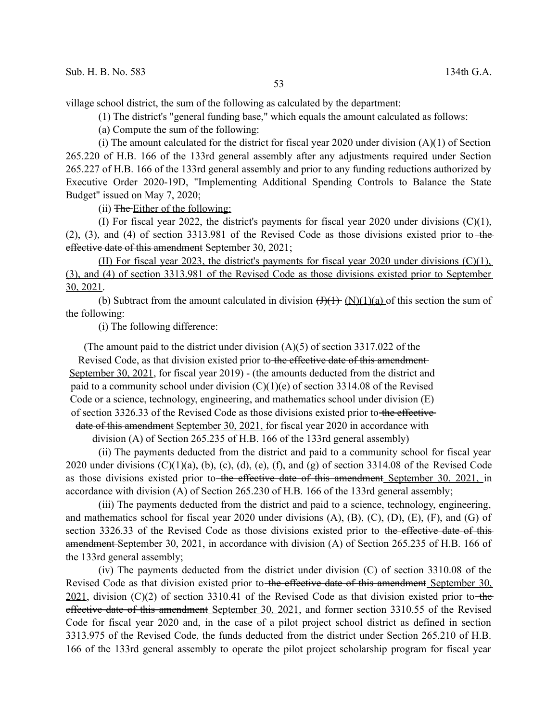village school district, the sum of the following as calculated by the department:

(1) The district's "general funding base," which equals the amount calculated as follows:

(a) Compute the sum of the following:

(i) The amount calculated for the district for fiscal year 2020 under division  $(A)(1)$  of Section 265.220 of H.B. 166 of the 133rd general assembly after any adjustments required under Section 265.227 of H.B. 166 of the 133rd general assembly and prior to any funding reductions authorized by Executive Order 2020-19D, "Implementing Additional Spending Controls to Balance the State Budget" issued on May 7, 2020;

(ii) The Either of the following:

(I) For fiscal year 2022, the district's payments for fiscal year 2020 under divisions  $(C)(1)$ ,  $(2)$ ,  $(3)$ , and  $(4)$  of section 3313.981 of the Revised Code as those divisions existed prior to the effective date of this amendment September 30, 2021;

(II) For fiscal year 2023, the district's payments for fiscal year 2020 under divisions (C)(1), (3), and (4) of section 3313.981 of the Revised Code as those divisions existed prior to September 30, 2021.

(b) Subtract from the amount calculated in division  $\left(\frac{H}{H} \right)$  (N)(1)(a) of this section the sum of the following:

(i) The following difference:

(The amount paid to the district under division (A)(5) of section 3317.022 of the

Revised Code, as that division existed prior to the effective date of this amendment September 30, 2021, for fiscal year 2019) - (the amounts deducted from the district and paid to a community school under division  $(C)(1)(e)$  of section 3314.08 of the Revised Code or a science, technology, engineering, and mathematics school under division (E) of section 3326.33 of the Revised Code as those divisions existed prior to the effective date of this amendment September 30, 2021, for fiscal year 2020 in accordance with

division (A) of Section 265.235 of H.B. 166 of the 133rd general assembly)

(ii) The payments deducted from the district and paid to a community school for fiscal year 2020 under divisions  $(C)(1)(a)$ ,  $(b)$ ,  $(c)$ ,  $(d)$ ,  $(e)$ ,  $(f)$ , and  $(g)$  of section 3314.08 of the Revised Code as those divisions existed prior to the effective date of this amendment September 30, 2021, in accordance with division (A) of Section 265.230 of H.B. 166 of the 133rd general assembly;

(iii) The payments deducted from the district and paid to a science, technology, engineering, and mathematics school for fiscal year 2020 under divisions (A), (B), (C), (D), (E), (F), and (G) of section 3326.33 of the Revised Code as those divisions existed prior to the effective date of thisamendment September 30, 2021, in accordance with division (A) of Section 265.235 of H.B. 166 of the 133rd general assembly;

(iv) The payments deducted from the district under division (C) of section 3310.08 of the Revised Code as that division existed prior to the effective date of this amendment September 30,  $2021$ , division (C)(2) of section 3310.41 of the Revised Code as that division existed prior to the effective date of this amendment September 30, 2021, and former section 3310.55 of the Revised Code for fiscal year 2020 and, in the case of a pilot project school district as defined in section 3313.975 of the Revised Code, the funds deducted from the district under Section 265.210 of H.B. 166 of the 133rd general assembly to operate the pilot project scholarship program for fiscal year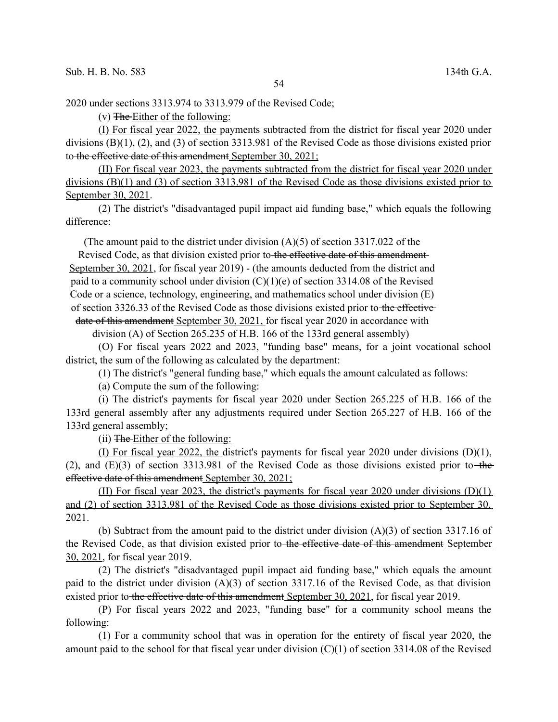2020 under sections 3313.974 to 3313.979 of the Revised Code;

 $(v)$  The Either of the following:

(I) For fiscal year 2022, the payments subtracted from the district for fiscal year 2020 under divisions (B)(1), (2), and (3) of section 3313.981 of the Revised Code as those divisions existed prior to the effective date of this amendment September 30, 2021;

(II) For fiscal year 2023, the payments subtracted from the district for fiscal year 2020 under divisions (B)(1) and (3) of section 3313.981 of the Revised Code as those divisions existed prior to September 30, 2021.

(2) The district's "disadvantaged pupil impact aid funding base," which equals the following difference:

(The amount paid to the district under division (A)(5) of section 3317.022 of the

Revised Code, as that division existed prior to the effective date of this amendment-September 30, 2021, for fiscal year 2019) - (the amounts deducted from the district and paid to a community school under division  $(C)(1)(e)$  of section 3314.08 of the Revised Code or a science, technology, engineering, and mathematics school under division (E) of section 3326.33 of the Revised Code as those divisions existed prior to the effective

date of this amendment September 30, 2021, for fiscal year 2020 in accordance with

division (A) of Section 265.235 of H.B. 166 of the 133rd general assembly)

(O) For fiscal years 2022 and 2023, "funding base" means, for a joint vocational school district, the sum of the following as calculated by the department:

(1) The district's "general funding base," which equals the amount calculated as follows:

(a) Compute the sum of the following:

(i) The district's payments for fiscal year 2020 under Section 265.225 of H.B. 166 of the 133rd general assembly after any adjustments required under Section 265.227 of H.B. 166 of the 133rd general assembly;

(ii) The Either of the following:

(I) For fiscal year 2022, the district's payments for fiscal year 2020 under divisions (D)(1), (2), and  $(E)(3)$  of section 3313.981 of the Revised Code as those divisions existed prior to the effective date of this amendment September 30, 2021;

(II) For fiscal year 2023, the district's payments for fiscal year 2020 under divisions (D)(1) and (2) of section 3313.981 of the Revised Code as those divisions existed prior to September 30, 2021.

(b) Subtract from the amount paid to the district under division (A)(3) of section 3317.16 of the Revised Code, as that division existed prior to the effective date of this amendment September 30, 2021, for fiscal year 2019.

(2) The district's "disadvantaged pupil impact aid funding base," which equals the amount paid to the district under division (A)(3) of section 3317.16 of the Revised Code, as that division existed prior to the effective date of this amendment September 30, 2021, for fiscal year 2019.

(P) For fiscal years 2022 and 2023, "funding base" for a community school means the following:

(1) For a community school that was in operation for the entirety of fiscal year 2020, the amount paid to the school for that fiscal year under division (C)(1) of section 3314.08 of the Revised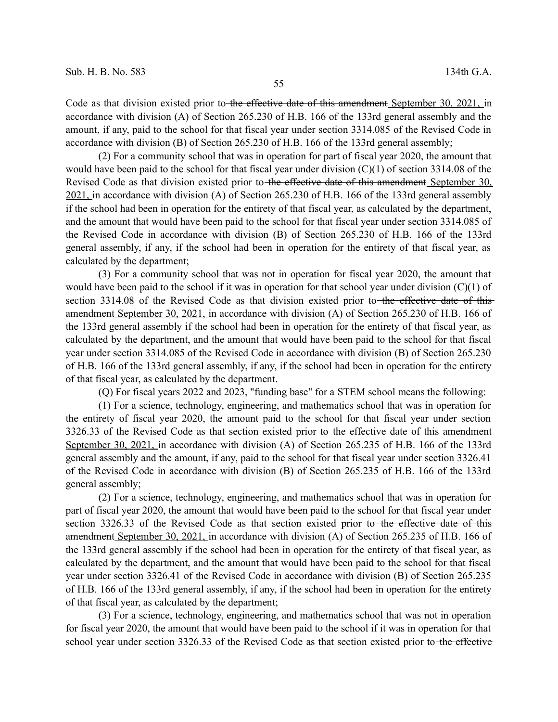Code as that division existed prior to the effective date of this amendment September 30, 2021, in accordance with division (A) of Section 265.230 of H.B. 166 of the 133rd general assembly and the amount, if any, paid to the school for that fiscal year under section 3314.085 of the Revised Code in accordance with division (B) of Section 265.230 of H.B. 166 of the 133rd general assembly;

(2) For a community school that was in operation for part of fiscal year 2020, the amount that would have been paid to the school for that fiscal year under division  $(C)(1)$  of section 3314.08 of the Revised Code as that division existed prior to the effective date of this amendment September 30, 2021, in accordance with division (A) of Section 265.230 of H.B. 166 of the 133rd general assembly if the school had been in operation for the entirety of that fiscal year, as calculated by the department, and the amount that would have been paid to the school for that fiscal year under section 3314.085 of the Revised Code in accordance with division (B) of Section 265.230 of H.B. 166 of the 133rd general assembly, if any, if the school had been in operation for the entirety of that fiscal year, as calculated by the department;

(3) For a community school that was not in operation for fiscal year 2020, the amount that would have been paid to the school if it was in operation for that school year under division  $(C)(1)$  of section 3314.08 of the Revised Code as that division existed prior to the effective date of thisamendment September 30, 2021, in accordance with division (A) of Section 265.230 of H.B. 166 of the 133rd general assembly if the school had been in operation for the entirety of that fiscal year, as calculated by the department, and the amount that would have been paid to the school for that fiscal year under section 3314.085 of the Revised Code in accordance with division (B) of Section 265.230 of H.B. 166 of the 133rd general assembly, if any, if the school had been in operation for the entirety of that fiscal year, as calculated by the department.

(Q) For fiscal years 2022 and 2023, "funding base" for a STEM school means the following:

(1) For a science, technology, engineering, and mathematics school that was in operation for the entirety of fiscal year 2020, the amount paid to the school for that fiscal year under section 3326.33 of the Revised Code as that section existed prior to the effective date of this amendment September 30, 2021, in accordance with division (A) of Section 265.235 of H.B. 166 of the 133rd general assembly and the amount, if any, paid to the school for that fiscal year under section 3326.41 of the Revised Code in accordance with division (B) of Section 265.235 of H.B. 166 of the 133rd general assembly;

(2) For a science, technology, engineering, and mathematics school that was in operation for part of fiscal year 2020, the amount that would have been paid to the school for that fiscal year under section 3326.33 of the Revised Code as that section existed prior to the effective date of thisamendment September 30, 2021, in accordance with division (A) of Section 265.235 of H.B. 166 of the 133rd general assembly if the school had been in operation for the entirety of that fiscal year, as calculated by the department, and the amount that would have been paid to the school for that fiscal year under section 3326.41 of the Revised Code in accordance with division (B) of Section 265.235 of H.B. 166 of the 133rd general assembly, if any, if the school had been in operation for the entirety of that fiscal year, as calculated by the department;

(3) For a science, technology, engineering, and mathematics school that was not in operation for fiscal year 2020, the amount that would have been paid to the school if it was in operation for that school year under section 3326.33 of the Revised Code as that section existed prior to the effective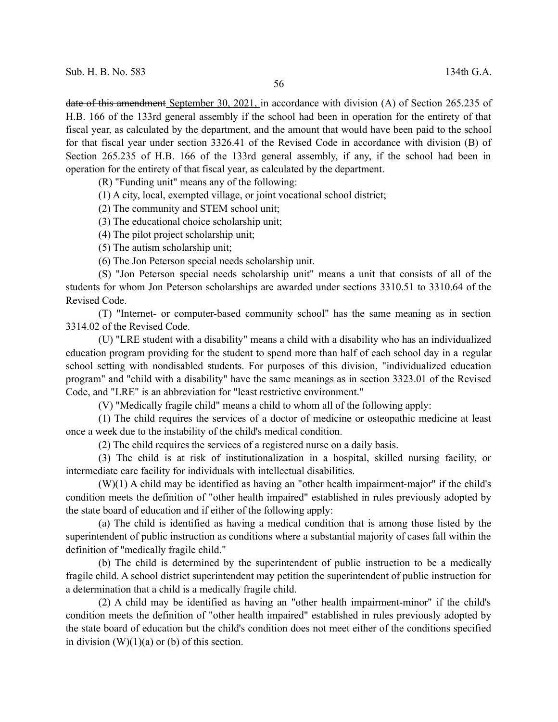date of this amendment September 30, 2021, in accordance with division (A) of Section 265.235 of H.B. 166 of the 133rd general assembly if the school had been in operation for the entirety of that fiscal year, as calculated by the department, and the amount that would have been paid to the school for that fiscal year under section 3326.41 of the Revised Code in accordance with division (B) of Section 265.235 of H.B. 166 of the 133rd general assembly, if any, if the school had been in operation for the entirety of that fiscal year, as calculated by the department.

(R) "Funding unit" means any of the following:

(1) A city, local, exempted village, or joint vocational school district;

(2) The community and STEM school unit;

(3) The educational choice scholarship unit;

(4) The pilot project scholarship unit;

(5) The autism scholarship unit;

(6) The Jon Peterson special needs scholarship unit.

(S) "Jon Peterson special needs scholarship unit" means a unit that consists of all of the students for whom Jon Peterson scholarships are awarded under sections 3310.51 to 3310.64 of the Revised Code.

(T) "Internet- or computer-based community school" has the same meaning as in section 3314.02 of the Revised Code.

(U) "LRE student with a disability" means a child with a disability who has an individualized education program providing for the student to spend more than half of each school day in a regular school setting with nondisabled students. For purposes of this division, "individualized education program" and "child with a disability" have the same meanings as in section 3323.01 of the Revised Code, and "LRE" is an abbreviation for "least restrictive environment."

(V) "Medically fragile child" means a child to whom all of the following apply:

(1) The child requires the services of a doctor of medicine or osteopathic medicine at least once a week due to the instability of the child's medical condition.

(2) The child requires the services of a registered nurse on a daily basis.

(3) The child is at risk of institutionalization in a hospital, skilled nursing facility, or intermediate care facility for individuals with intellectual disabilities.

(W)(1) A child may be identified as having an "other health impairment-major" if the child's condition meets the definition of "other health impaired" established in rules previously adopted by the state board of education and if either of the following apply:

(a) The child is identified as having a medical condition that is among those listed by the superintendent of public instruction as conditions where a substantial majority of cases fall within the definition of "medically fragile child."

(b) The child is determined by the superintendent of public instruction to be a medically fragile child. A school district superintendent may petition the superintendent of public instruction for a determination that a child is a medically fragile child.

(2) A child may be identified as having an "other health impairment-minor" if the child's condition meets the definition of "other health impaired" established in rules previously adopted by the state board of education but the child's condition does not meet either of the conditions specified in division  $(W)(1)(a)$  or  $(b)$  of this section.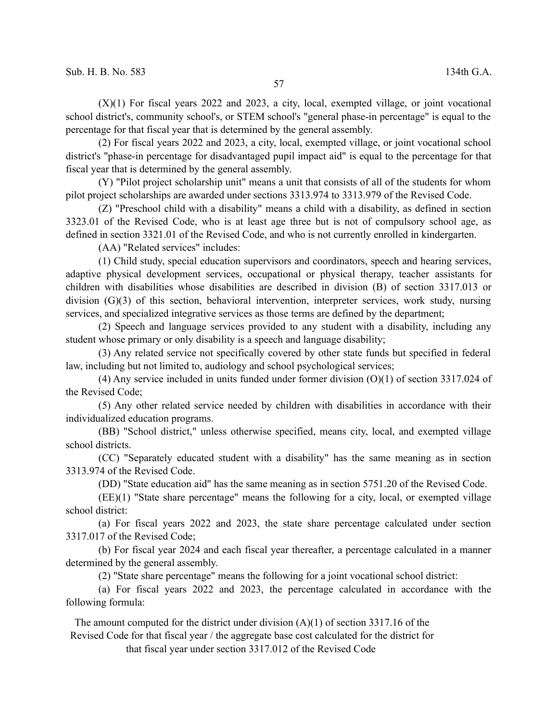$(X)(1)$  For fiscal years 2022 and 2023, a city, local, exempted village, or joint vocational school district's, community school's, or STEM school's "general phase-in percentage" is equal to the percentage for that fiscal year that is determined by the general assembly.

(2) For fiscal years 2022 and 2023, a city, local, exempted village, or joint vocational school district's "phase-in percentage for disadvantaged pupil impact aid" is equal to the percentage for that fiscal year that is determined by the general assembly.

(Y) "Pilot project scholarship unit" means a unit that consists of all of the students for whom pilot project scholarships are awarded under sections 3313.974 to 3313.979 of the Revised Code.

(Z) "Preschool child with a disability" means a child with a disability, as defined in section 3323.01 of the Revised Code, who is at least age three but is not of compulsory school age, as defined in section 3321.01 of the Revised Code, and who is not currently enrolled in kindergarten.

(AA) "Related services" includes:

(1) Child study, special education supervisors and coordinators, speech and hearing services, adaptive physical development services, occupational or physical therapy, teacher assistants for children with disabilities whose disabilities are described in division (B) of section 3317.013 or division (G)(3) of this section, behavioral intervention, interpreter services, work study, nursing services, and specialized integrative services as those terms are defined by the department;

(2) Speech and language services provided to any student with a disability, including any student whose primary or only disability is a speech and language disability;

(3) Any related service not specifically covered by other state funds but specified in federal law, including but not limited to, audiology and school psychological services;

(4) Any service included in units funded under former division (O)(1) of section 3317.024 of the Revised Code;

(5) Any other related service needed by children with disabilities in accordance with their individualized education programs.

(BB) "School district," unless otherwise specified, means city, local, and exempted village school districts.

(CC) "Separately educated student with a disability" has the same meaning as in section 3313.974 of the Revised Code.

(DD) "State education aid" has the same meaning as in section 5751.20 of the Revised Code.

(EE)(1) "State share percentage" means the following for a city, local, or exempted village school district:

(a) For fiscal years 2022 and 2023, the state share percentage calculated under section 3317.017 of the Revised Code;

(b) For fiscal year 2024 and each fiscal year thereafter, a percentage calculated in a manner determined by the general assembly.

(2) "State share percentage" means the following for a joint vocational school district:

(a) For fiscal years 2022 and 2023, the percentage calculated in accordance with the following formula:

The amount computed for the district under division  $(A)(1)$  of section 3317.16 of the Revised Code for that fiscal year / the aggregate base cost calculated for the district for

that fiscal year under section 3317.012 of the Revised Code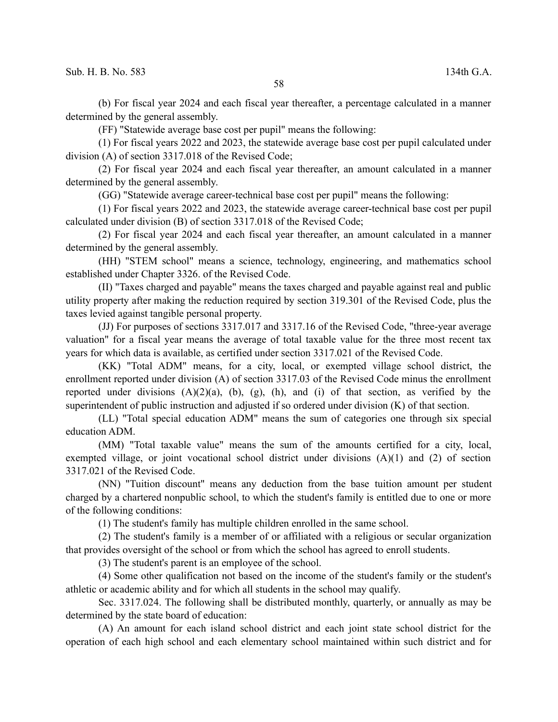(b) For fiscal year 2024 and each fiscal year thereafter, a percentage calculated in a manner determined by the general assembly.

(FF) "Statewide average base cost per pupil" means the following:

(1) For fiscal years 2022 and 2023, the statewide average base cost per pupil calculated under division (A) of section 3317.018 of the Revised Code;

(2) For fiscal year 2024 and each fiscal year thereafter, an amount calculated in a manner determined by the general assembly.

(GG) "Statewide average career-technical base cost per pupil" means the following:

(1) For fiscal years 2022 and 2023, the statewide average career-technical base cost per pupil calculated under division (B) of section 3317.018 of the Revised Code;

(2) For fiscal year 2024 and each fiscal year thereafter, an amount calculated in a manner determined by the general assembly.

(HH) "STEM school" means a science, technology, engineering, and mathematics school established under Chapter 3326. of the Revised Code.

(II) "Taxes charged and payable" means the taxes charged and payable against real and public utility property after making the reduction required by section 319.301 of the Revised Code, plus the taxes levied against tangible personal property.

(JJ) For purposes of sections 3317.017 and 3317.16 of the Revised Code, "three-year average valuation" for a fiscal year means the average of total taxable value for the three most recent tax years for which data is available, as certified under section 3317.021 of the Revised Code.

(KK) "Total ADM" means, for a city, local, or exempted village school district, the enrollment reported under division (A) of section 3317.03 of the Revised Code minus the enrollment reported under divisions  $(A)(2)(a)$ ,  $(b)$ ,  $(g)$ ,  $(h)$ , and  $(i)$  of that section, as verified by the superintendent of public instruction and adjusted if so ordered under division (K) of that section.

(LL) "Total special education ADM" means the sum of categories one through six special education ADM.

(MM) "Total taxable value" means the sum of the amounts certified for a city, local, exempted village, or joint vocational school district under divisions (A)(1) and (2) of section 3317.021 of the Revised Code.

(NN) "Tuition discount" means any deduction from the base tuition amount per student charged by a chartered nonpublic school, to which the student's family is entitled due to one or more of the following conditions:

(1) The student's family has multiple children enrolled in the same school.

(2) The student's family is a member of or affiliated with a religious or secular organization that provides oversight of the school or from which the school has agreed to enroll students.

(3) The student's parent is an employee of the school.

(4) Some other qualification not based on the income of the student's family or the student's athletic or academic ability and for which all students in the school may qualify.

Sec. 3317.024. The following shall be distributed monthly, quarterly, or annually as may be determined by the state board of education:

(A) An amount for each island school district and each joint state school district for the operation of each high school and each elementary school maintained within such district and for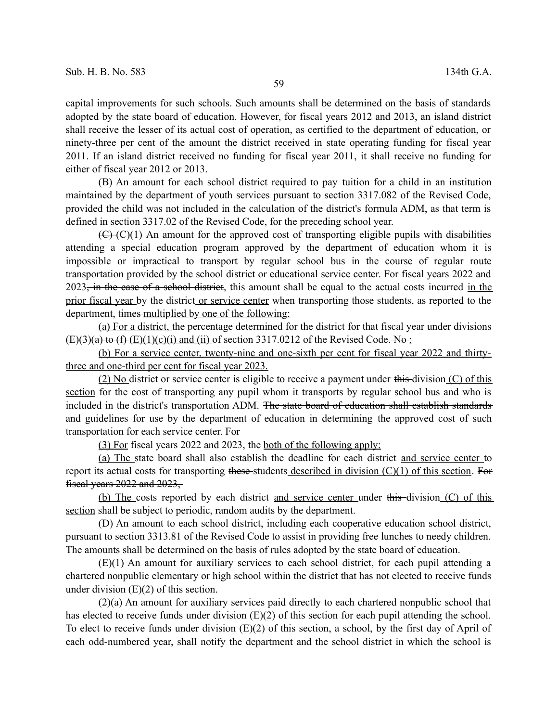capital improvements for such schools. Such amounts shall be determined on the basis of standards adopted by the state board of education. However, for fiscal years 2012 and 2013, an island district shall receive the lesser of its actual cost of operation, as certified to the department of education, or ninety-three per cent of the amount the district received in state operating funding for fiscal year 2011. If an island district received no funding for fiscal year 2011, it shall receive no funding for either of fiscal year 2012 or 2013.

(B) An amount for each school district required to pay tuition for a child in an institution maintained by the department of youth services pursuant to section 3317.082 of the Revised Code, provided the child was not included in the calculation of the district's formula ADM, as that term is defined in section 3317.02 of the Revised Code, for the preceding school year.

 $(\overline{C} \setminus (\overline{C})(1))$  An amount for the approved cost of transporting eligible pupils with disabilities attending a special education program approved by the department of education whom it is impossible or impractical to transport by regular school bus in the course of regular route transportation provided by the school district or educational service center. For fiscal years 2022 and 2023<del>, in the case of a school district</del>, this amount shall be equal to the actual costs incurred in the prior fiscal year by the district or service center when transporting those students, as reported to the department, times multiplied by one of the following:

(a) For a district, the percentage determined for the district for that fiscal year under divisions  $(E)(3)(a)$  to  $(f)(E)(1)(c)(i)$  and (ii) of section 3317.0212 of the Revised Code. No:

(b) For a service center, twenty-nine and one-sixth per cent for fiscal year 2022 and thirtythree and one-third per cent for fiscal year 2023.

 $(2)$  No district or service center is eligible to receive a payment under this division  $(C)$  of this section for the cost of transporting any pupil whom it transports by regular school bus and who is included in the district's transportation ADM. The state board of education shall establish standards and guidelines for use by the department of education in determining the approved cost of suchtransportation for each service center. For

(3) For fiscal years 2022 and 2023, the both of the following apply:

(a) The state board shall also establish the deadline for each district and service center to report its actual costs for transporting these-students described in division  $(C)(1)$  of this section. For fiscal years  $2022$  and  $2023$ ,

(b) The costs reported by each district and service center under  $\theta$  this division (C) of this section shall be subject to periodic, random audits by the department.

(D) An amount to each school district, including each cooperative education school district, pursuant to section 3313.81 of the Revised Code to assist in providing free lunches to needy children. The amounts shall be determined on the basis of rules adopted by the state board of education.

(E)(1) An amount for auxiliary services to each school district, for each pupil attending a chartered nonpublic elementary or high school within the district that has not elected to receive funds under division  $(E)(2)$  of this section.

(2)(a) An amount for auxiliary services paid directly to each chartered nonpublic school that has elected to receive funds under division (E)(2) of this section for each pupil attending the school. To elect to receive funds under division  $(E)(2)$  of this section, a school, by the first day of April of each odd-numbered year, shall notify the department and the school district in which the school is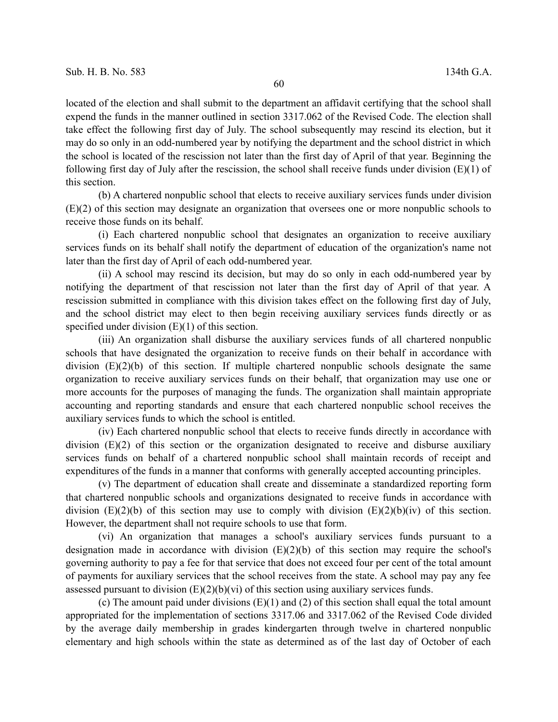located of the election and shall submit to the department an affidavit certifying that the school shall expend the funds in the manner outlined in section 3317.062 of the Revised Code. The election shall take effect the following first day of July. The school subsequently may rescind its election, but it may do so only in an odd-numbered year by notifying the department and the school district in which the school is located of the rescission not later than the first day of April of that year. Beginning the following first day of July after the rescission, the school shall receive funds under division  $(E)(1)$  of this section.

(b) A chartered nonpublic school that elects to receive auxiliary services funds under division (E)(2) of this section may designate an organization that oversees one or more nonpublic schools to receive those funds on its behalf.

(i) Each chartered nonpublic school that designates an organization to receive auxiliary services funds on its behalf shall notify the department of education of the organization's name not later than the first day of April of each odd-numbered year.

(ii) A school may rescind its decision, but may do so only in each odd-numbered year by notifying the department of that rescission not later than the first day of April of that year. A rescission submitted in compliance with this division takes effect on the following first day of July, and the school district may elect to then begin receiving auxiliary services funds directly or as specified under division  $(E)(1)$  of this section.

(iii) An organization shall disburse the auxiliary services funds of all chartered nonpublic schools that have designated the organization to receive funds on their behalf in accordance with division (E)(2)(b) of this section. If multiple chartered nonpublic schools designate the same organization to receive auxiliary services funds on their behalf, that organization may use one or more accounts for the purposes of managing the funds. The organization shall maintain appropriate accounting and reporting standards and ensure that each chartered nonpublic school receives the auxiliary services funds to which the school is entitled.

(iv) Each chartered nonpublic school that elects to receive funds directly in accordance with division (E)(2) of this section or the organization designated to receive and disburse auxiliary services funds on behalf of a chartered nonpublic school shall maintain records of receipt and expenditures of the funds in a manner that conforms with generally accepted accounting principles.

(v) The department of education shall create and disseminate a standardized reporting form that chartered nonpublic schools and organizations designated to receive funds in accordance with division  $(E)(2)(b)$  of this section may use to comply with division  $(E)(2)(b)(iv)$  of this section. However, the department shall not require schools to use that form.

(vi) An organization that manages a school's auxiliary services funds pursuant to a designation made in accordance with division  $(E)(2)(b)$  of this section may require the school's governing authority to pay a fee for that service that does not exceed four per cent of the total amount of payments for auxiliary services that the school receives from the state. A school may pay any fee assessed pursuant to division  $(E)(2)(b)(vi)$  of this section using auxiliary services funds.

(c) The amount paid under divisions (E)(1) and (2) of this section shall equal the total amount appropriated for the implementation of sections 3317.06 and 3317.062 of the Revised Code divided by the average daily membership in grades kindergarten through twelve in chartered nonpublic elementary and high schools within the state as determined as of the last day of October of each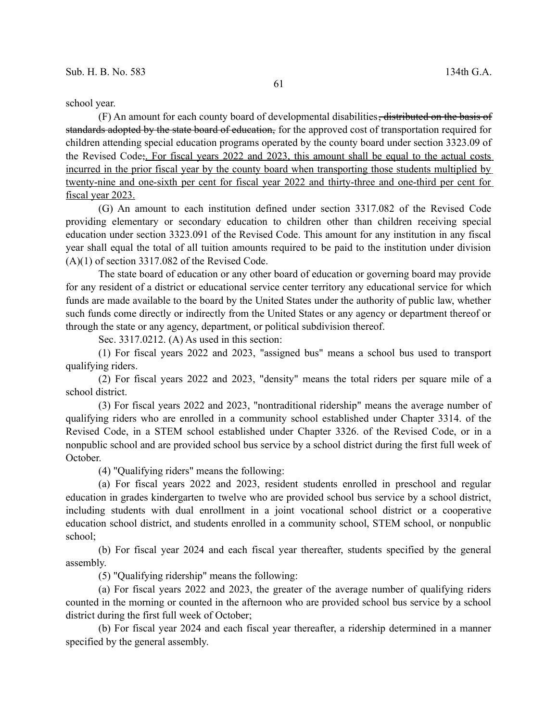school year.

(F) An amount for each county board of developmental disabilities, distributed on the basis of standards adopted by the state board of education, for the approved cost of transportation required for children attending special education programs operated by the county board under section 3323.09 of the Revised Code;. For fiscal years 2022 and 2023, this amount shall be equal to the actual costs incurred in the prior fiscal year by the county board when transporting those students multiplied by twenty-nine and one-sixth per cent for fiscal year 2022 and thirty-three and one-third per cent for fiscal year 2023.

(G) An amount to each institution defined under section 3317.082 of the Revised Code providing elementary or secondary education to children other than children receiving special education under section 3323.091 of the Revised Code. This amount for any institution in any fiscal year shall equal the total of all tuition amounts required to be paid to the institution under division  $(A)(1)$  of section 3317.082 of the Revised Code.

The state board of education or any other board of education or governing board may provide for any resident of a district or educational service center territory any educational service for which funds are made available to the board by the United States under the authority of public law, whether such funds come directly or indirectly from the United States or any agency or department thereof or through the state or any agency, department, or political subdivision thereof.

Sec. 3317.0212. (A) As used in this section:

(1) For fiscal years 2022 and 2023, "assigned bus" means a school bus used to transport qualifying riders.

(2) For fiscal years 2022 and 2023, "density" means the total riders per square mile of a school district.

(3) For fiscal years 2022 and 2023, "nontraditional ridership" means the average number of qualifying riders who are enrolled in a community school established under Chapter 3314. of the Revised Code, in a STEM school established under Chapter 3326. of the Revised Code, or in a nonpublic school and are provided school bus service by a school district during the first full week of October.

(4) "Qualifying riders" means the following:

(a) For fiscal years 2022 and 2023, resident students enrolled in preschool and regular education in grades kindergarten to twelve who are provided school bus service by a school district, including students with dual enrollment in a joint vocational school district or a cooperative education school district, and students enrolled in a community school, STEM school, or nonpublic school;

(b) For fiscal year 2024 and each fiscal year thereafter, students specified by the general assembly.

(5) "Qualifying ridership" means the following:

(a) For fiscal years 2022 and 2023, the greater of the average number of qualifying riders counted in the morning or counted in the afternoon who are provided school bus service by a school district during the first full week of October;

(b) For fiscal year 2024 and each fiscal year thereafter, a ridership determined in a manner specified by the general assembly.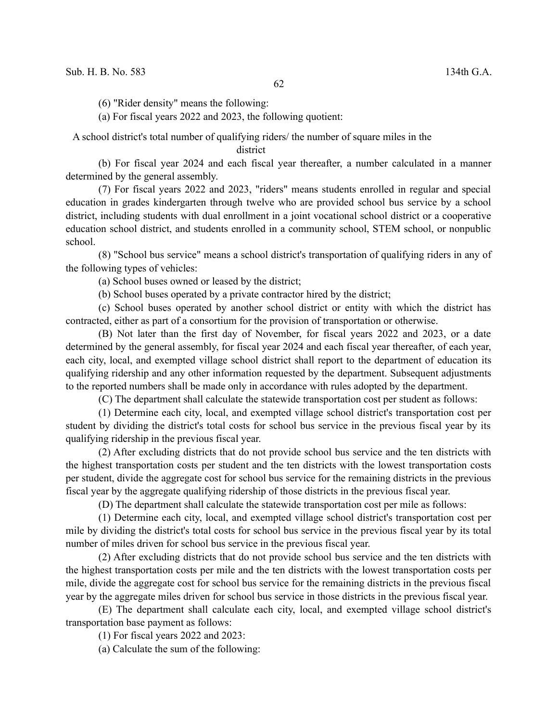(6) "Rider density" means the following:

(a) For fiscal years 2022 and 2023, the following quotient:

A school district's total number of qualifying riders/ the number of square miles in the

district

(b) For fiscal year 2024 and each fiscal year thereafter, a number calculated in a manner determined by the general assembly.

(7) For fiscal years 2022 and 2023, "riders" means students enrolled in regular and special education in grades kindergarten through twelve who are provided school bus service by a school district, including students with dual enrollment in a joint vocational school district or a cooperative education school district, and students enrolled in a community school, STEM school, or nonpublic school.

(8) "School bus service" means a school district's transportation of qualifying riders in any of the following types of vehicles:

(a) School buses owned or leased by the district;

(b) School buses operated by a private contractor hired by the district;

(c) School buses operated by another school district or entity with which the district has contracted, either as part of a consortium for the provision of transportation or otherwise.

(B) Not later than the first day of November, for fiscal years 2022 and 2023, or a date determined by the general assembly, for fiscal year 2024 and each fiscal year thereafter, of each year, each city, local, and exempted village school district shall report to the department of education its qualifying ridership and any other information requested by the department. Subsequent adjustments to the reported numbers shall be made only in accordance with rules adopted by the department.

(C) The department shall calculate the statewide transportation cost per student as follows:

(1) Determine each city, local, and exempted village school district's transportation cost per student by dividing the district's total costs for school bus service in the previous fiscal year by its qualifying ridership in the previous fiscal year.

(2) After excluding districts that do not provide school bus service and the ten districts with the highest transportation costs per student and the ten districts with the lowest transportation costs per student, divide the aggregate cost for school bus service for the remaining districts in the previous fiscal year by the aggregate qualifying ridership of those districts in the previous fiscal year.

(D) The department shall calculate the statewide transportation cost per mile as follows:

(1) Determine each city, local, and exempted village school district's transportation cost per mile by dividing the district's total costs for school bus service in the previous fiscal year by its total number of miles driven for school bus service in the previous fiscal year.

(2) After excluding districts that do not provide school bus service and the ten districts with the highest transportation costs per mile and the ten districts with the lowest transportation costs per mile, divide the aggregate cost for school bus service for the remaining districts in the previous fiscal year by the aggregate miles driven for school bus service in those districts in the previous fiscal year.

(E) The department shall calculate each city, local, and exempted village school district's transportation base payment as follows:

(1) For fiscal years 2022 and 2023:

(a) Calculate the sum of the following: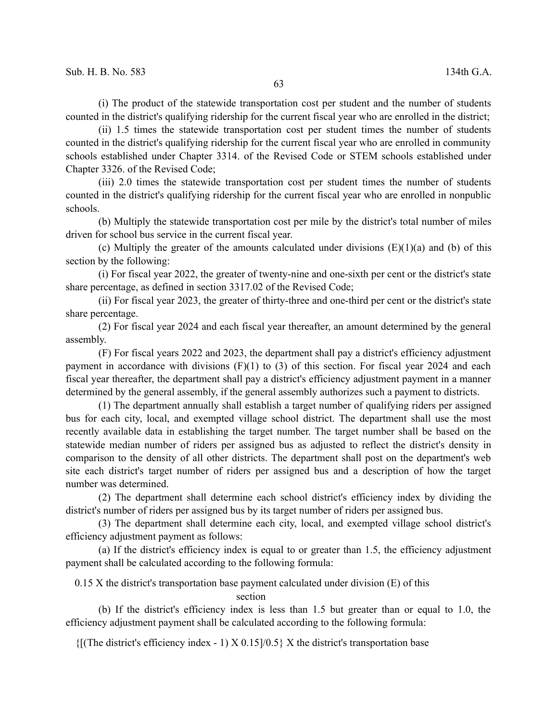(i) The product of the statewide transportation cost per student and the number of students counted in the district's qualifying ridership for the current fiscal year who are enrolled in the district;

(ii) 1.5 times the statewide transportation cost per student times the number of students counted in the district's qualifying ridership for the current fiscal year who are enrolled in community schools established under Chapter 3314. of the Revised Code or STEM schools established under Chapter 3326. of the Revised Code;

(iii) 2.0 times the statewide transportation cost per student times the number of students counted in the district's qualifying ridership for the current fiscal year who are enrolled in nonpublic schools.

(b) Multiply the statewide transportation cost per mile by the district's total number of miles driven for school bus service in the current fiscal year.

(c) Multiply the greater of the amounts calculated under divisions  $(E)(1)(a)$  and (b) of this section by the following:

(i) For fiscal year 2022, the greater of twenty-nine and one-sixth per cent or the district's state share percentage, as defined in section 3317.02 of the Revised Code;

(ii) For fiscal year 2023, the greater of thirty-three and one-third per cent or the district's state share percentage.

(2) For fiscal year 2024 and each fiscal year thereafter, an amount determined by the general assembly.

(F) For fiscal years 2022 and 2023, the department shall pay a district's efficiency adjustment payment in accordance with divisions (F)(1) to (3) of this section. For fiscal year 2024 and each fiscal year thereafter, the department shall pay a district's efficiency adjustment payment in a manner determined by the general assembly, if the general assembly authorizes such a payment to districts.

(1) The department annually shall establish a target number of qualifying riders per assigned bus for each city, local, and exempted village school district. The department shall use the most recently available data in establishing the target number. The target number shall be based on the statewide median number of riders per assigned bus as adjusted to reflect the district's density in comparison to the density of all other districts. The department shall post on the department's web site each district's target number of riders per assigned bus and a description of how the target number was determined.

(2) The department shall determine each school district's efficiency index by dividing the district's number of riders per assigned bus by its target number of riders per assigned bus.

(3) The department shall determine each city, local, and exempted village school district's efficiency adjustment payment as follows:

(a) If the district's efficiency index is equal to or greater than 1.5, the efficiency adjustment payment shall be calculated according to the following formula:

 $0.15$  X the district's transportation base payment calculated under division (E) of this

section

(b) If the district's efficiency index is less than 1.5 but greater than or equal to 1.0, the efficiency adjustment payment shall be calculated according to the following formula:

 ${f$ [(The district's efficiency index - 1) X 0.15]/0.5} X the district's transportation base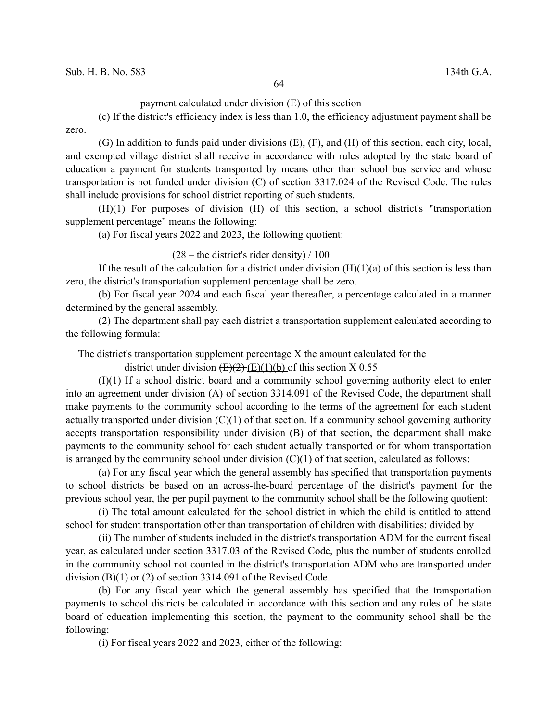payment calculated under division (E) of this section

(c) If the district's efficiency index is less than 1.0, the efficiency adjustment payment shall be zero.

(G) In addition to funds paid under divisions (E), (F), and (H) of this section, each city, local, and exempted village district shall receive in accordance with rules adopted by the state board of education a payment for students transported by means other than school bus service and whose transportation is not funded under division (C) of section 3317.024 of the Revised Code. The rules shall include provisions for school district reporting of such students.

(H)(1) For purposes of division (H) of this section, a school district's "transportation supplement percentage" means the following:

(a) For fiscal years 2022 and 2023, the following quotient:

 $(28 -$  the district's rider density) / 100

If the result of the calculation for a district under division  $(H)(1)(a)$  of this section is less than zero, the district's transportation supplement percentage shall be zero.

(b) For fiscal year 2024 and each fiscal year thereafter, a percentage calculated in a manner determined by the general assembly.

(2) The department shall pay each district a transportation supplement calculated according to the following formula:

The district's transportation supplement percentage X the amount calculated for the

district under division  $(E)(2)$  (E)(1)(b) of this section X 0.55

(I)(1) If a school district board and a community school governing authority elect to enter into an agreement under division (A) of section 3314.091 of the Revised Code, the department shall make payments to the community school according to the terms of the agreement for each student actually transported under division  $(C)(1)$  of that section. If a community school governing authority accepts transportation responsibility under division (B) of that section, the department shall make payments to the community school for each student actually transported or for whom transportation is arranged by the community school under division  $(C)(1)$  of that section, calculated as follows:

(a) For any fiscal year which the general assembly has specified that transportation payments to school districts be based on an across-the-board percentage of the district's payment for the previous school year, the per pupil payment to the community school shall be the following quotient:

(i) The total amount calculated for the school district in which the child is entitled to attend school for student transportation other than transportation of children with disabilities; divided by

(ii) The number of students included in the district's transportation ADM for the current fiscal year, as calculated under section 3317.03 of the Revised Code, plus the number of students enrolled in the community school not counted in the district's transportation ADM who are transported under division (B)(1) or (2) of section 3314.091 of the Revised Code.

(b) For any fiscal year which the general assembly has specified that the transportation payments to school districts be calculated in accordance with this section and any rules of the state board of education implementing this section, the payment to the community school shall be the following:

(i) For fiscal years 2022 and 2023, either of the following: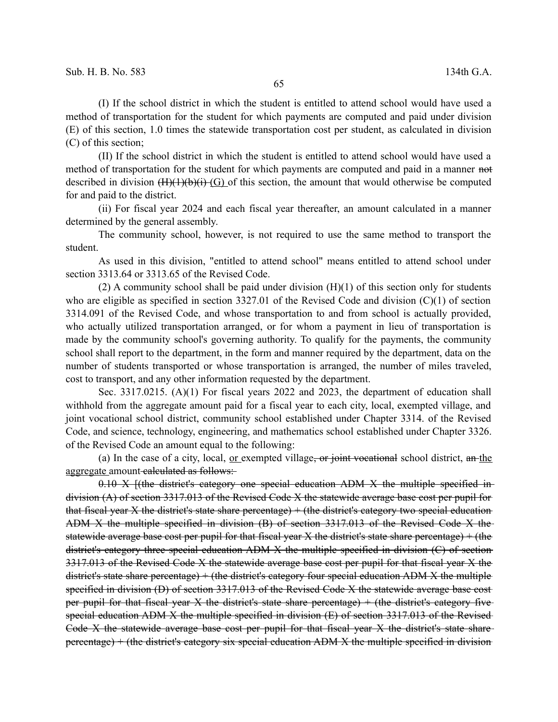(I) If the school district in which the student is entitled to attend school would have used a method of transportation for the student for which payments are computed and paid under division (E) of this section, 1.0 times the statewide transportation cost per student, as calculated in division (C) of this section;

(II) If the school district in which the student is entitled to attend school would have used a method of transportation for the student for which payments are computed and paid in a manner not described in division  $(H)(H)(b)(i)$  (G) of this section, the amount that would otherwise be computed for and paid to the district.

(ii) For fiscal year 2024 and each fiscal year thereafter, an amount calculated in a manner determined by the general assembly.

The community school, however, is not required to use the same method to transport the student.

As used in this division, "entitled to attend school" means entitled to attend school under section 3313.64 or 3313.65 of the Revised Code.

(2) A community school shall be paid under division  $(H)(1)$  of this section only for students who are eligible as specified in section 3327.01 of the Revised Code and division (C)(1) of section 3314.091 of the Revised Code, and whose transportation to and from school is actually provided, who actually utilized transportation arranged, or for whom a payment in lieu of transportation is made by the community school's governing authority. To qualify for the payments, the community school shall report to the department, in the form and manner required by the department, data on the number of students transported or whose transportation is arranged, the number of miles traveled, cost to transport, and any other information requested by the department.

Sec. 3317.0215. (A)(1) For fiscal years 2022 and 2023, the department of education shall withhold from the aggregate amount paid for a fiscal year to each city, local, exempted village, and joint vocational school district, community school established under Chapter 3314. of the Revised Code, and science, technology, engineering, and mathematics school established under Chapter 3326. of the Revised Code an amount equal to the following:

(a) In the case of a city, local, <u>or exempted village, or joint vocational</u> school district,  $a_n$ -the aggregate amount calculated as follows:

 $0.10 \text{ X}$  [(the district's category one special education ADM X the multiple specified indivision (A) of section 3317.013 of the Revised Code X the statewide average base cost per pupil for that fiscal year X the district's state share percentage)  $+$  (the district's category two special education ADM X the multiple specified in division (B) of section 3317.013 of the Revised Code X the statewide average base cost per pupil for that fiscal year X the district's state share percentage) + (the district's category three special education ADM X the multiple specified in division (C) of section 3317.013 of the Revised Code X the statewide average base cost per pupil for that fiscal year X the district's state share percentage) + (the district's category four special education ADM X the multiple specified in division (D) of section 3317.013 of the Revised Code X the statewide average base cost per pupil for that fiscal year X the district's state share percentage)  $+$  (the district's category five special education ADM X the multiple specified in division (E) of section 3317.013 of the Revised Code X the statewide average base cost per pupil for that fiscal year X the district's state share percentage) + (the district's category six special education ADM X the multiple specified in division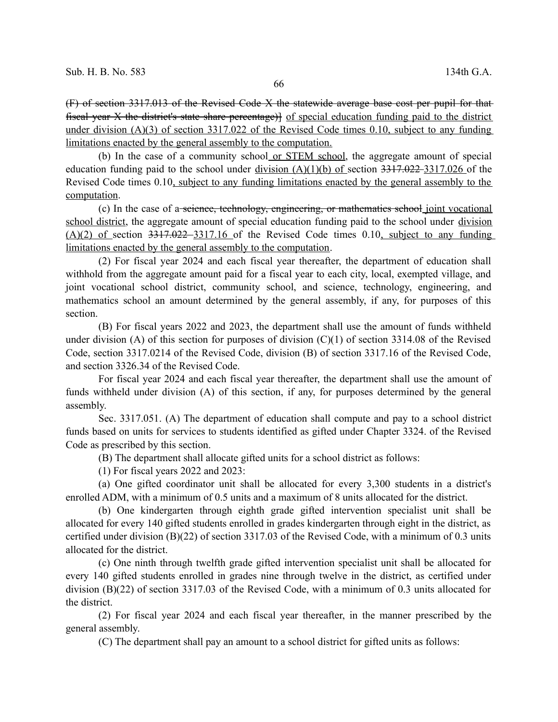(F) of section 3317.013 of the Revised Code X the statewide average base cost per pupil for that fiscal year X the district's state share percentage)] of special education funding paid to the district under division (A)(3) of section 3317.022 of the Revised Code times 0.10, subject to any funding limitations enacted by the general assembly to the computation.

(b) In the case of a community school or STEM school, the aggregate amount of special education funding paid to the school under division  $(A)(1)(b)$  of section 3317.022-3317.026 of the Revised Code times 0.10, subject to any funding limitations enacted by the general assembly to the computation.

(c) In the case of a-seience, technology, engineering, or mathematics school joint vocational school district, the aggregate amount of special education funding paid to the school under division  $(A)(2)$  of section 3317.022–3317.16 of the Revised Code times 0.10, subject to any funding limitations enacted by the general assembly to the computation.

(2) For fiscal year 2024 and each fiscal year thereafter, the department of education shall withhold from the aggregate amount paid for a fiscal year to each city, local, exempted village, and joint vocational school district, community school, and science, technology, engineering, and mathematics school an amount determined by the general assembly, if any, for purposes of this section.

(B) For fiscal years 2022 and 2023, the department shall use the amount of funds withheld under division (A) of this section for purposes of division (C)(1) of section 3314.08 of the Revised Code, section 3317.0214 of the Revised Code, division (B) of section 3317.16 of the Revised Code, and section 3326.34 of the Revised Code.

For fiscal year 2024 and each fiscal year thereafter, the department shall use the amount of funds withheld under division (A) of this section, if any, for purposes determined by the general assembly.

Sec. 3317.051. (A) The department of education shall compute and pay to a school district funds based on units for services to students identified as gifted under Chapter 3324. of the Revised Code as prescribed by this section.

(B) The department shall allocate gifted units for a school district as follows:

(1) For fiscal years 2022 and 2023:

(a) One gifted coordinator unit shall be allocated for every 3,300 students in a district's enrolled ADM, with a minimum of 0.5 units and a maximum of 8 units allocated for the district.

(b) One kindergarten through eighth grade gifted intervention specialist unit shall be allocated for every 140 gifted students enrolled in grades kindergarten through eight in the district, as certified under division (B)(22) of section 3317.03 of the Revised Code, with a minimum of 0.3 units allocated for the district.

(c) One ninth through twelfth grade gifted intervention specialist unit shall be allocated for every 140 gifted students enrolled in grades nine through twelve in the district, as certified under division (B)(22) of section 3317.03 of the Revised Code, with a minimum of 0.3 units allocated for the district.

(2) For fiscal year 2024 and each fiscal year thereafter, in the manner prescribed by the general assembly.

(C) The department shall pay an amount to a school district for gifted units as follows: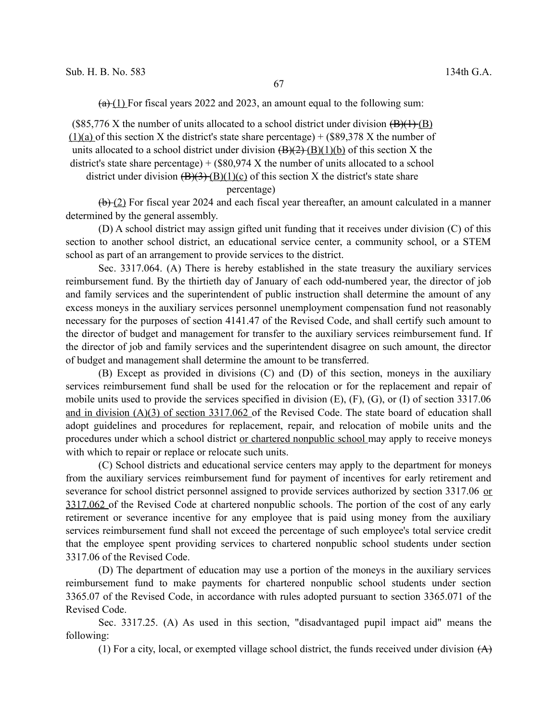$(a)+(1)$  For fiscal years 2022 and 2023, an amount equal to the following sum:

 $(\$85,776$  X the number of units allocated to a school district under division  $(\frac{B}{(1)}(\frac{B}{B}))$  $(1)(a)$  of this section X the district's state share percentage) + (\$89,378 X the number of units allocated to a school district under division  $\left(\frac{B}{2}(2) \cdot (B)(1)(b)\right)$  of this section X the district's state share percentage)  $+$  (\$80,974 X the number of units allocated to a school district under division  $(B)(3)$  (B)(1)(c) of this section X the district's state share

## percentage)

 $(b)$  (2) For fiscal year 2024 and each fiscal year thereafter, an amount calculated in a manner determined by the general assembly.

(D) A school district may assign gifted unit funding that it receives under division (C) of this section to another school district, an educational service center, a community school, or a STEM school as part of an arrangement to provide services to the district.

Sec. 3317.064. (A) There is hereby established in the state treasury the auxiliary services reimbursement fund. By the thirtieth day of January of each odd-numbered year, the director of job and family services and the superintendent of public instruction shall determine the amount of any excess moneys in the auxiliary services personnel unemployment compensation fund not reasonably necessary for the purposes of section 4141.47 of the Revised Code, and shall certify such amount to the director of budget and management for transfer to the auxiliary services reimbursement fund. If the director of job and family services and the superintendent disagree on such amount, the director of budget and management shall determine the amount to be transferred.

(B) Except as provided in divisions (C) and (D) of this section, moneys in the auxiliary services reimbursement fund shall be used for the relocation or for the replacement and repair of mobile units used to provide the services specified in division (E), (F), (G), or (I) of section 3317.06 and in division (A)(3) of section 3317.062 of the Revised Code. The state board of education shall adopt guidelines and procedures for replacement, repair, and relocation of mobile units and the procedures under which a school district or chartered nonpublic school may apply to receive moneys with which to repair or replace or relocate such units.

(C) School districts and educational service centers may apply to the department for moneys from the auxiliary services reimbursement fund for payment of incentives for early retirement and severance for school district personnel assigned to provide services authorized by section 3317.06 or 3317.062 of the Revised Code at chartered nonpublic schools. The portion of the cost of any early retirement or severance incentive for any employee that is paid using money from the auxiliary services reimbursement fund shall not exceed the percentage of such employee's total service credit that the employee spent providing services to chartered nonpublic school students under section 3317.06 of the Revised Code.

(D) The department of education may use a portion of the moneys in the auxiliary services reimbursement fund to make payments for chartered nonpublic school students under section 3365.07 of the Revised Code, in accordance with rules adopted pursuant to section 3365.071 of the Revised Code.

Sec. 3317.25. (A) As used in this section, "disadvantaged pupil impact aid" means the following:

(1) For a city, local, or exempted village school district, the funds received under division  $(A)$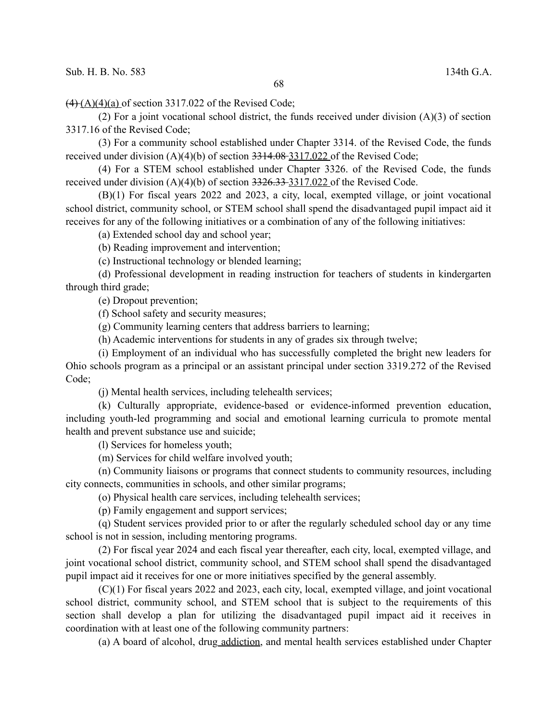$(4)$  (A)(4)(a) of section 3317.022 of the Revised Code;

(2) For a joint vocational school district, the funds received under division (A)(3) of section 3317.16 of the Revised Code;

(3) For a community school established under Chapter 3314. of the Revised Code, the funds received under division (A)(4)(b) of section 3314.08 3317.022 of the Revised Code;

(4) For a STEM school established under Chapter 3326. of the Revised Code, the funds received under division (A)(4)(b) of section 3326.33 3317.022 of the Revised Code.

(B)(1) For fiscal years 2022 and 2023, a city, local, exempted village, or joint vocational school district, community school, or STEM school shall spend the disadvantaged pupil impact aid it receives for any of the following initiatives or a combination of any of the following initiatives:

(a) Extended school day and school year;

(b) Reading improvement and intervention;

(c) Instructional technology or blended learning;

(d) Professional development in reading instruction for teachers of students in kindergarten through third grade;

(e) Dropout prevention;

(f) School safety and security measures;

(g) Community learning centers that address barriers to learning;

(h) Academic interventions for students in any of grades six through twelve;

(i) Employment of an individual who has successfully completed the bright new leaders for Ohio schools program as a principal or an assistant principal under section 3319.272 of the Revised Code;

(j) Mental health services, including telehealth services;

(k) Culturally appropriate, evidence-based or evidence-informed prevention education, including youth-led programming and social and emotional learning curricula to promote mental health and prevent substance use and suicide;

(l) Services for homeless youth;

(m) Services for child welfare involved youth;

(n) Community liaisons or programs that connect students to community resources, including city connects, communities in schools, and other similar programs;

(o) Physical health care services, including telehealth services;

(p) Family engagement and support services;

(q) Student services provided prior to or after the regularly scheduled school day or any time school is not in session, including mentoring programs.

(2) For fiscal year 2024 and each fiscal year thereafter, each city, local, exempted village, and joint vocational school district, community school, and STEM school shall spend the disadvantaged pupil impact aid it receives for one or more initiatives specified by the general assembly.

(C)(1) For fiscal years 2022 and 2023, each city, local, exempted village, and joint vocational school district, community school, and STEM school that is subject to the requirements of this section shall develop a plan for utilizing the disadvantaged pupil impact aid it receives in coordination with at least one of the following community partners:

(a) A board of alcohol, drug addiction, and mental health services established under Chapter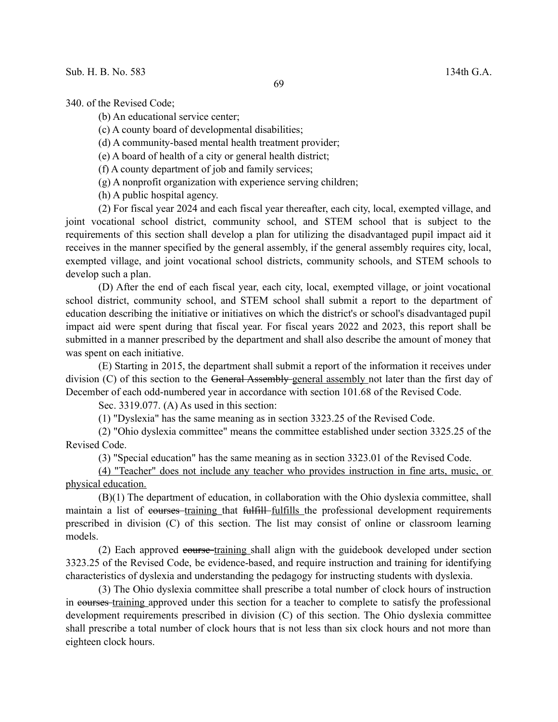340. of the Revised Code;

(b) An educational service center;

(c) A county board of developmental disabilities;

(d) A community-based mental health treatment provider;

(e) A board of health of a city or general health district;

(f) A county department of job and family services;

(g) A nonprofit organization with experience serving children;

(h) A public hospital agency.

(2) For fiscal year 2024 and each fiscal year thereafter, each city, local, exempted village, and joint vocational school district, community school, and STEM school that is subject to the requirements of this section shall develop a plan for utilizing the disadvantaged pupil impact aid it receives in the manner specified by the general assembly, if the general assembly requires city, local, exempted village, and joint vocational school districts, community schools, and STEM schools to develop such a plan.

(D) After the end of each fiscal year, each city, local, exempted village, or joint vocational school district, community school, and STEM school shall submit a report to the department of education describing the initiative or initiatives on which the district's or school's disadvantaged pupil impact aid were spent during that fiscal year. For fiscal years 2022 and 2023, this report shall be submitted in a manner prescribed by the department and shall also describe the amount of money that was spent on each initiative.

(E) Starting in 2015, the department shall submit a report of the information it receives under division (C) of this section to the General Assembly-general assembly not later than the first day of December of each odd-numbered year in accordance with section 101.68 of the Revised Code.

Sec. 3319.077. (A) As used in this section:

(1) "Dyslexia" has the same meaning as in section 3323.25 of the Revised Code.

(2) "Ohio dyslexia committee" means the committee established under section 3325.25 of the Revised Code.

(3) "Special education" has the same meaning as in section 3323.01 of the Revised Code.

(4) "Teacher" does not include any teacher who provides instruction in fine arts, music, or physical education.

(B)(1) The department of education, in collaboration with the Ohio dyslexia committee, shall maintain a list of courses training that fulfill fulfills the professional development requirements prescribed in division (C) of this section. The list may consist of online or classroom learning models.

(2) Each approved course training shall align with the guidebook developed under section 3323.25 of the Revised Code, be evidence-based, and require instruction and training for identifying characteristics of dyslexia and understanding the pedagogy for instructing students with dyslexia.

(3) The Ohio dyslexia committee shall prescribe a total number of clock hours of instruction in courses training approved under this section for a teacher to complete to satisfy the professional development requirements prescribed in division (C) of this section. The Ohio dyslexia committee shall prescribe a total number of clock hours that is not less than six clock hours and not more than eighteen clock hours.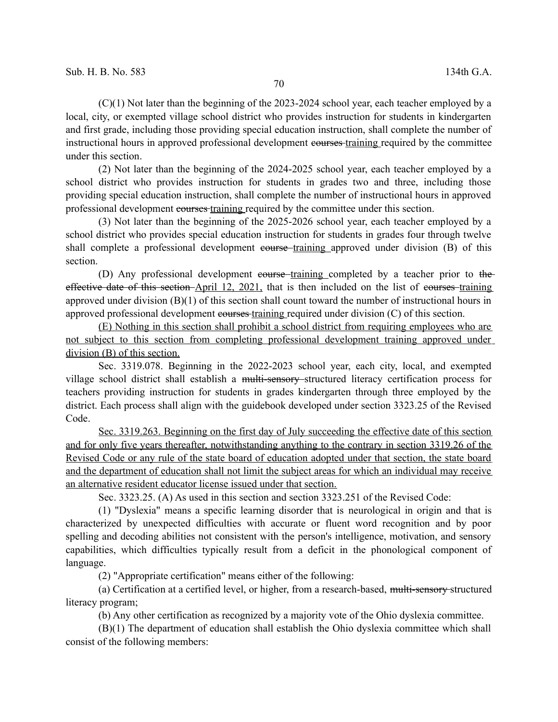(C)(1) Not later than the beginning of the 2023-2024 school year, each teacher employed by a local, city, or exempted village school district who provides instruction for students in kindergarten and first grade, including those providing special education instruction, shall complete the number of instructional hours in approved professional development courses training required by the committee under this section.

(2) Not later than the beginning of the 2024-2025 school year, each teacher employed by a school district who provides instruction for students in grades two and three, including those providing special education instruction, shall complete the number of instructional hours in approved professional development courses training required by the committee under this section.

(3) Not later than the beginning of the 2025-2026 school year, each teacher employed by a school district who provides special education instruction for students in grades four through twelve shall complete a professional development equivalent course training approved under division (B) of this section.

(D) Any professional development course training completed by a teacher prior to the effective date of this section-April 12, 2021, that is then included on the list of courses-training approved under division (B)(1) of this section shall count toward the number of instructional hours in approved professional development courses training required under division (C) of this section.

(E) Nothing in this section shall prohibit a school district from requiring employees who are not subject to this section from completing professional development training approved under division (B) of this section.

Sec. 3319.078. Beginning in the 2022-2023 school year, each city, local, and exempted village school district shall establish a multi-sensory structured literacy certification process for teachers providing instruction for students in grades kindergarten through three employed by the district. Each process shall align with the guidebook developed under section 3323.25 of the Revised Code.

 Sec. 3319.263. Beginning on the first day of July succeeding the effective date of this section and for only five years thereafter, notwithstanding anything to the contrary in section 3319.26 of the Revised Code or any rule of the state board of education adopted under that section, the state board and the department of education shall not limit the subject areas for which an individual may receive an alternative resident educator license issued under that section.

Sec. 3323.25. (A) As used in this section and section 3323.251 of the Revised Code:

(1) "Dyslexia" means a specific learning disorder that is neurological in origin and that is characterized by unexpected difficulties with accurate or fluent word recognition and by poor spelling and decoding abilities not consistent with the person's intelligence, motivation, and sensory capabilities, which difficulties typically result from a deficit in the phonological component of language.

(2) "Appropriate certification" means either of the following:

(a) Certification at a certified level, or higher, from a research-based, multi-sensory structured literacy program;

(b) Any other certification as recognized by a majority vote of the Ohio dyslexia committee.

(B)(1) The department of education shall establish the Ohio dyslexia committee which shall consist of the following members: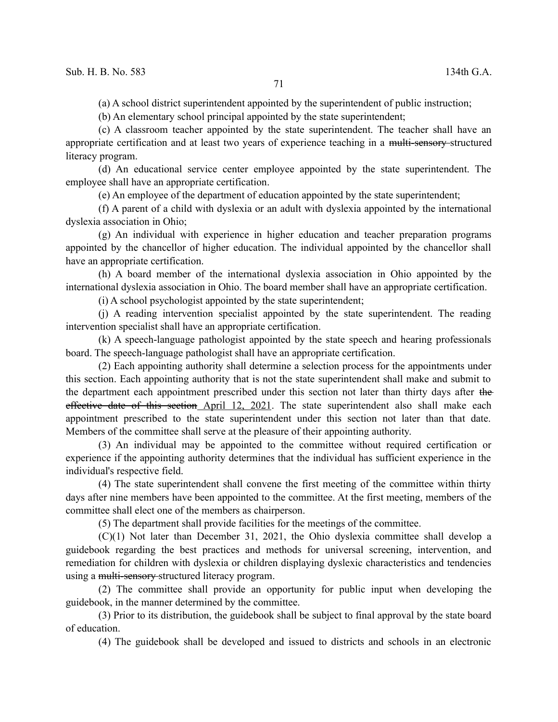(a) A school district superintendent appointed by the superintendent of public instruction;

(b) An elementary school principal appointed by the state superintendent;

(c) A classroom teacher appointed by the state superintendent. The teacher shall have an appropriate certification and at least two years of experience teaching in a multi-sensory structured literacy program.

(d) An educational service center employee appointed by the state superintendent. The employee shall have an appropriate certification.

(e) An employee of the department of education appointed by the state superintendent;

(f) A parent of a child with dyslexia or an adult with dyslexia appointed by the international dyslexia association in Ohio;

(g) An individual with experience in higher education and teacher preparation programs appointed by the chancellor of higher education. The individual appointed by the chancellor shall have an appropriate certification.

(h) A board member of the international dyslexia association in Ohio appointed by the international dyslexia association in Ohio. The board member shall have an appropriate certification.

(i) A school psychologist appointed by the state superintendent;

(j) A reading intervention specialist appointed by the state superintendent. The reading intervention specialist shall have an appropriate certification.

(k) A speech-language pathologist appointed by the state speech and hearing professionals board. The speech-language pathologist shall have an appropriate certification.

(2) Each appointing authority shall determine a selection process for the appointments under this section. Each appointing authority that is not the state superintendent shall make and submit to the department each appointment prescribed under this section not later than thirty days after the effective date of this section April 12, 2021. The state superintendent also shall make each appointment prescribed to the state superintendent under this section not later than that date. Members of the committee shall serve at the pleasure of their appointing authority.

(3) An individual may be appointed to the committee without required certification or experience if the appointing authority determines that the individual has sufficient experience in the individual's respective field.

(4) The state superintendent shall convene the first meeting of the committee within thirty days after nine members have been appointed to the committee. At the first meeting, members of the committee shall elect one of the members as chairperson.

(5) The department shall provide facilities for the meetings of the committee.

(C)(1) Not later than December 31, 2021, the Ohio dyslexia committee shall develop a guidebook regarding the best practices and methods for universal screening, intervention, and remediation for children with dyslexia or children displaying dyslexic characteristics and tendencies using a multi-sensory structured literacy program.

(2) The committee shall provide an opportunity for public input when developing the guidebook, in the manner determined by the committee.

(3) Prior to its distribution, the guidebook shall be subject to final approval by the state board of education.

(4) The guidebook shall be developed and issued to districts and schools in an electronic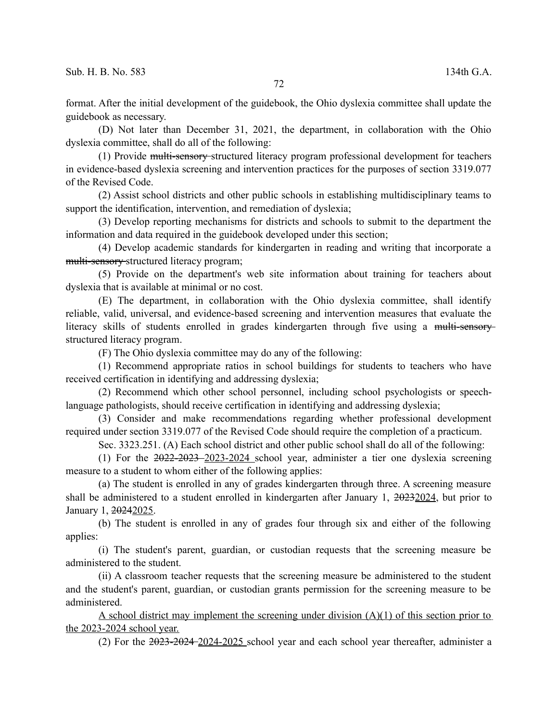format. After the initial development of the guidebook, the Ohio dyslexia committee shall update the guidebook as necessary.

(D) Not later than December 31, 2021, the department, in collaboration with the Ohio dyslexia committee, shall do all of the following:

(1) Provide multi-sensory structured literacy program professional development for teachers in evidence-based dyslexia screening and intervention practices for the purposes of section 3319.077 of the Revised Code.

(2) Assist school districts and other public schools in establishing multidisciplinary teams to support the identification, intervention, and remediation of dyslexia;

(3) Develop reporting mechanisms for districts and schools to submit to the department the information and data required in the guidebook developed under this section;

(4) Develop academic standards for kindergarten in reading and writing that incorporate a multi-sensory structured literacy program;

(5) Provide on the department's web site information about training for teachers about dyslexia that is available at minimal or no cost.

(E) The department, in collaboration with the Ohio dyslexia committee, shall identify reliable, valid, universal, and evidence-based screening and intervention measures that evaluate the literacy skills of students enrolled in grades kindergarten through five using a multi-sensorystructured literacy program.

(F) The Ohio dyslexia committee may do any of the following:

(1) Recommend appropriate ratios in school buildings for students to teachers who have received certification in identifying and addressing dyslexia;

(2) Recommend which other school personnel, including school psychologists or speechlanguage pathologists, should receive certification in identifying and addressing dyslexia;

(3) Consider and make recommendations regarding whether professional development required under section 3319.077 of the Revised Code should require the completion of a practicum.

Sec. 3323.251. (A) Each school district and other public school shall do all of the following:

(1) For the 2022-2023 2023-2024 school year, administer a tier one dyslexia screening measure to a student to whom either of the following applies:

(a) The student is enrolled in any of grades kindergarten through three. A screening measure shall be administered to a student enrolled in kindergarten after January 1, 20232024, but prior to January 1, 20242025.

(b) The student is enrolled in any of grades four through six and either of the following applies:

(i) The student's parent, guardian, or custodian requests that the screening measure be administered to the student.

(ii) A classroom teacher requests that the screening measure be administered to the student and the student's parent, guardian, or custodian grants permission for the screening measure to be administered.

A school district may implement the screening under division (A)(1) of this section prior to the 2023-2024 school year.

(2) For the 2023-2024 2024-2025 school year and each school year thereafter, administer a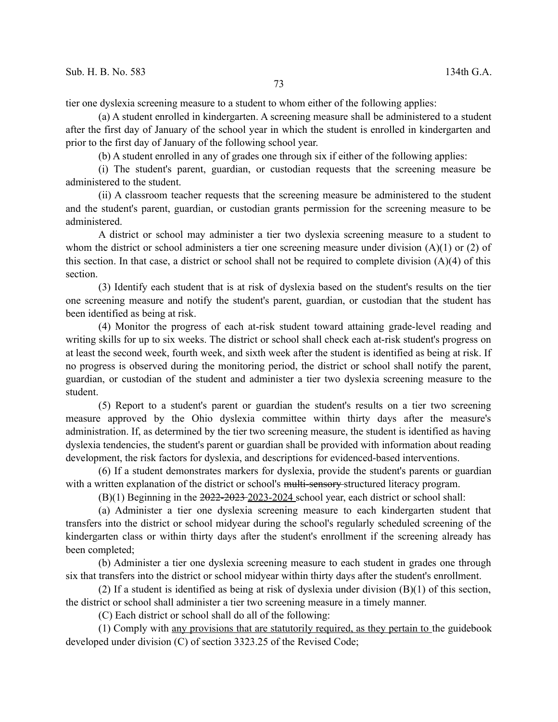tier one dyslexia screening measure to a student to whom either of the following applies:

(a) A student enrolled in kindergarten. A screening measure shall be administered to a student after the first day of January of the school year in which the student is enrolled in kindergarten and prior to the first day of January of the following school year.

(b) A student enrolled in any of grades one through six if either of the following applies:

(i) The student's parent, guardian, or custodian requests that the screening measure be administered to the student.

(ii) A classroom teacher requests that the screening measure be administered to the student and the student's parent, guardian, or custodian grants permission for the screening measure to be administered.

A district or school may administer a tier two dyslexia screening measure to a student to whom the district or school administers a tier one screening measure under division (A)(1) or (2) of this section. In that case, a district or school shall not be required to complete division (A)(4) of this section.

(3) Identify each student that is at risk of dyslexia based on the student's results on the tier one screening measure and notify the student's parent, guardian, or custodian that the student has been identified as being at risk.

(4) Monitor the progress of each at-risk student toward attaining grade-level reading and writing skills for up to six weeks. The district or school shall check each at-risk student's progress on at least the second week, fourth week, and sixth week after the student is identified as being at risk. If no progress is observed during the monitoring period, the district or school shall notify the parent, guardian, or custodian of the student and administer a tier two dyslexia screening measure to the student.

(5) Report to a student's parent or guardian the student's results on a tier two screening measure approved by the Ohio dyslexia committee within thirty days after the measure's administration. If, as determined by the tier two screening measure, the student is identified as having dyslexia tendencies, the student's parent or guardian shall be provided with information about reading development, the risk factors for dyslexia, and descriptions for evidenced-based interventions.

(6) If a student demonstrates markers for dyslexia, provide the student's parents or guardian with a written explanation of the district or school's multi-sensory-structured literacy program.

(B)(1) Beginning in the 2022-2023 2023-2024 school year, each district or school shall:

(a) Administer a tier one dyslexia screening measure to each kindergarten student that transfers into the district or school midyear during the school's regularly scheduled screening of the kindergarten class or within thirty days after the student's enrollment if the screening already has been completed;

(b) Administer a tier one dyslexia screening measure to each student in grades one through six that transfers into the district or school midyear within thirty days after the student's enrollment.

(2) If a student is identified as being at risk of dyslexia under division (B)(1) of this section, the district or school shall administer a tier two screening measure in a timely manner.

(C) Each district or school shall do all of the following:

(1) Comply with any provisions that are statutorily required, as they pertain to the guidebook developed under division (C) of section 3323.25 of the Revised Code;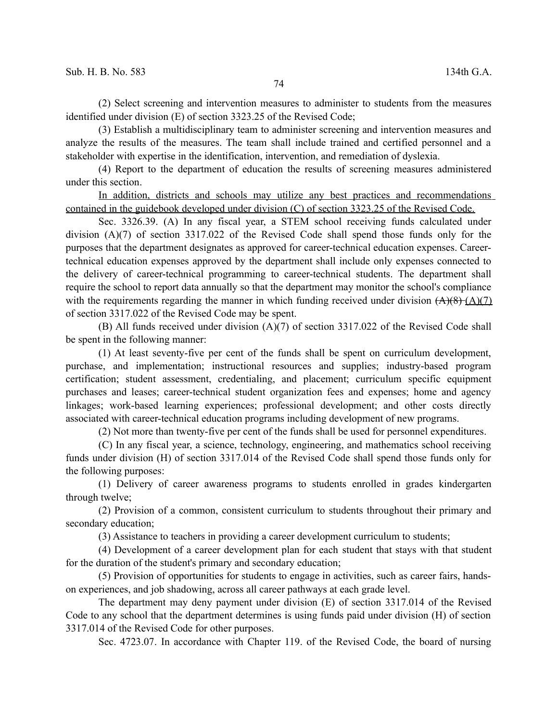(2) Select screening and intervention measures to administer to students from the measures identified under division (E) of section 3323.25 of the Revised Code;

(3) Establish a multidisciplinary team to administer screening and intervention measures and analyze the results of the measures. The team shall include trained and certified personnel and a stakeholder with expertise in the identification, intervention, and remediation of dyslexia.

(4) Report to the department of education the results of screening measures administered under this section.

In addition, districts and schools may utilize any best practices and recommendations contained in the guidebook developed under division (C) of section 3323.25 of the Revised Code.

Sec. 3326.39. (A) In any fiscal year, a STEM school receiving funds calculated under division (A)(7) of section 3317.022 of the Revised Code shall spend those funds only for the purposes that the department designates as approved for career-technical education expenses. Careertechnical education expenses approved by the department shall include only expenses connected to the delivery of career-technical programming to career-technical students. The department shall require the school to report data annually so that the department may monitor the school's compliance with the requirements regarding the manner in which funding received under division  $(A)(8)$   $(A)(7)$ of section 3317.022 of the Revised Code may be spent.

(B) All funds received under division (A)(7) of section 3317.022 of the Revised Code shall be spent in the following manner:

(1) At least seventy-five per cent of the funds shall be spent on curriculum development, purchase, and implementation; instructional resources and supplies; industry-based program certification; student assessment, credentialing, and placement; curriculum specific equipment purchases and leases; career-technical student organization fees and expenses; home and agency linkages; work-based learning experiences; professional development; and other costs directly associated with career-technical education programs including development of new programs.

(2) Not more than twenty-five per cent of the funds shall be used for personnel expenditures.

(C) In any fiscal year, a science, technology, engineering, and mathematics school receiving funds under division (H) of section 3317.014 of the Revised Code shall spend those funds only for the following purposes:

(1) Delivery of career awareness programs to students enrolled in grades kindergarten through twelve;

(2) Provision of a common, consistent curriculum to students throughout their primary and secondary education;

(3) Assistance to teachers in providing a career development curriculum to students;

(4) Development of a career development plan for each student that stays with that student for the duration of the student's primary and secondary education;

(5) Provision of opportunities for students to engage in activities, such as career fairs, handson experiences, and job shadowing, across all career pathways at each grade level.

The department may deny payment under division (E) of section 3317.014 of the Revised Code to any school that the department determines is using funds paid under division (H) of section 3317.014 of the Revised Code for other purposes.

Sec. 4723.07. In accordance with Chapter 119. of the Revised Code, the board of nursing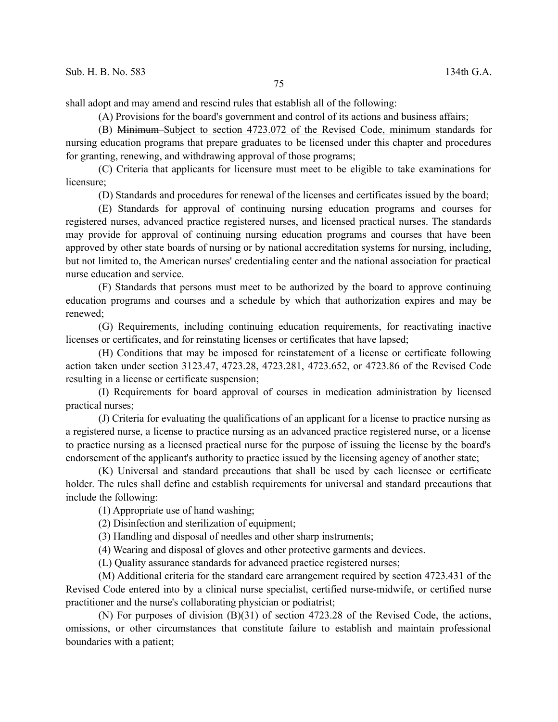shall adopt and may amend and rescind rules that establish all of the following:

(A) Provisions for the board's government and control of its actions and business affairs;

(B) Minimum Subject to section 4723.072 of the Revised Code, minimum standards for nursing education programs that prepare graduates to be licensed under this chapter and procedures for granting, renewing, and withdrawing approval of those programs;

(C) Criteria that applicants for licensure must meet to be eligible to take examinations for licensure;

(D) Standards and procedures for renewal of the licenses and certificates issued by the board;

(E) Standards for approval of continuing nursing education programs and courses for registered nurses, advanced practice registered nurses, and licensed practical nurses. The standards may provide for approval of continuing nursing education programs and courses that have been approved by other state boards of nursing or by national accreditation systems for nursing, including, but not limited to, the American nurses' credentialing center and the national association for practical nurse education and service.

(F) Standards that persons must meet to be authorized by the board to approve continuing education programs and courses and a schedule by which that authorization expires and may be renewed;

(G) Requirements, including continuing education requirements, for reactivating inactive licenses or certificates, and for reinstating licenses or certificates that have lapsed;

(H) Conditions that may be imposed for reinstatement of a license or certificate following action taken under section 3123.47, 4723.28, 4723.281, 4723.652, or 4723.86 of the Revised Code resulting in a license or certificate suspension;

(I) Requirements for board approval of courses in medication administration by licensed practical nurses;

(J) Criteria for evaluating the qualifications of an applicant for a license to practice nursing as a registered nurse, a license to practice nursing as an advanced practice registered nurse, or a license to practice nursing as a licensed practical nurse for the purpose of issuing the license by the board's endorsement of the applicant's authority to practice issued by the licensing agency of another state;

(K) Universal and standard precautions that shall be used by each licensee or certificate holder. The rules shall define and establish requirements for universal and standard precautions that include the following:

(1) Appropriate use of hand washing;

(2) Disinfection and sterilization of equipment;

(3) Handling and disposal of needles and other sharp instruments;

(4) Wearing and disposal of gloves and other protective garments and devices.

(L) Quality assurance standards for advanced practice registered nurses;

(M) Additional criteria for the standard care arrangement required by section 4723.431 of the Revised Code entered into by a clinical nurse specialist, certified nurse-midwife, or certified nurse practitioner and the nurse's collaborating physician or podiatrist;

(N) For purposes of division (B)(31) of section 4723.28 of the Revised Code, the actions, omissions, or other circumstances that constitute failure to establish and maintain professional boundaries with a patient;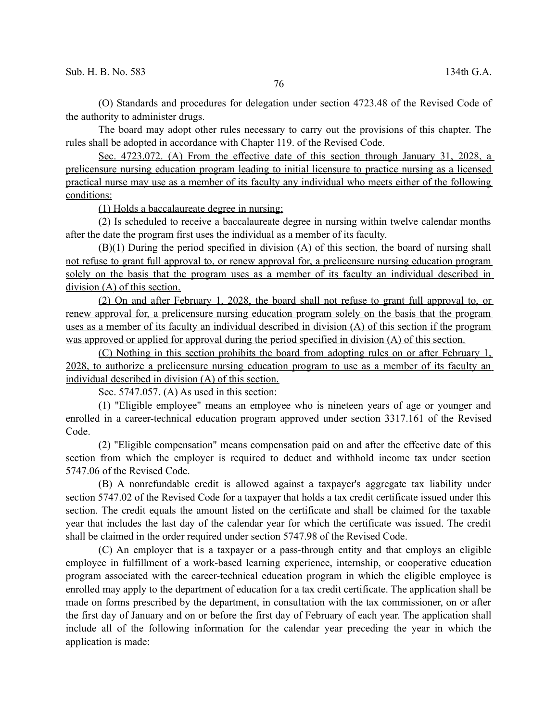(O) Standards and procedures for delegation under section 4723.48 of the Revised Code of the authority to administer drugs.

The board may adopt other rules necessary to carry out the provisions of this chapter. The rules shall be adopted in accordance with Chapter 119. of the Revised Code.

 Sec. 4723.072. (A) From the effective date of this section through January 31, 2028, a prelicensure nursing education program leading to initial licensure to practice nursing as a licensed practical nurse may use as a member of its faculty any individual who meets either of the following conditions:

(1) Holds a baccalaureate degree in nursing;

(2) Is scheduled to receive a baccalaureate degree in nursing within twelve calendar months after the date the program first uses the individual as a member of its faculty.

(B)(1) During the period specified in division (A) of this section, the board of nursing shall not refuse to grant full approval to, or renew approval for, a prelicensure nursing education program solely on the basis that the program uses as a member of its faculty an individual described in division (A) of this section.

(2) On and after February 1, 2028, the board shall not refuse to grant full approval to, or renew approval for, a prelicensure nursing education program solely on the basis that the program uses as a member of its faculty an individual described in division (A) of this section if the program was approved or applied for approval during the period specified in division (A) of this section.

(C) Nothing in this section prohibits the board from adopting rules on or after February 1, 2028, to authorize a prelicensure nursing education program to use as a member of its faculty an individual described in division (A) of this section.

Sec. 5747.057. (A) As used in this section:

(1) "Eligible employee" means an employee who is nineteen years of age or younger and enrolled in a career-technical education program approved under section 3317.161 of the Revised Code.

(2) "Eligible compensation" means compensation paid on and after the effective date of this section from which the employer is required to deduct and withhold income tax under section 5747.06 of the Revised Code.

(B) A nonrefundable credit is allowed against a taxpayer's aggregate tax liability under section 5747.02 of the Revised Code for a taxpayer that holds a tax credit certificate issued under this section. The credit equals the amount listed on the certificate and shall be claimed for the taxable year that includes the last day of the calendar year for which the certificate was issued. The credit shall be claimed in the order required under section 5747.98 of the Revised Code.

(C) An employer that is a taxpayer or a pass-through entity and that employs an eligible employee in fulfillment of a work-based learning experience, internship, or cooperative education program associated with the career-technical education program in which the eligible employee is enrolled may apply to the department of education for a tax credit certificate. The application shall be made on forms prescribed by the department, in consultation with the tax commissioner, on or after the first day of January and on or before the first day of February of each year. The application shall include all of the following information for the calendar year preceding the year in which the application is made: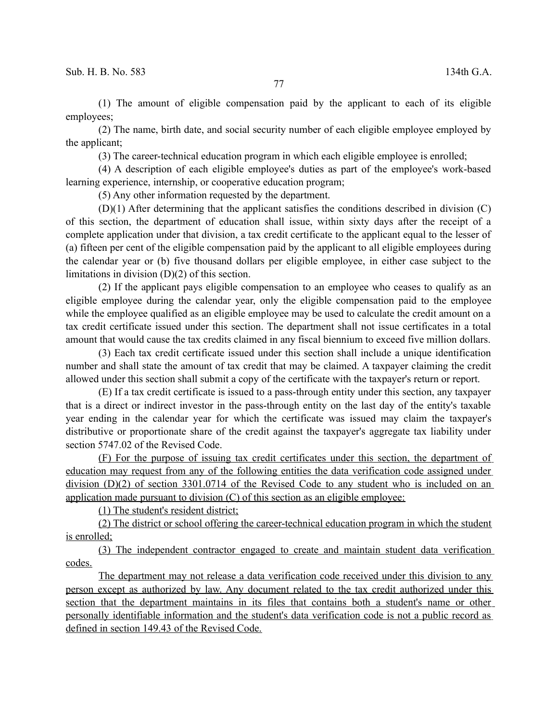(1) The amount of eligible compensation paid by the applicant to each of its eligible employees;

(2) The name, birth date, and social security number of each eligible employee employed by the applicant;

(3) The career-technical education program in which each eligible employee is enrolled;

(4) A description of each eligible employee's duties as part of the employee's work-based learning experience, internship, or cooperative education program;

(5) Any other information requested by the department.

(D)(1) After determining that the applicant satisfies the conditions described in division (C) of this section, the department of education shall issue, within sixty days after the receipt of a complete application under that division, a tax credit certificate to the applicant equal to the lesser of (a) fifteen per cent of the eligible compensation paid by the applicant to all eligible employees during the calendar year or (b) five thousand dollars per eligible employee, in either case subject to the limitations in division (D)(2) of this section.

(2) If the applicant pays eligible compensation to an employee who ceases to qualify as an eligible employee during the calendar year, only the eligible compensation paid to the employee while the employee qualified as an eligible employee may be used to calculate the credit amount on a tax credit certificate issued under this section. The department shall not issue certificates in a total amount that would cause the tax credits claimed in any fiscal biennium to exceed five million dollars.

(3) Each tax credit certificate issued under this section shall include a unique identification number and shall state the amount of tax credit that may be claimed. A taxpayer claiming the credit allowed under this section shall submit a copy of the certificate with the taxpayer's return or report.

(E) If a tax credit certificate is issued to a pass-through entity under this section, any taxpayer that is a direct or indirect investor in the pass-through entity on the last day of the entity's taxable year ending in the calendar year for which the certificate was issued may claim the taxpayer's distributive or proportionate share of the credit against the taxpayer's aggregate tax liability under section 5747.02 of the Revised Code.

(F) For the purpose of issuing tax credit certificates under this section, the department of education may request from any of the following entities the data verification code assigned under division (D)(2) of section 3301.0714 of the Revised Code to any student who is included on an application made pursuant to division (C) of this section as an eligible employee:

(1) The student's resident district;

(2) The district or school offering the career-technical education program in which the student is enrolled;

(3) The independent contractor engaged to create and maintain student data verification codes.

The department may not release a data verification code received under this division to any person except as authorized by law. Any document related to the tax credit authorized under this section that the department maintains in its files that contains both a student's name or other personally identifiable information and the student's data verification code is not a public record as defined in section 149.43 of the Revised Code.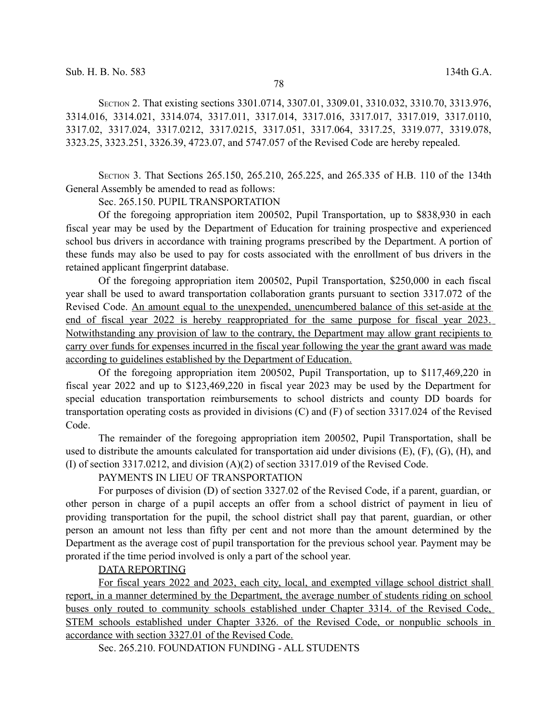SECTION 2. That existing sections 3301.0714, 3307.01, 3309.01, 3310.032, 3310.70, 3313.976, 3314.016, 3314.021, 3314.074, 3317.011, 3317.014, 3317.016, 3317.017, 3317.019, 3317.0110, 3317.02, 3317.024, 3317.0212, 3317.0215, 3317.051, 3317.064, 3317.25, 3319.077, 3319.078, 3323.25, 3323.251, 3326.39, 4723.07, and 5747.057 of the Revised Code are hereby repealed.

SECTION 3. That Sections 265.150, 265.210, 265.225, and 265.335 of H.B. 110 of the 134th General Assembly be amended to read as follows:

Sec. 265.150. PUPIL TRANSPORTATION

Of the foregoing appropriation item 200502, Pupil Transportation, up to \$838,930 in each fiscal year may be used by the Department of Education for training prospective and experienced school bus drivers in accordance with training programs prescribed by the Department. A portion of these funds may also be used to pay for costs associated with the enrollment of bus drivers in the retained applicant fingerprint database.

Of the foregoing appropriation item 200502, Pupil Transportation, \$250,000 in each fiscal year shall be used to award transportation collaboration grants pursuant to section 3317.072 of the Revised Code. An amount equal to the unexpended, unencumbered balance of this set-aside at the end of fiscal year 2022 is hereby reappropriated for the same purpose for fiscal year 2023. Notwithstanding any provision of law to the contrary, the Department may allow grant recipients to carry over funds for expenses incurred in the fiscal year following the year the grant award was made according to guidelines established by the Department of Education.

Of the foregoing appropriation item 200502, Pupil Transportation, up to \$117,469,220 in fiscal year 2022 and up to \$123,469,220 in fiscal year 2023 may be used by the Department for special education transportation reimbursements to school districts and county DD boards for transportation operating costs as provided in divisions (C) and (F) of section 3317.024 of the Revised Code.

The remainder of the foregoing appropriation item 200502, Pupil Transportation, shall be used to distribute the amounts calculated for transportation aid under divisions (E), (F), (G), (H), and (I) of section 3317.0212, and division (A)(2) of section 3317.019 of the Revised Code.

PAYMENTS IN LIEU OF TRANSPORTATION

For purposes of division (D) of section 3327.02 of the Revised Code, if a parent, guardian, or other person in charge of a pupil accepts an offer from a school district of payment in lieu of providing transportation for the pupil, the school district shall pay that parent, guardian, or other person an amount not less than fifty per cent and not more than the amount determined by the Department as the average cost of pupil transportation for the previous school year. Payment may be prorated if the time period involved is only a part of the school year.

## DATA REPORTING

For fiscal years 2022 and 2023, each city, local, and exempted village school district shall report, in a manner determined by the Department, the average number of students riding on school buses only routed to community schools established under Chapter 3314. of the Revised Code, STEM schools established under Chapter 3326. of the Revised Code, or nonpublic schools in accordance with section 3327.01 of the Revised Code.

Sec. 265.210. FOUNDATION FUNDING - ALL STUDENTS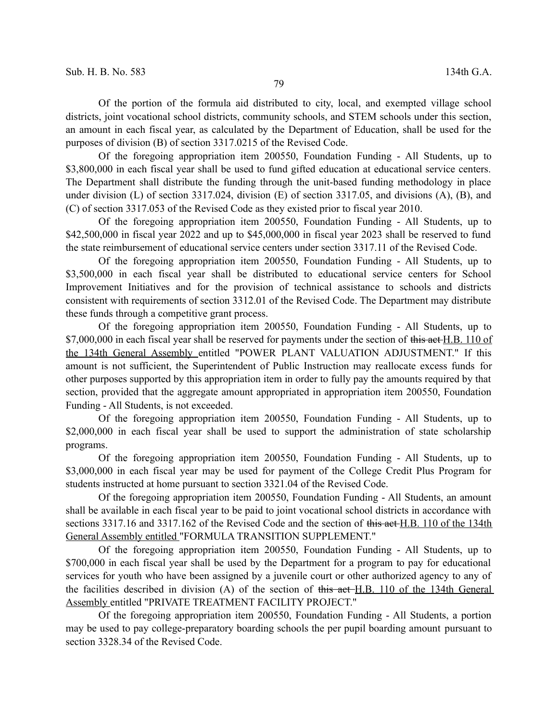Of the portion of the formula aid distributed to city, local, and exempted village school districts, joint vocational school districts, community schools, and STEM schools under this section, an amount in each fiscal year, as calculated by the Department of Education, shall be used for the purposes of division (B) of section 3317.0215 of the Revised Code.

Of the foregoing appropriation item 200550, Foundation Funding - All Students, up to \$3,800,000 in each fiscal year shall be used to fund gifted education at educational service centers. The Department shall distribute the funding through the unit-based funding methodology in place under division (L) of section 3317.024, division (E) of section 3317.05, and divisions (A), (B), and (C) of section 3317.053 of the Revised Code as they existed prior to fiscal year 2010.

Of the foregoing appropriation item 200550, Foundation Funding - All Students, up to \$42,500,000 in fiscal year 2022 and up to \$45,000,000 in fiscal year 2023 shall be reserved to fund the state reimbursement of educational service centers under section 3317.11 of the Revised Code.

Of the foregoing appropriation item 200550, Foundation Funding - All Students, up to \$3,500,000 in each fiscal year shall be distributed to educational service centers for School Improvement Initiatives and for the provision of technical assistance to schools and districts consistent with requirements of section 3312.01 of the Revised Code. The Department may distribute these funds through a competitive grant process.

Of the foregoing appropriation item 200550, Foundation Funding - All Students, up to \$7,000,000 in each fiscal year shall be reserved for payments under the section of this act H.B. 110 of the 134th General Assembly entitled "POWER PLANT VALUATION ADJUSTMENT." If this amount is not sufficient, the Superintendent of Public Instruction may reallocate excess funds for other purposes supported by this appropriation item in order to fully pay the amounts required by that section, provided that the aggregate amount appropriated in appropriation item 200550, Foundation Funding - All Students, is not exceeded.

Of the foregoing appropriation item 200550, Foundation Funding - All Students, up to \$2,000,000 in each fiscal year shall be used to support the administration of state scholarship programs.

Of the foregoing appropriation item 200550, Foundation Funding - All Students, up to \$3,000,000 in each fiscal year may be used for payment of the College Credit Plus Program for students instructed at home pursuant to section 3321.04 of the Revised Code.

Of the foregoing appropriation item 200550, Foundation Funding - All Students, an amount shall be available in each fiscal year to be paid to joint vocational school districts in accordance with sections 3317.16 and 3317.162 of the Revised Code and the section of this act H.B. 110 of the 134th General Assembly entitled "FORMULA TRANSITION SUPPLEMENT."

Of the foregoing appropriation item 200550, Foundation Funding - All Students, up to \$700,000 in each fiscal year shall be used by the Department for a program to pay for educational services for youth who have been assigned by a juvenile court or other authorized agency to any of the facilities described in division (A) of the section of this act H.B. 110 of the 134th General Assembly entitled "PRIVATE TREATMENT FACILITY PROJECT."

Of the foregoing appropriation item 200550, Foundation Funding - All Students, a portion may be used to pay college-preparatory boarding schools the per pupil boarding amount pursuant to section 3328.34 of the Revised Code.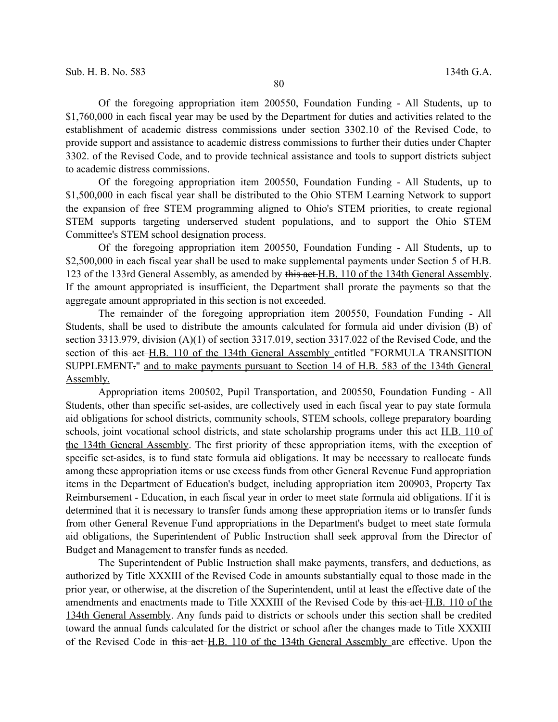Of the foregoing appropriation item 200550, Foundation Funding - All Students, up to \$1,760,000 in each fiscal year may be used by the Department for duties and activities related to the establishment of academic distress commissions under section 3302.10 of the Revised Code, to provide support and assistance to academic distress commissions to further their duties under Chapter 3302. of the Revised Code, and to provide technical assistance and tools to support districts subject to academic distress commissions.

Of the foregoing appropriation item 200550, Foundation Funding - All Students, up to \$1,500,000 in each fiscal year shall be distributed to the Ohio STEM Learning Network to support the expansion of free STEM programming aligned to Ohio's STEM priorities, to create regional STEM supports targeting underserved student populations, and to support the Ohio STEM Committee's STEM school designation process.

Of the foregoing appropriation item 200550, Foundation Funding - All Students, up to \$2,500,000 in each fiscal year shall be used to make supplemental payments under Section 5 of H.B. 123 of the 133rd General Assembly, as amended by this act H.B. 110 of the 134th General Assembly. If the amount appropriated is insufficient, the Department shall prorate the payments so that the aggregate amount appropriated in this section is not exceeded.

The remainder of the foregoing appropriation item 200550, Foundation Funding - All Students, shall be used to distribute the amounts calculated for formula aid under division (B) of section 3313.979, division (A)(1) of section 3317.019, section 3317.022 of the Revised Code, and the section of this act H.B. 110 of the 134th General Assembly entitled "FORMULA TRANSITION SUPPLEMENT." and to make payments pursuant to Section 14 of H.B. 583 of the 134th General Assembly.

Appropriation items 200502, Pupil Transportation, and 200550, Foundation Funding - All Students, other than specific set-asides, are collectively used in each fiscal year to pay state formula aid obligations for school districts, community schools, STEM schools, college preparatory boarding schools, joint vocational school districts, and state scholarship programs under this act H.B. 110 of the 134th General Assembly. The first priority of these appropriation items, with the exception of specific set-asides, is to fund state formula aid obligations. It may be necessary to reallocate funds among these appropriation items or use excess funds from other General Revenue Fund appropriation items in the Department of Education's budget, including appropriation item 200903, Property Tax Reimbursement - Education, in each fiscal year in order to meet state formula aid obligations. If it is determined that it is necessary to transfer funds among these appropriation items or to transfer funds from other General Revenue Fund appropriations in the Department's budget to meet state formula aid obligations, the Superintendent of Public Instruction shall seek approval from the Director of Budget and Management to transfer funds as needed.

The Superintendent of Public Instruction shall make payments, transfers, and deductions, as authorized by Title XXXIII of the Revised Code in amounts substantially equal to those made in the prior year, or otherwise, at the discretion of the Superintendent, until at least the effective date of the amendments and enactments made to Title XXXIII of the Revised Code by this act H.B. 110 of the 134th General Assembly. Any funds paid to districts or schools under this section shall be credited toward the annual funds calculated for the district or school after the changes made to Title XXXIII of the Revised Code in this act H.B. 110 of the 134th General Assembly are effective. Upon the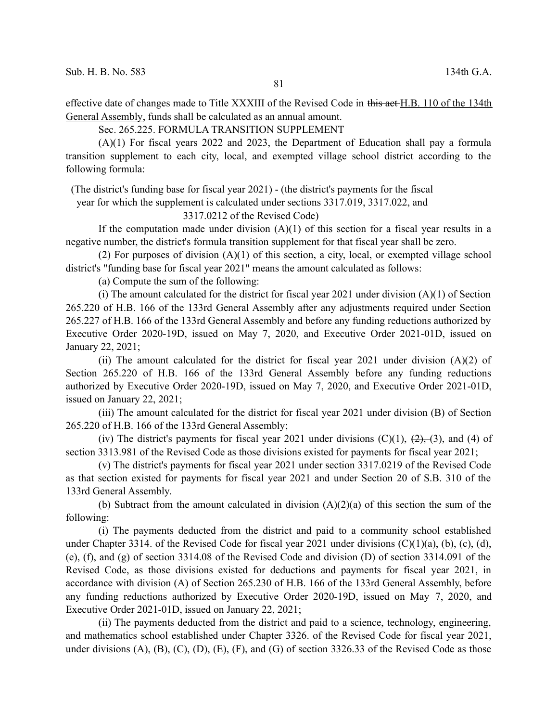effective date of changes made to Title XXXIII of the Revised Code in this act H.B. 110 of the 134th General Assembly, funds shall be calculated as an annual amount.

Sec. 265.225. FORMULA TRANSITION SUPPLEMENT

(A)(1) For fiscal years 2022 and 2023, the Department of Education shall pay a formula transition supplement to each city, local, and exempted village school district according to the following formula:

(The district's funding base for fiscal year 2021) - (the district's payments for the fiscal

year for which the supplement is calculated under sections 3317.019, 3317.022, and

3317.0212 of the Revised Code)

If the computation made under division  $(A)(1)$  of this section for a fiscal year results in a negative number, the district's formula transition supplement for that fiscal year shall be zero.

(2) For purposes of division (A)(1) of this section, a city, local, or exempted village school district's "funding base for fiscal year 2021" means the amount calculated as follows:

(a) Compute the sum of the following:

(i) The amount calculated for the district for fiscal year 2021 under division  $(A)(1)$  of Section 265.220 of H.B. 166 of the 133rd General Assembly after any adjustments required under Section 265.227 of H.B. 166 of the 133rd General Assembly and before any funding reductions authorized by Executive Order 2020-19D, issued on May 7, 2020, and Executive Order 2021-01D, issued on January 22, 2021;

(ii) The amount calculated for the district for fiscal year 2021 under division  $(A)(2)$  of Section 265.220 of H.B. 166 of the 133rd General Assembly before any funding reductions authorized by Executive Order 2020-19D, issued on May 7, 2020, and Executive Order 2021-01D, issued on January 22, 2021;

(iii) The amount calculated for the district for fiscal year 2021 under division (B) of Section 265.220 of H.B. 166 of the 133rd General Assembly;

(iv) The district's payments for fiscal year 2021 under divisions  $(C)(1)$ ,  $(2)$ ,  $(3)$ , and (4) of section 3313.981 of the Revised Code as those divisions existed for payments for fiscal year 2021;

(v) The district's payments for fiscal year 2021 under section 3317.0219 of the Revised Code as that section existed for payments for fiscal year 2021 and under Section 20 of S.B. 310 of the 133rd General Assembly.

(b) Subtract from the amount calculated in division  $(A)(2)(a)$  of this section the sum of the following:

(i) The payments deducted from the district and paid to a community school established under Chapter 3314. of the Revised Code for fiscal year 2021 under divisions (C)(1)(a), (b), (c), (d), (e), (f), and (g) of section 3314.08 of the Revised Code and division (D) of section 3314.091 of the Revised Code, as those divisions existed for deductions and payments for fiscal year 2021, in accordance with division (A) of Section 265.230 of H.B. 166 of the 133rd General Assembly, before any funding reductions authorized by Executive Order 2020-19D, issued on May 7, 2020, and Executive Order 2021-01D, issued on January 22, 2021;

(ii) The payments deducted from the district and paid to a science, technology, engineering, and mathematics school established under Chapter 3326. of the Revised Code for fiscal year 2021, under divisions (A), (B), (C), (D), (E), (F), and (G) of section 3326.33 of the Revised Code as those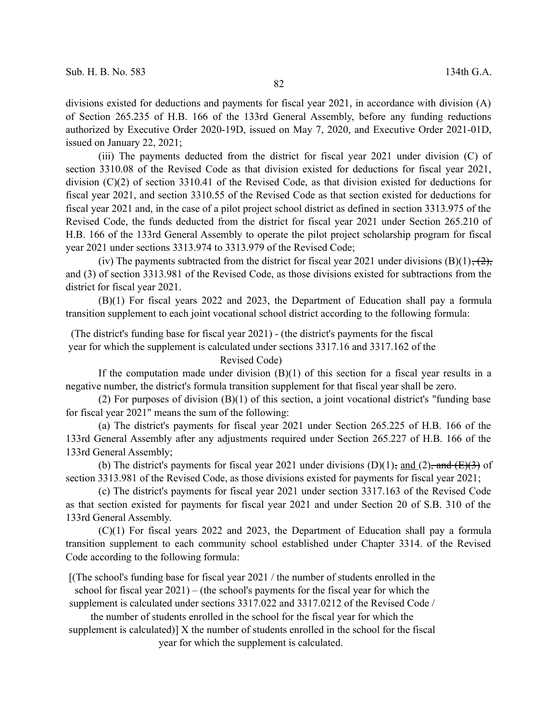divisions existed for deductions and payments for fiscal year 2021, in accordance with division (A) of Section 265.235 of H.B. 166 of the 133rd General Assembly, before any funding reductions authorized by Executive Order 2020-19D, issued on May 7, 2020, and Executive Order 2021-01D, issued on January 22, 2021;

(iii) The payments deducted from the district for fiscal year 2021 under division (C) of section 3310.08 of the Revised Code as that division existed for deductions for fiscal year 2021, division (C)(2) of section 3310.41 of the Revised Code, as that division existed for deductions for fiscal year 2021, and section 3310.55 of the Revised Code as that section existed for deductions for fiscal year 2021 and, in the case of a pilot project school district as defined in section 3313.975 of the Revised Code, the funds deducted from the district for fiscal year 2021 under Section 265.210 of H.B. 166 of the 133rd General Assembly to operate the pilot project scholarship program for fiscal year 2021 under sections 3313.974 to 3313.979 of the Revised Code;

(iv) The payments subtracted from the district for fiscal year 2021 under divisions  $(B)(1)$ ,  $(2)$ , and (3) of section 3313.981 of the Revised Code, as those divisions existed for subtractions from the district for fiscal year 2021.

(B)(1) For fiscal years 2022 and 2023, the Department of Education shall pay a formula transition supplement to each joint vocational school district according to the following formula:

(The district's funding base for fiscal year 2021) - (the district's payments for the fiscal year for which the supplement is calculated under sections 3317.16 and 3317.162 of the

Revised Code)

If the computation made under division  $(B)(1)$  of this section for a fiscal year results in a negative number, the district's formula transition supplement for that fiscal year shall be zero.

(2) For purposes of division (B)(1) of this section, a joint vocational district's "funding base for fiscal year 2021" means the sum of the following:

(a) The district's payments for fiscal year 2021 under Section 265.225 of H.B. 166 of the 133rd General Assembly after any adjustments required under Section 265.227 of H.B. 166 of the 133rd General Assembly;

(b) The district's payments for fiscal year 2021 under divisions  $(D)(1)$ , and  $(2)$ , and  $(E)(3)$  of section 3313.981 of the Revised Code, as those divisions existed for payments for fiscal year 2021;

(c) The district's payments for fiscal year 2021 under section 3317.163 of the Revised Code as that section existed for payments for fiscal year 2021 and under Section 20 of S.B. 310 of the 133rd General Assembly.

(C)(1) For fiscal years 2022 and 2023, the Department of Education shall pay a formula transition supplement to each community school established under Chapter 3314. of the Revised Code according to the following formula:

[(The school's funding base for fiscal year 2021 / the number of students enrolled in the school for fiscal year 2021) – (the school's payments for the fiscal year for which the

supplement is calculated under sections 3317.022 and 3317.0212 of the Revised Code /

the number of students enrolled in the school for the fiscal year for which the

supplement is calculated)] X the number of students enrolled in the school for the fiscal year for which the supplement is calculated.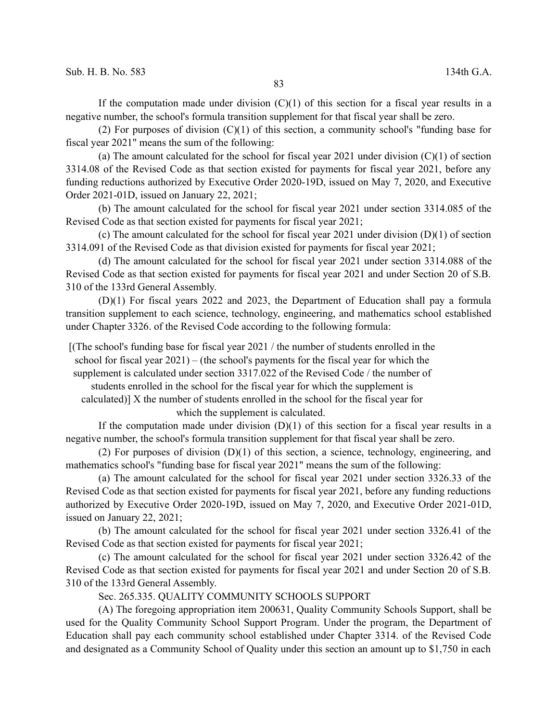If the computation made under division  $(C)(1)$  of this section for a fiscal year results in a negative number, the school's formula transition supplement for that fiscal year shall be zero.

(2) For purposes of division (C)(1) of this section, a community school's "funding base for fiscal year 2021" means the sum of the following:

(a) The amount calculated for the school for fiscal year 2021 under division  $(C)(1)$  of section 3314.08 of the Revised Code as that section existed for payments for fiscal year 2021, before any funding reductions authorized by Executive Order 2020-19D, issued on May 7, 2020, and Executive Order 2021-01D, issued on January 22, 2021;

(b) The amount calculated for the school for fiscal year 2021 under section 3314.085 of the Revised Code as that section existed for payments for fiscal year 2021;

(c) The amount calculated for the school for fiscal year 2021 under division (D)(1) of section 3314.091 of the Revised Code as that division existed for payments for fiscal year 2021;

(d) The amount calculated for the school for fiscal year 2021 under section 3314.088 of the Revised Code as that section existed for payments for fiscal year 2021 and under Section 20 of S.B. 310 of the 133rd General Assembly.

(D)(1) For fiscal years 2022 and 2023, the Department of Education shall pay a formula transition supplement to each science, technology, engineering, and mathematics school established under Chapter 3326. of the Revised Code according to the following formula:

[(The school's funding base for fiscal year 2021 / the number of students enrolled in the school for fiscal year 2021) – (the school's payments for the fiscal year for which the

supplement is calculated under section 3317.022 of the Revised Code / the number of

students enrolled in the school for the fiscal year for which the supplement is

calculated)] X the number of students enrolled in the school for the fiscal year for which the supplement is calculated.

If the computation made under division  $(D)(1)$  of this section for a fiscal year results in a negative number, the school's formula transition supplement for that fiscal year shall be zero.

(2) For purposes of division (D)(1) of this section, a science, technology, engineering, and mathematics school's "funding base for fiscal year 2021" means the sum of the following:

(a) The amount calculated for the school for fiscal year 2021 under section 3326.33 of the Revised Code as that section existed for payments for fiscal year 2021, before any funding reductions authorized by Executive Order 2020-19D, issued on May 7, 2020, and Executive Order 2021-01D, issued on January 22, 2021;

(b) The amount calculated for the school for fiscal year 2021 under section 3326.41 of the Revised Code as that section existed for payments for fiscal year 2021;

(c) The amount calculated for the school for fiscal year 2021 under section 3326.42 of the Revised Code as that section existed for payments for fiscal year 2021 and under Section 20 of S.B. 310 of the 133rd General Assembly.

Sec. 265.335. QUALITY COMMUNITY SCHOOLS SUPPORT

(A) The foregoing appropriation item 200631, Quality Community Schools Support, shall be used for the Quality Community School Support Program. Under the program, the Department of Education shall pay each community school established under Chapter 3314. of the Revised Code and designated as a Community School of Quality under this section an amount up to \$1,750 in each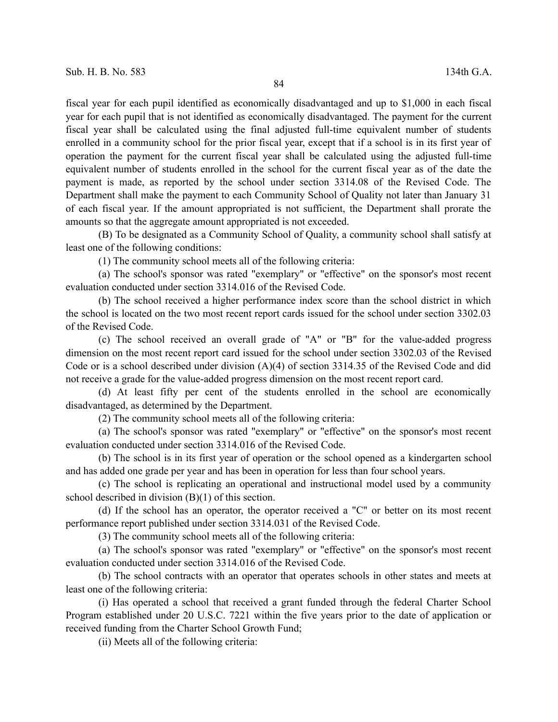fiscal year for each pupil identified as economically disadvantaged and up to \$1,000 in each fiscal year for each pupil that is not identified as economically disadvantaged. The payment for the current fiscal year shall be calculated using the final adjusted full-time equivalent number of students enrolled in a community school for the prior fiscal year, except that if a school is in its first year of operation the payment for the current fiscal year shall be calculated using the adjusted full-time equivalent number of students enrolled in the school for the current fiscal year as of the date the payment is made, as reported by the school under section 3314.08 of the Revised Code. The Department shall make the payment to each Community School of Quality not later than January 31 of each fiscal year. If the amount appropriated is not sufficient, the Department shall prorate the amounts so that the aggregate amount appropriated is not exceeded.

(B) To be designated as a Community School of Quality, a community school shall satisfy at least one of the following conditions:

(1) The community school meets all of the following criteria:

(a) The school's sponsor was rated "exemplary" or "effective" on the sponsor's most recent evaluation conducted under section 3314.016 of the Revised Code.

(b) The school received a higher performance index score than the school district in which the school is located on the two most recent report cards issued for the school under section 3302.03 of the Revised Code.

(c) The school received an overall grade of "A" or "B" for the value-added progress dimension on the most recent report card issued for the school under section 3302.03 of the Revised Code or is a school described under division (A)(4) of section 3314.35 of the Revised Code and did not receive a grade for the value-added progress dimension on the most recent report card.

(d) At least fifty per cent of the students enrolled in the school are economically disadvantaged, as determined by the Department.

(2) The community school meets all of the following criteria:

(a) The school's sponsor was rated "exemplary" or "effective" on the sponsor's most recent evaluation conducted under section 3314.016 of the Revised Code.

(b) The school is in its first year of operation or the school opened as a kindergarten school and has added one grade per year and has been in operation for less than four school years.

(c) The school is replicating an operational and instructional model used by a community school described in division (B)(1) of this section.

(d) If the school has an operator, the operator received a "C" or better on its most recent performance report published under section 3314.031 of the Revised Code.

(3) The community school meets all of the following criteria:

(a) The school's sponsor was rated "exemplary" or "effective" on the sponsor's most recent evaluation conducted under section 3314.016 of the Revised Code.

(b) The school contracts with an operator that operates schools in other states and meets at least one of the following criteria:

(i) Has operated a school that received a grant funded through the federal Charter School Program established under 20 U.S.C. 7221 within the five years prior to the date of application or received funding from the Charter School Growth Fund;

(ii) Meets all of the following criteria: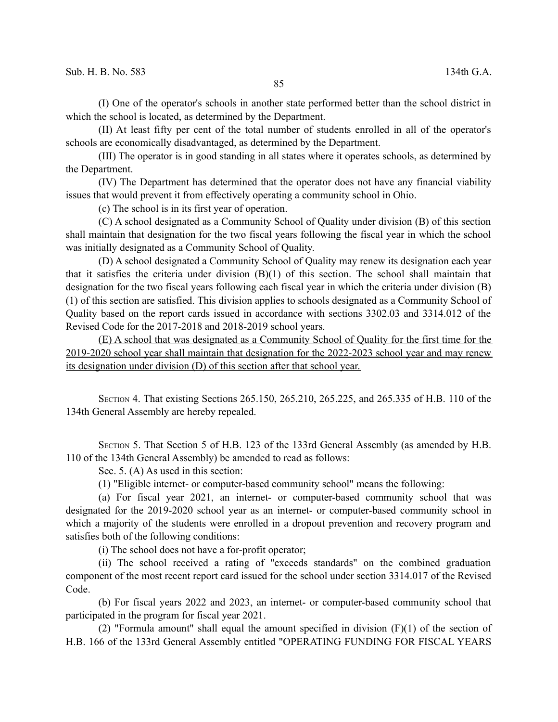(I) One of the operator's schools in another state performed better than the school district in which the school is located, as determined by the Department.

(II) At least fifty per cent of the total number of students enrolled in all of the operator's schools are economically disadvantaged, as determined by the Department.

(III) The operator is in good standing in all states where it operates schools, as determined by the Department.

(IV) The Department has determined that the operator does not have any financial viability issues that would prevent it from effectively operating a community school in Ohio.

(c) The school is in its first year of operation.

(C) A school designated as a Community School of Quality under division (B) of this section shall maintain that designation for the two fiscal years following the fiscal year in which the school was initially designated as a Community School of Quality.

(D) A school designated a Community School of Quality may renew its designation each year that it satisfies the criteria under division (B)(1) of this section. The school shall maintain that designation for the two fiscal years following each fiscal year in which the criteria under division (B) (1) of this section are satisfied. This division applies to schools designated as a Community School of Quality based on the report cards issued in accordance with sections 3302.03 and 3314.012 of the Revised Code for the 2017-2018 and 2018-2019 school years.

(E) A school that was designated as a Community School of Quality for the first time for the 2019-2020 school year shall maintain that designation for the 2022-2023 school year and may renew its designation under division (D) of this section after that school year.

SECTION 4. That existing Sections 265.150, 265.210, 265.225, and 265.335 of H.B. 110 of the 134th General Assembly are hereby repealed.

SECTION 5. That Section 5 of H.B. 123 of the 133rd General Assembly (as amended by H.B. 110 of the 134th General Assembly) be amended to read as follows:

Sec. 5. (A) As used in this section:

(1) "Eligible internet- or computer-based community school" means the following:

(a) For fiscal year 2021, an internet- or computer-based community school that was designated for the 2019-2020 school year as an internet- or computer-based community school in which a majority of the students were enrolled in a dropout prevention and recovery program and satisfies both of the following conditions:

(i) The school does not have a for-profit operator;

(ii) The school received a rating of "exceeds standards" on the combined graduation component of the most recent report card issued for the school under section 3314.017 of the Revised Code.

(b) For fiscal years 2022 and 2023, an internet- or computer-based community school that participated in the program for fiscal year 2021.

(2) "Formula amount" shall equal the amount specified in division (F)(1) of the section of H.B. 166 of the 133rd General Assembly entitled "OPERATING FUNDING FOR FISCAL YEARS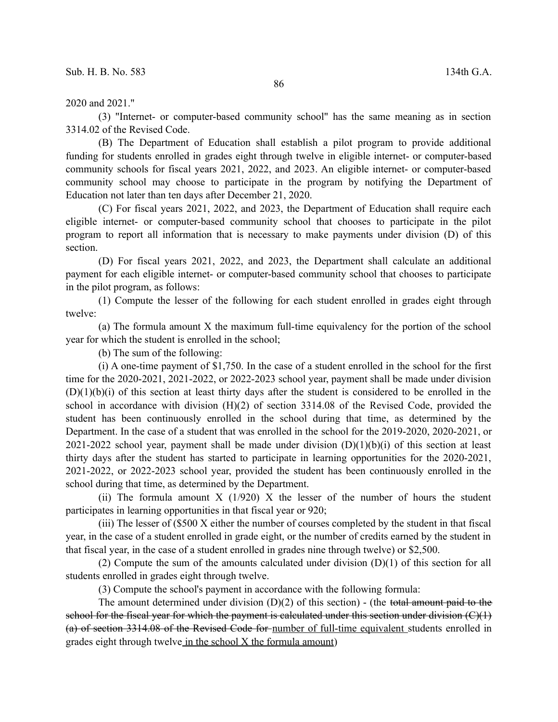2020 and 2021."

(3) "Internet- or computer-based community school" has the same meaning as in section 3314.02 of the Revised Code.

(B) The Department of Education shall establish a pilot program to provide additional funding for students enrolled in grades eight through twelve in eligible internet- or computer-based community schools for fiscal years 2021, 2022, and 2023. An eligible internet- or computer-based community school may choose to participate in the program by notifying the Department of Education not later than ten days after December 21, 2020.

(C) For fiscal years 2021, 2022, and 2023, the Department of Education shall require each eligible internet- or computer-based community school that chooses to participate in the pilot program to report all information that is necessary to make payments under division (D) of this section.

(D) For fiscal years 2021, 2022, and 2023, the Department shall calculate an additional payment for each eligible internet- or computer-based community school that chooses to participate in the pilot program, as follows:

(1) Compute the lesser of the following for each student enrolled in grades eight through twelve:

(a) The formula amount X the maximum full-time equivalency for the portion of the school year for which the student is enrolled in the school;

(b) The sum of the following:

(i) A one-time payment of \$1,750. In the case of a student enrolled in the school for the first time for the 2020-2021, 2021-2022, or 2022-2023 school year, payment shall be made under division  $(D)(1)(b)(i)$  of this section at least thirty days after the student is considered to be enrolled in the school in accordance with division (H)(2) of section 3314.08 of the Revised Code, provided the student has been continuously enrolled in the school during that time, as determined by the Department. In the case of a student that was enrolled in the school for the 2019-2020, 2020-2021, or 2021-2022 school year, payment shall be made under division  $(D)(1)(b)(i)$  of this section at least thirty days after the student has started to participate in learning opportunities for the 2020-2021, 2021-2022, or 2022-2023 school year, provided the student has been continuously enrolled in the school during that time, as determined by the Department.

(ii) The formula amount  $X(1/920)$  X the lesser of the number of hours the student participates in learning opportunities in that fiscal year or 920;

(iii) The lesser of (\$500 X either the number of courses completed by the student in that fiscal year, in the case of a student enrolled in grade eight, or the number of credits earned by the student in that fiscal year, in the case of a student enrolled in grades nine through twelve) or \$2,500.

(2) Compute the sum of the amounts calculated under division (D)(1) of this section for all students enrolled in grades eight through twelve.

(3) Compute the school's payment in accordance with the following formula:

The amount determined under division  $(D)(2)$  of this section) - (the total amount paid to the school for the fiscal year for which the payment is calculated under this section under division  $(C)$   $\mapsto$ (a) of section 3314.08 of the Revised Code for number of full-time equivalent students enrolled in grades eight through twelve in the school X the formula amount)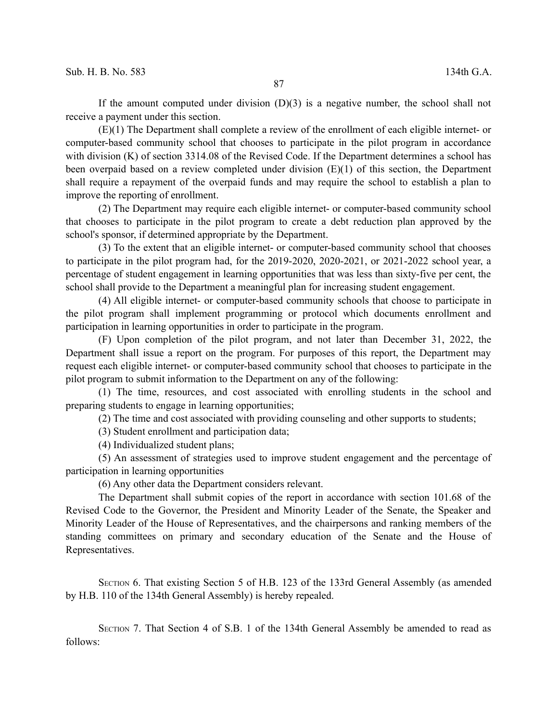If the amount computed under division  $(D)(3)$  is a negative number, the school shall not receive a payment under this section.

(E)(1) The Department shall complete a review of the enrollment of each eligible internet- or computer-based community school that chooses to participate in the pilot program in accordance with division (K) of section 3314.08 of the Revised Code. If the Department determines a school has been overpaid based on a review completed under division (E)(1) of this section, the Department shall require a repayment of the overpaid funds and may require the school to establish a plan to improve the reporting of enrollment.

(2) The Department may require each eligible internet- or computer-based community school that chooses to participate in the pilot program to create a debt reduction plan approved by the school's sponsor, if determined appropriate by the Department.

(3) To the extent that an eligible internet- or computer-based community school that chooses to participate in the pilot program had, for the 2019-2020, 2020-2021, or 2021-2022 school year, a percentage of student engagement in learning opportunities that was less than sixty-five per cent, the school shall provide to the Department a meaningful plan for increasing student engagement.

(4) All eligible internet- or computer-based community schools that choose to participate in the pilot program shall implement programming or protocol which documents enrollment and participation in learning opportunities in order to participate in the program.

(F) Upon completion of the pilot program, and not later than December 31, 2022, the Department shall issue a report on the program. For purposes of this report, the Department may request each eligible internet- or computer-based community school that chooses to participate in the pilot program to submit information to the Department on any of the following:

(1) The time, resources, and cost associated with enrolling students in the school and preparing students to engage in learning opportunities;

(2) The time and cost associated with providing counseling and other supports to students;

(3) Student enrollment and participation data;

(4) Individualized student plans;

(5) An assessment of strategies used to improve student engagement and the percentage of participation in learning opportunities

(6) Any other data the Department considers relevant.

The Department shall submit copies of the report in accordance with section 101.68 of the Revised Code to the Governor, the President and Minority Leader of the Senate, the Speaker and Minority Leader of the House of Representatives, and the chairpersons and ranking members of the standing committees on primary and secondary education of the Senate and the House of Representatives.

SECTION 6. That existing Section 5 of H.B. 123 of the 133rd General Assembly (as amended by H.B. 110 of the 134th General Assembly) is hereby repealed.

SECTION 7. That Section 4 of S.B. 1 of the 134th General Assembly be amended to read as follows: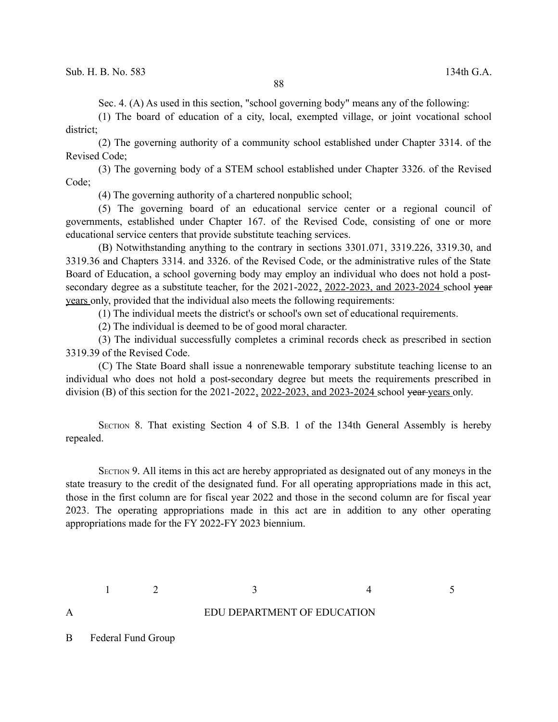Sec. 4. (A) As used in this section, "school governing body" means any of the following:

(1) The board of education of a city, local, exempted village, or joint vocational school district;

(2) The governing authority of a community school established under Chapter 3314. of the Revised Code;

(3) The governing body of a STEM school established under Chapter 3326. of the Revised Code;

(4) The governing authority of a chartered nonpublic school;

(5) The governing board of an educational service center or a regional council of governments, established under Chapter 167. of the Revised Code, consisting of one or more educational service centers that provide substitute teaching services.

(B) Notwithstanding anything to the contrary in sections 3301.071, 3319.226, 3319.30, and 3319.36 and Chapters 3314. and 3326. of the Revised Code, or the administrative rules of the State Board of Education, a school governing body may employ an individual who does not hold a postsecondary degree as a substitute teacher, for the 2021-2022, 2022-2023, and 2023-2024 school year years only, provided that the individual also meets the following requirements:

(1) The individual meets the district's or school's own set of educational requirements.

(2) The individual is deemed to be of good moral character.

(3) The individual successfully completes a criminal records check as prescribed in section 3319.39 of the Revised Code.

(C) The State Board shall issue a nonrenewable temporary substitute teaching license to an individual who does not hold a post-secondary degree but meets the requirements prescribed in division (B) of this section for the 2021-2022, 2022-2023, and 2023-2024 school year years only.

SECTION 8. That existing Section 4 of S.B. 1 of the 134th General Assembly is hereby repealed.

SECTION 9. All items in this act are hereby appropriated as designated out of any moneys in the state treasury to the credit of the designated fund. For all operating appropriations made in this act, those in the first column are for fiscal year 2022 and those in the second column are for fiscal year 2023. The operating appropriations made in this act are in addition to any other operating appropriations made for the FY 2022-FY 2023 biennium.

 $1 \t 2 \t 3 \t 4 \t 5$ 

## A EDU DEPARTMENT OF EDUCATION

B Federal Fund Group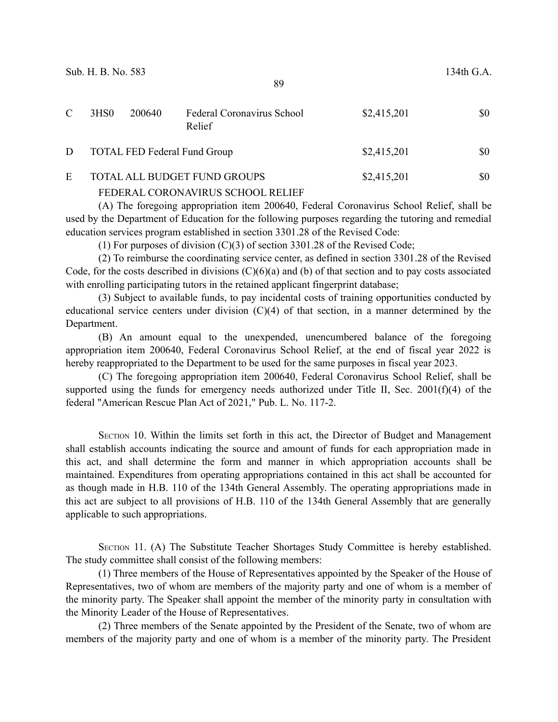| C | 3HS <sub>0</sub>                    | 200640 | Federal Coronavirus School<br>Relief | \$2,415,201 | \$0 |
|---|-------------------------------------|--------|--------------------------------------|-------------|-----|
| D | <b>TOTAL FED Federal Fund Group</b> |        |                                      | \$2,415,201 | \$0 |

## E TOTAL ALL BUDGET FUND GROUPS \$2,415,201 \$0 FEDERAL CORONAVIRUS SCHOOL RELIEF

(A) The foregoing appropriation item 200640, Federal Coronavirus School Relief, shall be used by the Department of Education for the following purposes regarding the tutoring and remedial education services program established in section 3301.28 of the Revised Code:

(1) For purposes of division  $(C)(3)$  of section 3301.28 of the Revised Code;

(2) To reimburse the coordinating service center, as defined in section 3301.28 of the Revised Code, for the costs described in divisions  $(C)(6)(a)$  and (b) of that section and to pay costs associated with enrolling participating tutors in the retained applicant fingerprint database;

(3) Subject to available funds, to pay incidental costs of training opportunities conducted by educational service centers under division (C)(4) of that section, in a manner determined by the Department.

(B) An amount equal to the unexpended, unencumbered balance of the foregoing appropriation item 200640, Federal Coronavirus School Relief, at the end of fiscal year 2022 is hereby reappropriated to the Department to be used for the same purposes in fiscal year 2023.

(C) The foregoing appropriation item 200640, Federal Coronavirus School Relief, shall be supported using the funds for emergency needs authorized under Title II, Sec.  $2001(f)(4)$  of the federal "American Rescue Plan Act of 2021," Pub. L. No. 117-2.

SECTION 10. Within the limits set forth in this act, the Director of Budget and Management shall establish accounts indicating the source and amount of funds for each appropriation made in this act, and shall determine the form and manner in which appropriation accounts shall be maintained. Expenditures from operating appropriations contained in this act shall be accounted for as though made in H.B. 110 of the 134th General Assembly. The operating appropriations made in this act are subject to all provisions of H.B. 110 of the 134th General Assembly that are generally applicable to such appropriations.

SECTION 11. (A) The Substitute Teacher Shortages Study Committee is hereby established. The study committee shall consist of the following members:

(1) Three members of the House of Representatives appointed by the Speaker of the House of Representatives, two of whom are members of the majority party and one of whom is a member of the minority party. The Speaker shall appoint the member of the minority party in consultation with the Minority Leader of the House of Representatives.

(2) Three members of the Senate appointed by the President of the Senate, two of whom are members of the majority party and one of whom is a member of the minority party. The President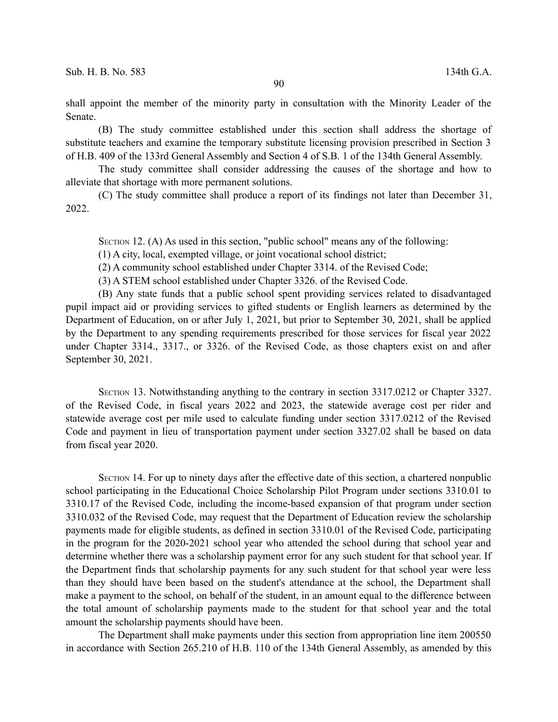shall appoint the member of the minority party in consultation with the Minority Leader of the Senate.

(B) The study committee established under this section shall address the shortage of substitute teachers and examine the temporary substitute licensing provision prescribed in Section 3 of H.B. 409 of the 133rd General Assembly and Section 4 of S.B. 1 of the 134th General Assembly.

The study committee shall consider addressing the causes of the shortage and how to alleviate that shortage with more permanent solutions.

(C) The study committee shall produce a report of its findings not later than December 31, 2022.

SECTION 12. (A) As used in this section, "public school" means any of the following:

(1) A city, local, exempted village, or joint vocational school district;

(2) A community school established under Chapter 3314. of the Revised Code;

(3) A STEM school established under Chapter 3326. of the Revised Code.

(B) Any state funds that a public school spent providing services related to disadvantaged pupil impact aid or providing services to gifted students or English learners as determined by the Department of Education, on or after July 1, 2021, but prior to September 30, 2021, shall be applied by the Department to any spending requirements prescribed for those services for fiscal year 2022 under Chapter 3314., 3317., or 3326. of the Revised Code, as those chapters exist on and after September 30, 2021.

SECTION 13. Notwithstanding anything to the contrary in section 3317.0212 or Chapter 3327. of the Revised Code, in fiscal years 2022 and 2023, the statewide average cost per rider and statewide average cost per mile used to calculate funding under section 3317.0212 of the Revised Code and payment in lieu of transportation payment under section 3327.02 shall be based on data from fiscal year 2020.

SECTION 14. For up to ninety days after the effective date of this section, a chartered nonpublic school participating in the Educational Choice Scholarship Pilot Program under sections 3310.01 to 3310.17 of the Revised Code, including the income-based expansion of that program under section 3310.032 of the Revised Code, may request that the Department of Education review the scholarship payments made for eligible students, as defined in section 3310.01 of the Revised Code, participating in the program for the 2020-2021 school year who attended the school during that school year and determine whether there was a scholarship payment error for any such student for that school year. If the Department finds that scholarship payments for any such student for that school year were less than they should have been based on the student's attendance at the school, the Department shall make a payment to the school, on behalf of the student, in an amount equal to the difference between the total amount of scholarship payments made to the student for that school year and the total amount the scholarship payments should have been.

The Department shall make payments under this section from appropriation line item 200550 in accordance with Section 265.210 of H.B. 110 of the 134th General Assembly, as amended by this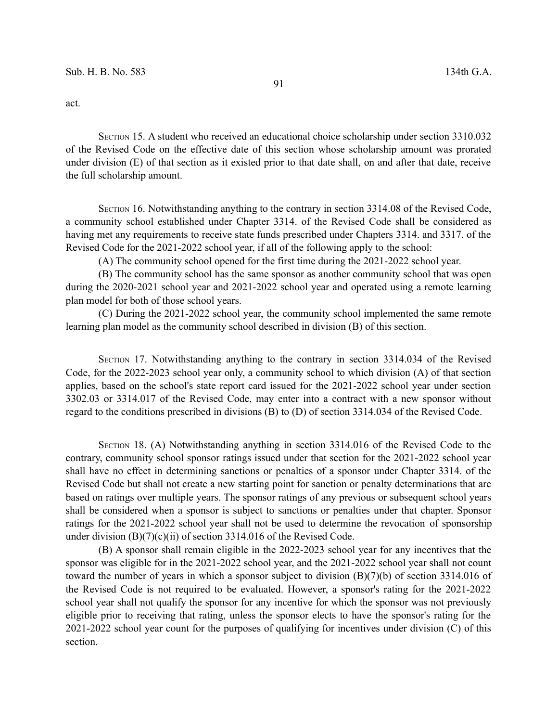act.

SECTION 15. A student who received an educational choice scholarship under section 3310.032 of the Revised Code on the effective date of this section whose scholarship amount was prorated under division (E) of that section as it existed prior to that date shall, on and after that date, receive the full scholarship amount.

SECTION 16. Notwithstanding anything to the contrary in section 3314.08 of the Revised Code, a community school established under Chapter 3314. of the Revised Code shall be considered as having met any requirements to receive state funds prescribed under Chapters 3314. and 3317. of the Revised Code for the 2021-2022 school year, if all of the following apply to the school:

(A) The community school opened for the first time during the 2021-2022 school year.

(B) The community school has the same sponsor as another community school that was open during the 2020-2021 school year and 2021-2022 school year and operated using a remote learning plan model for both of those school years.

(C) During the 2021-2022 school year, the community school implemented the same remote learning plan model as the community school described in division (B) of this section.

SECTION 17. Notwithstanding anything to the contrary in section 3314.034 of the Revised Code, for the 2022-2023 school year only, a community school to which division (A) of that section applies, based on the school's state report card issued for the 2021-2022 school year under section 3302.03 or 3314.017 of the Revised Code, may enter into a contract with a new sponsor without regard to the conditions prescribed in divisions (B) to (D) of section 3314.034 of the Revised Code.

SECTION 18. (A) Notwithstanding anything in section 3314.016 of the Revised Code to the contrary, community school sponsor ratings issued under that section for the 2021-2022 school year shall have no effect in determining sanctions or penalties of a sponsor under Chapter 3314. of the Revised Code but shall not create a new starting point for sanction or penalty determinations that are based on ratings over multiple years. The sponsor ratings of any previous or subsequent school years shall be considered when a sponsor is subject to sanctions or penalties under that chapter. Sponsor ratings for the 2021-2022 school year shall not be used to determine the revocation of sponsorship under division (B)(7)(c)(ii) of section 3314.016 of the Revised Code.

(B) A sponsor shall remain eligible in the 2022-2023 school year for any incentives that the sponsor was eligible for in the 2021-2022 school year, and the 2021-2022 school year shall not count toward the number of years in which a sponsor subject to division (B)(7)(b) of section 3314.016 of the Revised Code is not required to be evaluated. However, a sponsor's rating for the 2021-2022 school year shall not qualify the sponsor for any incentive for which the sponsor was not previously eligible prior to receiving that rating, unless the sponsor elects to have the sponsor's rating for the 2021-2022 school year count for the purposes of qualifying for incentives under division (C) of this section.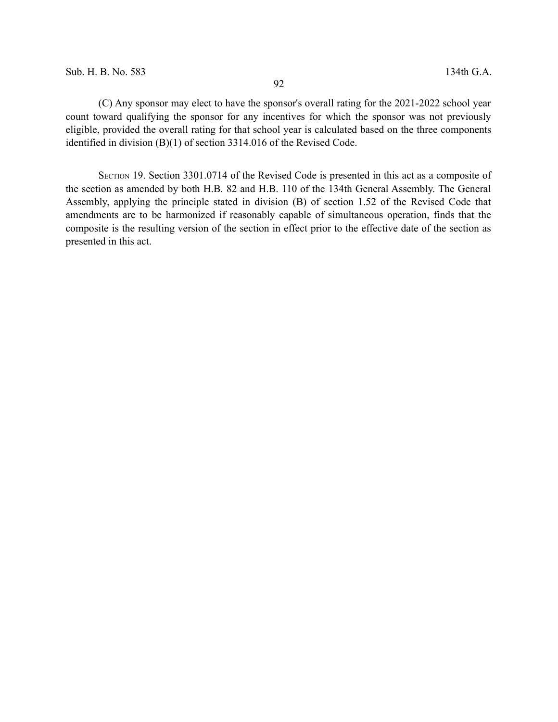(C) Any sponsor may elect to have the sponsor's overall rating for the 2021-2022 school year count toward qualifying the sponsor for any incentives for which the sponsor was not previously eligible, provided the overall rating for that school year is calculated based on the three components identified in division (B)(1) of section 3314.016 of the Revised Code.

SECTION 19. Section 3301.0714 of the Revised Code is presented in this act as a composite of the section as amended by both H.B. 82 and H.B. 110 of the 134th General Assembly. The General Assembly, applying the principle stated in division (B) of section 1.52 of the Revised Code that amendments are to be harmonized if reasonably capable of simultaneous operation, finds that the composite is the resulting version of the section in effect prior to the effective date of the section as presented in this act.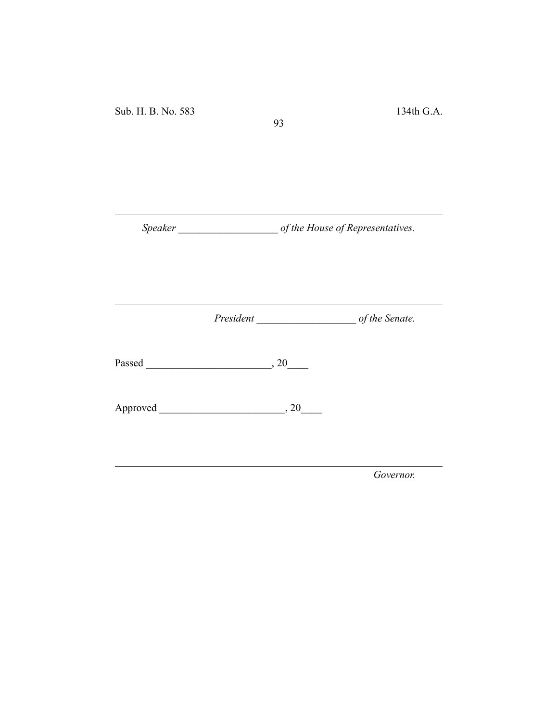*Speaker \_\_\_\_\_\_\_\_\_\_\_\_\_\_\_\_\_\_\_ of the House of Representatives.*

93

*President \_\_\_\_\_\_\_\_\_\_\_\_\_\_\_\_\_\_\_ of the Senate.*

Passed \_\_\_\_\_\_\_\_\_\_\_\_\_\_\_\_\_\_\_\_\_\_\_\_, 20\_\_\_\_

Approved \_\_\_\_\_\_\_\_\_\_\_\_\_\_\_\_\_\_\_\_\_\_\_\_, 20\_\_\_\_

*Governor.*